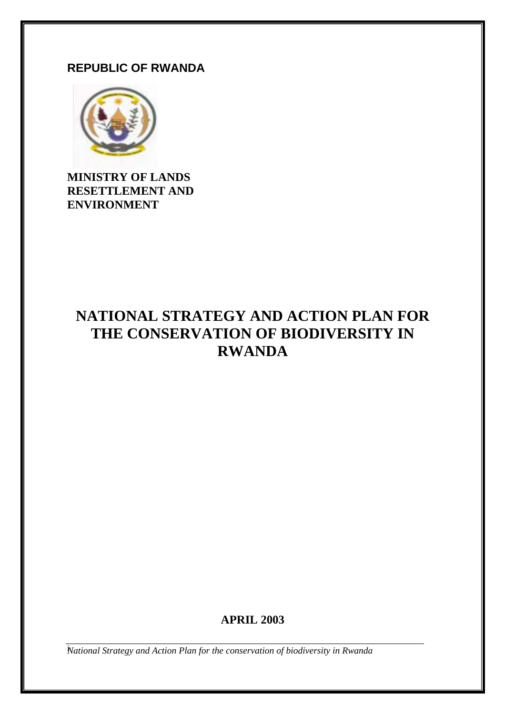# **REPUBLIC OF RWANDA**



**MINISTRY OF LANDS RESETTLEMENT AND ENVIRONMENT** 

# **NATIONAL STRATEGY AND ACTION PLAN FOR THE CONSERVATION OF BIODIVERSITY IN RWANDA**

# **APRIL 2003**

*National Strategy and Action Plan for the conservation of biodiversity in Rwanda* i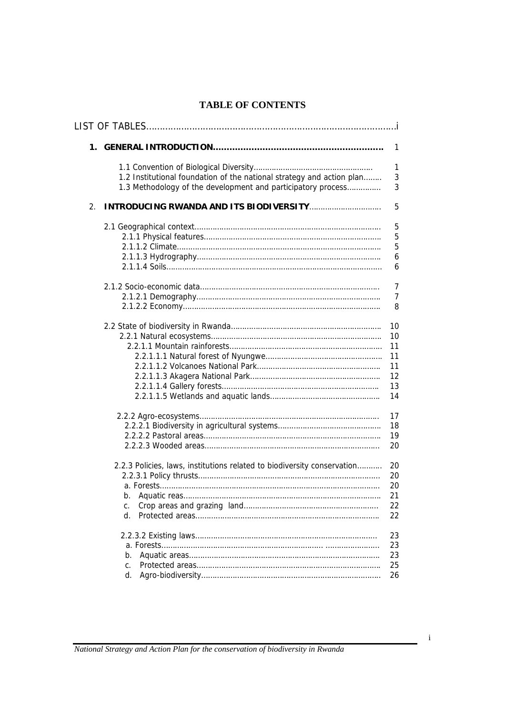### **TABLE OF CONTENTS**

|    |                                                                                                                                       | 1              |
|----|---------------------------------------------------------------------------------------------------------------------------------------|----------------|
|    |                                                                                                                                       | 1              |
|    | 1.2 Institutional foundation of the national strategy and action plan<br>1.3 Methodology of the development and participatory process | 3<br>3         |
| 2. |                                                                                                                                       | 5              |
|    |                                                                                                                                       | 5              |
|    |                                                                                                                                       | 5              |
|    |                                                                                                                                       | 5              |
|    |                                                                                                                                       | 6              |
|    |                                                                                                                                       | 6              |
|    |                                                                                                                                       | 7              |
|    |                                                                                                                                       | $\overline{7}$ |
|    |                                                                                                                                       | 8              |
|    |                                                                                                                                       | 10             |
|    |                                                                                                                                       | 10             |
|    |                                                                                                                                       | 11             |
|    |                                                                                                                                       | 11             |
|    |                                                                                                                                       | 11             |
|    |                                                                                                                                       | 12             |
|    |                                                                                                                                       | 13             |
|    |                                                                                                                                       | 14             |
|    |                                                                                                                                       | 17             |
|    |                                                                                                                                       | 18             |
|    |                                                                                                                                       | 19             |
|    |                                                                                                                                       | 20             |
|    | 2.2.3 Policies, laws, institutions related to biodiversity conservation                                                               | 20             |
|    |                                                                                                                                       | 20             |
|    |                                                                                                                                       | 20             |
| b. |                                                                                                                                       | 21             |
| c. |                                                                                                                                       | 22             |
| d. |                                                                                                                                       | 22             |
|    |                                                                                                                                       | 23             |
|    |                                                                                                                                       | 23             |
| b. |                                                                                                                                       | 23             |
| C. |                                                                                                                                       | 25             |
| d. |                                                                                                                                       | 26             |
|    |                                                                                                                                       |                |

i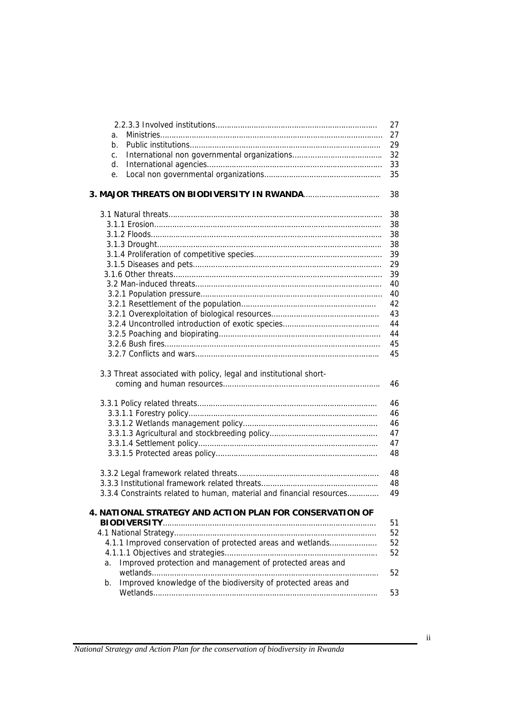|                                                                      | 27       |
|----------------------------------------------------------------------|----------|
| a.                                                                   | 27       |
| b.                                                                   | 29       |
| C.                                                                   | 32       |
| d.                                                                   | 33       |
| e.                                                                   | 35       |
|                                                                      |          |
|                                                                      | 38       |
|                                                                      | 38       |
|                                                                      | 38       |
|                                                                      | 38       |
|                                                                      | 38       |
|                                                                      | 39       |
|                                                                      | 29       |
|                                                                      | 39       |
|                                                                      | 40       |
|                                                                      | 40       |
|                                                                      | 42       |
|                                                                      | 43       |
|                                                                      | 44       |
|                                                                      | 44       |
|                                                                      | 45       |
|                                                                      | 45       |
|                                                                      |          |
| 3.3 Threat associated with policy, legal and institutional short-    | 46       |
|                                                                      |          |
|                                                                      | 46       |
|                                                                      | 46       |
|                                                                      | 46       |
|                                                                      | 47       |
|                                                                      | 47       |
|                                                                      | 48       |
|                                                                      |          |
|                                                                      | 48<br>48 |
| 3.3.4 Constraints related to human, material and financial resources | 49       |
|                                                                      |          |
| 4. NATIONAL STRATEGY AND ACTION PLAN FOR CONSERVATION OF             |          |
|                                                                      | 51       |
|                                                                      | 52       |
| 4.1.1 Improved conservation of protected areas and wetlands          | 52       |
|                                                                      | 52       |
| Improved protection and management of protected areas and<br>a.      |          |
|                                                                      | 52       |
| Improved knowledge of the biodiversity of protected areas and<br>b.  | 53       |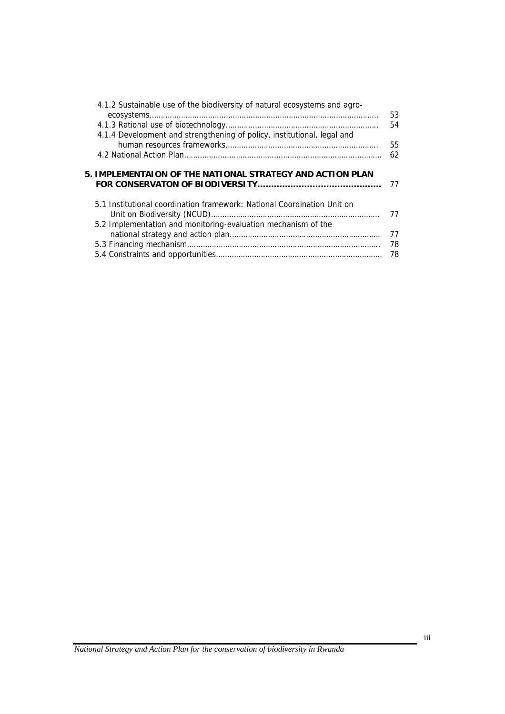| 4.1.2 Sustainable use of the biodiversity of natural ecosystems and agro-                                                            | 53 |
|--------------------------------------------------------------------------------------------------------------------------------------|----|
|                                                                                                                                      | 54 |
| 4.1.4 Development and strengthening of policy, institutional, legal and                                                              |    |
|                                                                                                                                      | 55 |
|                                                                                                                                      | 62 |
|                                                                                                                                      |    |
| 5. IMPLEMENTAION OF THE NATIONAL STRATEGY AND ACTION PLAN<br>5.1 Institutional coordination framework: National Coordination Unit on | 77 |
|                                                                                                                                      | 77 |
| 5.2 Implementation and monitoring-evaluation mechanism of the                                                                        | 77 |
|                                                                                                                                      | 78 |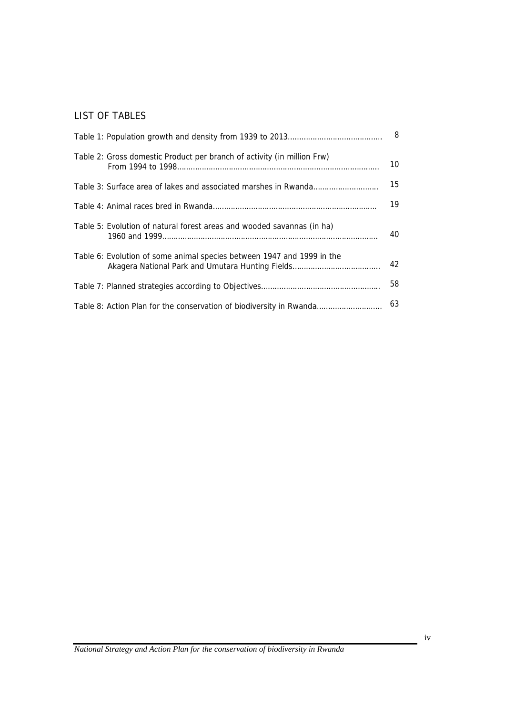#### LIST OF TABLES

|                                                                         | 8  |
|-------------------------------------------------------------------------|----|
| Table 2: Gross domestic Product per branch of activity (in million Frw) | 10 |
|                                                                         | 15 |
|                                                                         | 19 |
| Table 5: Evolution of natural forest areas and wooded savannas (in ha)  | 40 |
| Table 6: Evolution of some animal species between 1947 and 1999 in the  | 42 |
|                                                                         | 58 |
| Table 8: Action Plan for the conservation of biodiversity in Rwanda     | 63 |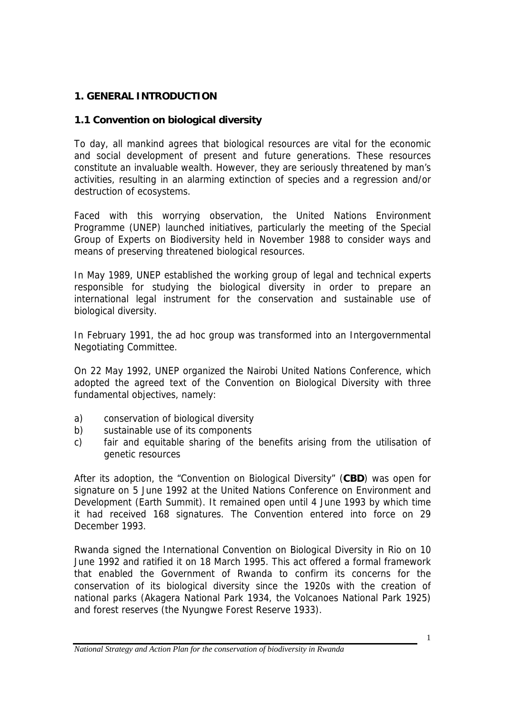### **1. GENERAL INTRODUCTION**

### **1.1 Convention on biological diversity**

To day, all mankind agrees that biological resources are vital for the economic and social development of present and future generations. These resources constitute an invaluable wealth. However, they are seriously threatened by man's activities, resulting in an alarming extinction of species and a regression and/or destruction of ecosystems.

Faced with this worrying observation, the United Nations Environment Programme (UNEP) launched initiatives, particularly the meeting of the Special Group of Experts on Biodiversity held in November 1988 to consider ways and means of preserving threatened biological resources.

In May 1989, UNEP established the working group of legal and technical experts responsible for studying the biological diversity in order to prepare an international legal instrument for the conservation and sustainable use of biological diversity.

In February 1991, the ad hoc group was transformed into an Intergovernmental Negotiating Committee.

On 22 May 1992, UNEP organized the Nairobi United Nations Conference, which adopted the agreed text of the Convention on Biological Diversity with three fundamental objectives, namely:

- a) conservation of biological diversity
- b) sustainable use of its components
- c) fair and equitable sharing of the benefits arising from the utilisation of genetic resources

After its adoption, the "Convention on Biological Diversity" (**CBD**) was open for signature on 5 June 1992 at the United Nations Conference on Environment and Development (Earth Summit). It remained open until 4 June 1993 by which time it had received 168 signatures. The Convention entered into force on 29 December 1993.

Rwanda signed the International Convention on Biological Diversity in Rio on 10 June 1992 and ratified it on 18 March 1995. This act offered a formal framework that enabled the Government of Rwanda to confirm its concerns for the conservation of its biological diversity since the 1920s with the creation of national parks (Akagera National Park 1934, the Volcanoes National Park 1925) and forest reserves (the Nyungwe Forest Reserve 1933).

1

*National Strategy and Action Plan for the conservation of biodiversity in Rwanda*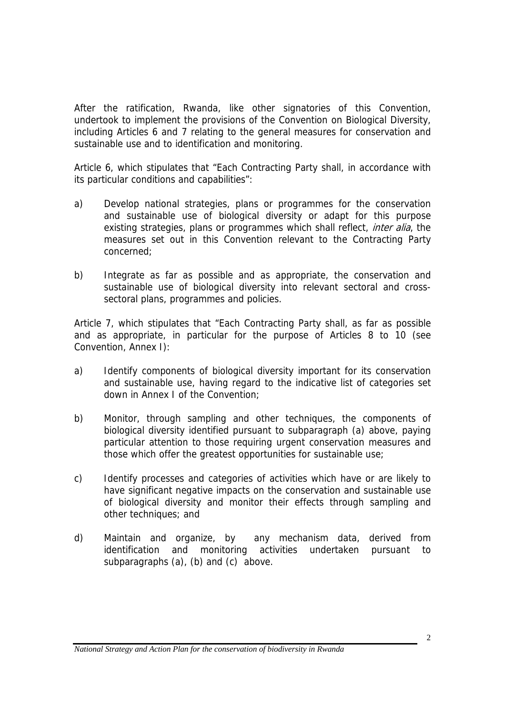After the ratification, Rwanda, like other signatories of this Convention, undertook to implement the provisions of the Convention on Biological Diversity, including Articles 6 and 7 relating to the general measures for conservation and sustainable use and to identification and monitoring.

Article 6, which stipulates that "Each Contracting Party shall, in accordance with its particular conditions and capabilities":

- a) Develop national strategies, plans or programmes for the conservation and sustainable use of biological diversity or adapt for this purpose existing strategies, plans or programmes which shall reflect, *inter alia*, the measures set out in this Convention relevant to the Contracting Party concerned;
- b) Integrate as far as possible and as appropriate, the conservation and sustainable use of biological diversity into relevant sectoral and crosssectoral plans, programmes and policies.

Article 7, which stipulates that "Each Contracting Party shall, as far as possible and as appropriate, in particular for the purpose of Articles 8 to 10 (see Convention, Annex I):

- a) Identify components of biological diversity important for its conservation and sustainable use, having regard to the indicative list of categories set down in Annex I of the Convention;
- b) Monitor, through sampling and other techniques, the components of biological diversity identified pursuant to subparagraph (a) above, paying particular attention to those requiring urgent conservation measures and those which offer the greatest opportunities for sustainable use;
- c) Identify processes and categories of activities which have or are likely to have significant negative impacts on the conservation and sustainable use of biological diversity and monitor their effects through sampling and other techniques; and
- d) Maintain and organize, by any mechanism data, derived from identification and monitoring activities undertaken pursuant to subparagraphs (a), (b) and (c) above.

*National Strategy and Action Plan for the conservation of biodiversity in Rwanda*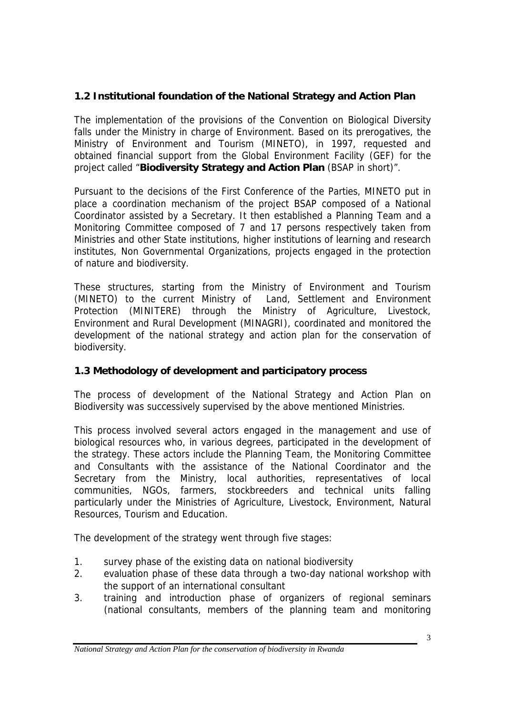# **1.2 Institutional foundation of the National Strategy and Action Plan**

The implementation of the provisions of the Convention on Biological Diversity falls under the Ministry in charge of Environment. Based on its prerogatives, the Ministry of Environment and Tourism (MINETO), in 1997, requested and obtained financial support from the Global Environment Facility (GEF) for the project called "**Biodiversity Strategy and Action Plan** (BSAP in short)".

Pursuant to the decisions of the First Conference of the Parties, MINETO put in place a coordination mechanism of the project BSAP composed of a National Coordinator assisted by a Secretary. It then established a Planning Team and a Monitoring Committee composed of 7 and 17 persons respectively taken from Ministries and other State institutions, higher institutions of learning and research institutes, Non Governmental Organizations, projects engaged in the protection of nature and biodiversity.

These structures, starting from the Ministry of Environment and Tourism (MINETO) to the current Ministry of Land, Settlement and Environment Protection (MINITERE) through the Ministry of Agriculture, Livestock, Environment and Rural Development (MINAGRI), coordinated and monitored the development of the national strategy and action plan for the conservation of biodiversity.

### **1.3 Methodology of development and participatory process**

The process of development of the National Strategy and Action Plan on Biodiversity was successively supervised by the above mentioned Ministries.

This process involved several actors engaged in the management and use of biological resources who, in various degrees, participated in the development of the strategy. These actors include the Planning Team, the Monitoring Committee and Consultants with the assistance of the National Coordinator and the Secretary from the Ministry, local authorities, representatives of local communities, NGOs, farmers, stockbreeders and technical units falling particularly under the Ministries of Agriculture, Livestock, Environment, Natural Resources, Tourism and Education.

The development of the strategy went through five stages:

- 1. survey phase of the existing data on national biodiversity
- 2. evaluation phase of these data through a two-day national workshop with the support of an international consultant
- 3. training and introduction phase of organizers of regional seminars (national consultants, members of the planning team and monitoring

*National Strategy and Action Plan for the conservation of biodiversity in Rwanda*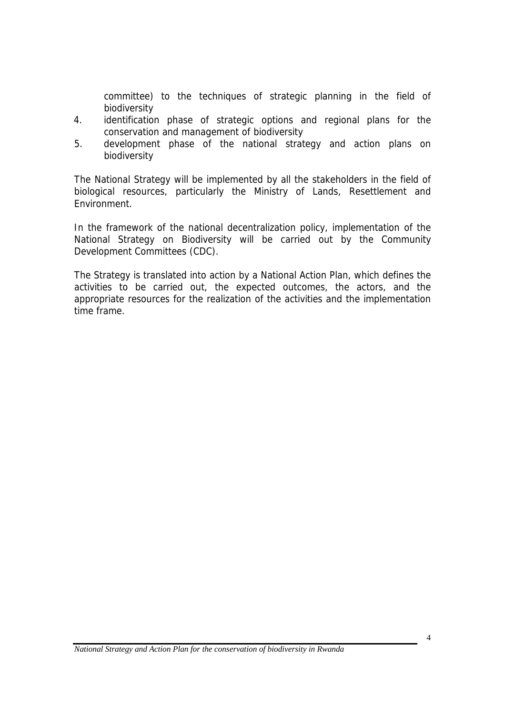committee) to the techniques of strategic planning in the field of biodiversity

- 4. identification phase of strategic options and regional plans for the conservation and management of biodiversity
- 5. development phase of the national strategy and action plans on biodiversity

The National Strategy will be implemented by all the stakeholders in the field of biological resources, particularly the Ministry of Lands, Resettlement and Environment.

In the framework of the national decentralization policy, implementation of the National Strategy on Biodiversity will be carried out by the Community Development Committees (CDC).

The Strategy is translated into action by a National Action Plan, which defines the activities to be carried out, the expected outcomes, the actors, and the appropriate resources for the realization of the activities and the implementation time frame.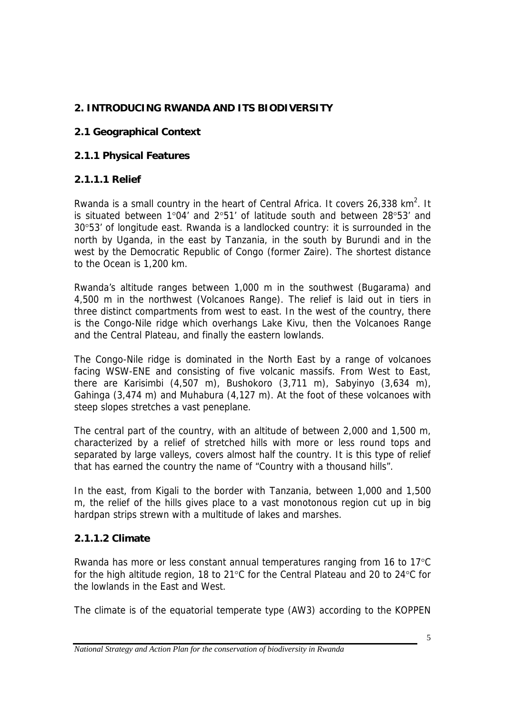# **2. INTRODUCING RWANDA AND ITS BIODIVERSITY**

# **2.1 Geographical Context**

### **2.1.1 Physical Features**

### **2.1.1.1 Relief**

Rwanda is a small country in the heart of Central Africa. It covers 26,338  $km^2$ . It is situated between 1°04' and 2°51' of latitude south and between 28°53' and 30°53' of longitude east. Rwanda is a landlocked country: it is surrounded in the north by Uganda, in the east by Tanzania, in the south by Burundi and in the west by the Democratic Republic of Congo (former Zaire). The shortest distance to the Ocean is 1,200 km.

Rwanda's altitude ranges between 1,000 m in the southwest (Bugarama) and 4,500 m in the northwest (Volcanoes Range). The relief is laid out in tiers in three distinct compartments from west to east. In the west of the country, there is the Congo-Nile ridge which overhangs Lake Kivu, then the Volcanoes Range and the Central Plateau, and finally the eastern lowlands.

The Congo-Nile ridge is dominated in the North East by a range of volcanoes facing WSW-ENE and consisting of five volcanic massifs. From West to East, there are Karisimbi (4,507 m), Bushokoro (3,711 m), Sabyinyo (3,634 m), Gahinga (3,474 m) and Muhabura (4,127 m). At the foot of these volcanoes with steep slopes stretches a vast peneplane.

The central part of the country, with an altitude of between 2,000 and 1,500 m, characterized by a relief of stretched hills with more or less round tops and separated by large valleys, covers almost half the country. It is this type of relief that has earned the country the name of "Country with a thousand hills".

In the east, from Kigali to the border with Tanzania, between 1,000 and 1,500 m, the relief of the hills gives place to a vast monotonous region cut up in big hardpan strips strewn with a multitude of lakes and marshes.

### **2.1.1.2 Climate**

Rwanda has more or less constant annual temperatures ranging from 16 to 17°C for the high altitude region, 18 to 21°C for the Central Plateau and 20 to 24°C for the lowlands in the East and West.

The climate is of the equatorial temperate type (AW3) according to the KOPPEN

*National Strategy and Action Plan for the conservation of biodiversity in Rwanda*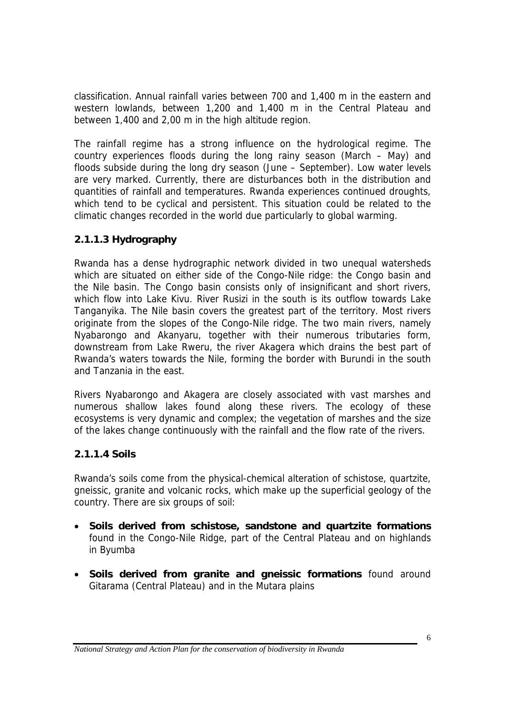classification. Annual rainfall varies between 700 and 1,400 m in the eastern and western lowlands, between 1,200 and 1,400 m in the Central Plateau and between 1,400 and 2,00 m in the high altitude region.

The rainfall regime has a strong influence on the hydrological regime. The country experiences floods during the long rainy season (March – May) and floods subside during the long dry season (June – September). Low water levels are very marked. Currently, there are disturbances both in the distribution and quantities of rainfall and temperatures. Rwanda experiences continued droughts, which tend to be cyclical and persistent. This situation could be related to the climatic changes recorded in the world due particularly to global warming.

### **2.1.1.3 Hydrography**

Rwanda has a dense hydrographic network divided in two unequal watersheds which are situated on either side of the Congo-Nile ridge: the Congo basin and the Nile basin. The Congo basin consists only of insignificant and short rivers, which flow into Lake Kivu. River Rusizi in the south is its outflow towards Lake Tanganyika. The Nile basin covers the greatest part of the territory. Most rivers originate from the slopes of the Congo-Nile ridge. The two main rivers, namely Nyabarongo and Akanyaru, together with their numerous tributaries form, downstream from Lake Rweru, the river Akagera which drains the best part of Rwanda's waters towards the Nile, forming the border with Burundi in the south and Tanzania in the east.

Rivers Nyabarongo and Akagera are closely associated with vast marshes and numerous shallow lakes found along these rivers. The ecology of these ecosystems is very dynamic and complex; the vegetation of marshes and the size of the lakes change continuously with the rainfall and the flow rate of the rivers.

### **2.1.1.4 Soils**

Rwanda's soils come from the physical-chemical alteration of schistose, quartzite, gneissic, granite and volcanic rocks, which make up the superficial geology of the country. There are six groups of soil:

- **Soils derived from schistose, sandstone and quartzite formations** found in the Congo-Nile Ridge, part of the Central Plateau and on highlands in Byumba
- **Soils derived from granite and gneissic formations** found around Gitarama (Central Plateau) and in the Mutara plains

*National Strategy and Action Plan for the conservation of biodiversity in Rwanda*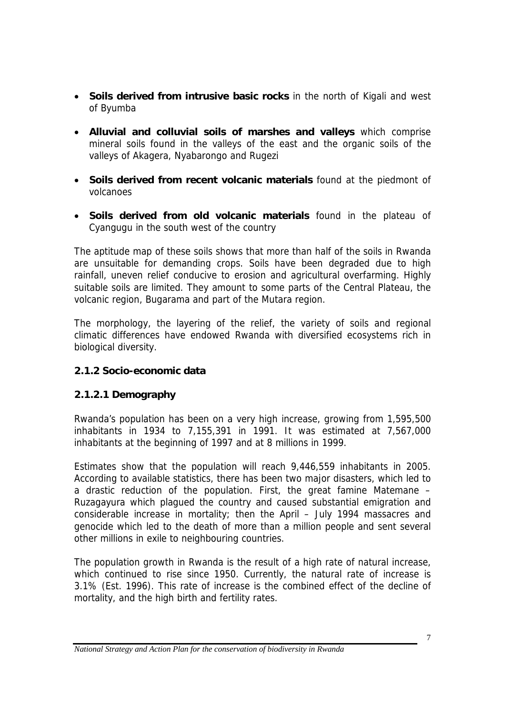- **Soils derived from intrusive basic rocks** in the north of Kigali and west of Byumba
- **Alluvial and colluvial soils of marshes and valleys** which comprise mineral soils found in the valleys of the east and the organic soils of the valleys of Akagera, Nyabarongo and Rugezi
- **Soils derived from recent volcanic materials** found at the piedmont of volcanoes
- **Soils derived from old volcanic materials** found in the plateau of Cyangugu in the south west of the country

The aptitude map of these soils shows that more than half of the soils in Rwanda are unsuitable for demanding crops. Soils have been degraded due to high rainfall, uneven relief conducive to erosion and agricultural overfarming. Highly suitable soils are limited. They amount to some parts of the Central Plateau, the volcanic region, Bugarama and part of the Mutara region.

The morphology, the layering of the relief, the variety of soils and regional climatic differences have endowed Rwanda with diversified ecosystems rich in biological diversity.

### **2.1.2 Socio-economic data**

### **2.1.2.1 Demography**

Rwanda's population has been on a very high increase, growing from 1,595,500 inhabitants in 1934 to 7,155,391 in 1991. It was estimated at 7,567,000 inhabitants at the beginning of 1997 and at 8 millions in 1999.

Estimates show that the population will reach 9,446,559 inhabitants in 2005. According to available statistics, there has been two major disasters, which led to a drastic reduction of the population. First, the great famine Matemane – Ruzagayura which plagued the country and caused substantial emigration and considerable increase in mortality; then the April – July 1994 massacres and genocide which led to the death of more than a million people and sent several other millions in exile to neighbouring countries.

The population growth in Rwanda is the result of a high rate of natural increase, which continued to rise since 1950. Currently, the natural rate of increase is 3.1% (Est. 1996). This rate of increase is the combined effect of the decline of mortality, and the high birth and fertility rates.

*National Strategy and Action Plan for the conservation of biodiversity in Rwanda*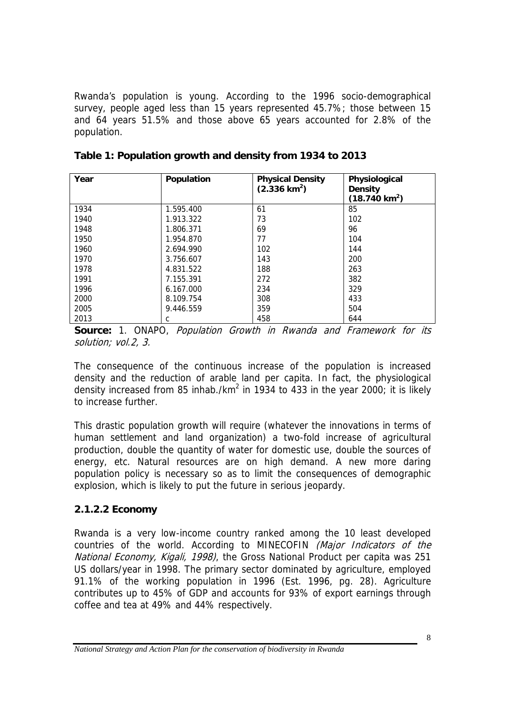Rwanda's population is young. According to the 1996 socio-demographical survey, people aged less than 15 years represented 45.7%; those between 15 and 64 years 51.5% and those above 65 years accounted for 2.8% of the population.

| Year | Population | <b>Physical Density</b><br>$(2.336 \text{ km}^2)$ | Physiological<br><b>Density</b><br>$(18.740 \text{ km}^2)$ |
|------|------------|---------------------------------------------------|------------------------------------------------------------|
| 1934 | 1.595.400  | 61                                                | 85                                                         |
| 1940 | 1.913.322  | 73                                                | 102                                                        |
| 1948 | 1.806.371  | 69                                                | 96                                                         |
| 1950 | 1.954.870  | 77                                                | 104                                                        |
| 1960 | 2.694.990  | 102                                               | 144                                                        |
| 1970 | 3.756.607  | 143                                               | 200                                                        |
| 1978 | 4.831.522  | 188                                               | 263                                                        |
| 1991 | 7.155.391  | 272                                               | 382                                                        |
| 1996 | 6.167.000  | 234                                               | 329                                                        |
| 2000 | 8.109.754  | 308                                               | 433                                                        |
| 2005 | 9.446.559  | 359                                               | 504                                                        |
| 2013 | С          | 458                                               | 644                                                        |

|  |  | Table 1: Population growth and density from 1934 to 2013 |
|--|--|----------------------------------------------------------|
|--|--|----------------------------------------------------------|

**Source:** 1. ONAPO, Population Growth in Rwanda and Framework for its solution; vol.2, 3.

The consequence of the continuous increase of the population is increased density and the reduction of arable land per capita. In fact, the physiological density increased from 85 inhab./km<sup>2</sup> in 1934 to 433 in the year 2000; it is likely to increase further.

This drastic population growth will require (whatever the innovations in terms of human settlement and land organization) a two-fold increase of agricultural production, double the quantity of water for domestic use, double the sources of energy, etc. Natural resources are on high demand. A new more daring population policy is necessary so as to limit the consequences of demographic explosion, which is likely to put the future in serious jeopardy.

### **2.1.2.2 Economy**

Rwanda is a very low-income country ranked among the 10 least developed countries of the world. According to MINECOFIN (Major Indicators of the National Economy, Kigali, 1998), the Gross National Product per capita was 251 US dollars/year in 1998. The primary sector dominated by agriculture, employed 91.1% of the working population in 1996 (Est. 1996, pg. 28). Agriculture contributes up to 45% of GDP and accounts for 93% of export earnings through coffee and tea at 49% and 44% respectively.

*National Strategy and Action Plan for the conservation of biodiversity in Rwanda*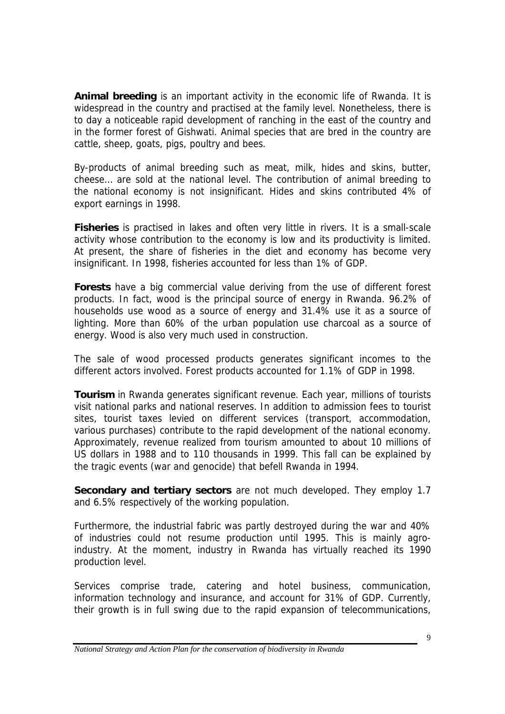**Animal breeding** is an important activity in the economic life of Rwanda. It is widespread in the country and practised at the family level. Nonetheless, there is to day a noticeable rapid development of ranching in the east of the country and in the former forest of Gishwati. Animal species that are bred in the country are cattle, sheep, goats, pigs, poultry and bees.

By-products of animal breeding such as meat, milk, hides and skins, butter, cheese… are sold at the national level. The contribution of animal breeding to the national economy is not insignificant. Hides and skins contributed 4% of export earnings in 1998.

**Fisheries** is practised in lakes and often very little in rivers. It is a small-scale activity whose contribution to the economy is low and its productivity is limited. At present, the share of fisheries in the diet and economy has become very insignificant. In 1998, fisheries accounted for less than 1% of GDP.

**Forests** have a big commercial value deriving from the use of different forest products. In fact, wood is the principal source of energy in Rwanda. 96.2% of households use wood as a source of energy and 31.4% use it as a source of lighting. More than 60% of the urban population use charcoal as a source of energy. Wood is also very much used in construction.

The sale of wood processed products generates significant incomes to the different actors involved. Forest products accounted for 1.1% of GDP in 1998.

**Tourism** in Rwanda generates significant revenue. Each year, millions of tourists visit national parks and national reserves. In addition to admission fees to tourist sites, tourist taxes levied on different services (transport, accommodation, various purchases) contribute to the rapid development of the national economy. Approximately, revenue realized from tourism amounted to about 10 millions of US dollars in 1988 and to 110 thousands in 1999. This fall can be explained by the tragic events (war and genocide) that befell Rwanda in 1994.

**Secondary and tertiary sectors** are not much developed. They employ 1.7 and 6.5% respectively of the working population.

Furthermore, the industrial fabric was partly destroyed during the war and 40% of industries could not resume production until 1995. This is mainly agroindustry. At the moment, industry in Rwanda has virtually reached its 1990 production level.

Services comprise trade, catering and hotel business, communication, information technology and insurance, and account for 31% of GDP. Currently, their growth is in full swing due to the rapid expansion of telecommunications,

*National Strategy and Action Plan for the conservation of biodiversity in Rwanda*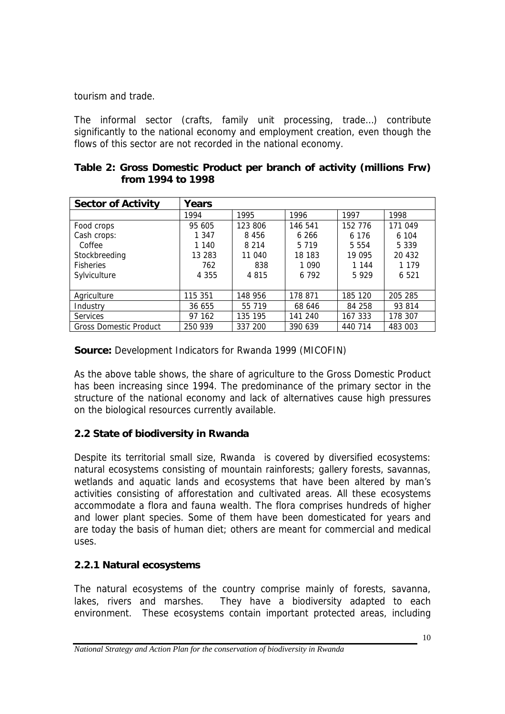tourism and trade.

The informal sector (crafts, family unit processing, trade…) contribute significantly to the national economy and employment creation, even though the flows of this sector are not recorded in the national economy.

|  | Table 2: Gross Domestic Product per branch of activity (millions Frw) |  |  |  |  |
|--|-----------------------------------------------------------------------|--|--|--|--|
|  | from 1994 to 1998                                                     |  |  |  |  |

| <b>Sector of Activity</b>     | Years   |         |         |         |         |
|-------------------------------|---------|---------|---------|---------|---------|
|                               | 1994    | 1995    | 1996    | 1997    | 1998    |
| Food crops                    | 95 605  | 123 806 | 146 541 | 152 776 | 171 049 |
| Cash crops:                   | 1 3 4 7 | 8 4 5 6 | 6 266   | 6 1 7 6 | 6 104   |
| Coffee                        | 1 140   | 8 2 1 4 | 5 7 1 9 | 5 5 5 4 | 5 3 3 9 |
| Stockbreeding                 | 13 283  | 11 040  | 18 183  | 19 095  | 20 432  |
| <b>Fisheries</b>              | 762     | 838     | 1 0 9 0 | 1 144   | 1 1 7 9 |
| Sylviculture                  | 4 3 5 5 | 4815    | 6 7 9 2 | 5929    | 6 5 21  |
|                               |         |         |         |         |         |
| Agriculture                   | 115 351 | 148 956 | 178 871 | 185 120 | 205 285 |
| Industry                      | 36 655  | 55 719  | 68 646  | 84 258  | 93 814  |
| <b>Services</b>               | 97 162  | 135 195 | 141 240 | 167 333 | 178 307 |
| <b>Gross Domestic Product</b> | 250 939 | 337 200 | 390 639 | 440 714 | 483 003 |

**Source:** Development Indicators for Rwanda 1999 (MICOFIN)

As the above table shows, the share of agriculture to the Gross Domestic Product has been increasing since 1994. The predominance of the primary sector in the structure of the national economy and lack of alternatives cause high pressures on the biological resources currently available.

### **2.2 State of biodiversity in Rwanda**

Despite its territorial small size, Rwanda is covered by diversified ecosystems: natural ecosystems consisting of mountain rainforests; gallery forests, savannas, wetlands and aquatic lands and ecosystems that have been altered by man's activities consisting of afforestation and cultivated areas. All these ecosystems accommodate a flora and fauna wealth. The flora comprises hundreds of higher and lower plant species. Some of them have been domesticated for years and are today the basis of human diet; others are meant for commercial and medical uses.

# **2.2.1 Natural ecosystems**

The natural ecosystems of the country comprise mainly of forests, savanna, lakes, rivers and marshes. They have a biodiversity adapted to each environment. These ecosystems contain important protected areas, including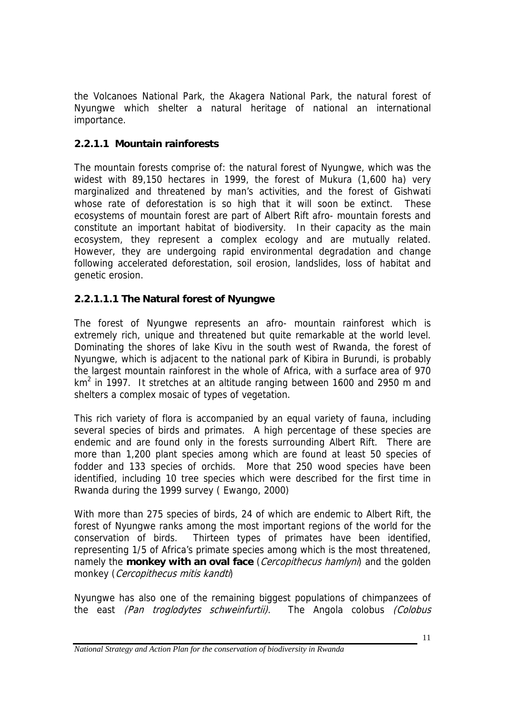the Volcanoes National Park, the Akagera National Park, the natural forest of Nyungwe which shelter a natural heritage of national an international importance.

# **2.2.1.1 Mountain rainforests**

The mountain forests comprise of: the natural forest of Nyungwe, which was the widest with 89,150 hectares in 1999, the forest of Mukura (1,600 ha) very marginalized and threatened by man's activities, and the forest of Gishwati whose rate of deforestation is so high that it will soon be extinct. These ecosystems of mountain forest are part of Albert Rift afro- mountain forests and constitute an important habitat of biodiversity. In their capacity as the main ecosystem, they represent a complex ecology and are mutually related. However, they are undergoing rapid environmental degradation and change following accelerated deforestation, soil erosion, landslides, loss of habitat and genetic erosion.

# **2.2.1.1.1 The Natural forest of Nyungwe**

The forest of Nyungwe represents an afro- mountain rainforest which is extremely rich, unique and threatened but quite remarkable at the world level. Dominating the shores of lake Kivu in the south west of Rwanda, the forest of Nyungwe, which is adjacent to the national park of Kibira in Burundi, is probably the largest mountain rainforest in the whole of Africa, with a surface area of 970  $km<sup>2</sup>$  in 1997. It stretches at an altitude ranging between 1600 and 2950 m and shelters a complex mosaic of types of vegetation.

This rich variety of flora is accompanied by an equal variety of fauna, including several species of birds and primates. A high percentage of these species are endemic and are found only in the forests surrounding Albert Rift. There are more than 1,200 plant species among which are found at least 50 species of fodder and 133 species of orchids. More that 250 wood species have been identified, including 10 tree species which were described for the first time in Rwanda during the 1999 survey ( Ewango, 2000)

With more than 275 species of birds, 24 of which are endemic to Albert Rift, the forest of Nyungwe ranks among the most important regions of the world for the conservation of birds. Thirteen types of primates have been identified, representing 1/5 of Africa's primate species among which is the most threatened, namely the **monkey with an oval face** (*Cercopithecus hamlyni*) and the golden monkey (*Cercopithecus mitis kandti*)

Nyungwe has also one of the remaining biggest populations of chimpanzees of the east (Pan troglodytes schweinfurtii). The Angola colobus (Colobus

*National Strategy and Action Plan for the conservation of biodiversity in Rwanda*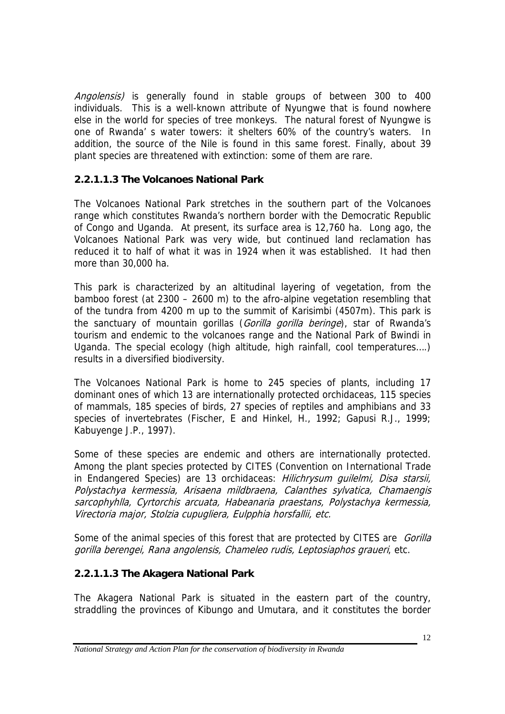Angolensis) is generally found in stable groups of between 300 to 400 individuals. This is a well-known attribute of Nyungwe that is found nowhere else in the world for species of tree monkeys. The natural forest of Nyungwe is one of Rwanda' s water towers: it shelters 60% of the country's waters. In addition, the source of the Nile is found in this same forest. Finally, about 39 plant species are threatened with extinction: some of them are rare.

### **2.2.1.1.3 The Volcanoes National Park**

The Volcanoes National Park stretches in the southern part of the Volcanoes range which constitutes Rwanda's northern border with the Democratic Republic of Congo and Uganda. At present, its surface area is 12,760 ha. Long ago, the Volcanoes National Park was very wide, but continued land reclamation has reduced it to half of what it was in 1924 when it was established. It had then more than 30,000 ha.

This park is characterized by an altitudinal layering of vegetation, from the bamboo forest (at 2300 – 2600 m) to the afro-alpine vegetation resembling that of the tundra from 4200 m up to the summit of Karisimbi (4507m). This park is the sanctuary of mountain gorillas (Gorilla gorilla beringe), star of Rwanda's tourism and endemic to the volcanoes range and the National Park of Bwindi in Uganda. The special ecology (high altitude, high rainfall, cool temperatures….) results in a diversified biodiversity.

The Volcanoes National Park is home to 245 species of plants, including 17 dominant ones of which 13 are internationally protected orchidaceas, 115 species of mammals, 185 species of birds, 27 species of reptiles and amphibians and 33 species of invertebrates (Fischer, E and Hinkel, H., 1992; Gapusi R.J., 1999; Kabuyenge J.P., 1997).

Some of these species are endemic and others are internationally protected. Among the plant species protected by CITES (Convention on International Trade in Endangered Species) are 13 orchidaceas: Hilichrysum quilelmi, Disa starsii, Polystachya kermessia, Arisaena mildbraena, Calanthes sylvatica, Chamaengis sarcophyhlla, Cyrtorchis arcuata, Habeanaria praestans, Polystachya kermessia, Virectoria major, Stolzia cupugliera, Eulpphia horsfallii, etc.

Some of the animal species of this forest that are protected by CITES are Gorilla gorilla berengei, Rana angolensis, Chameleo rudis, Leptosiaphos graueri, etc.

### **2.2.1.1.3 The Akagera National Park**

The Akagera National Park is situated in the eastern part of the country, straddling the provinces of Kibungo and Umutara, and it constitutes the border

*National Strategy and Action Plan for the conservation of biodiversity in Rwanda*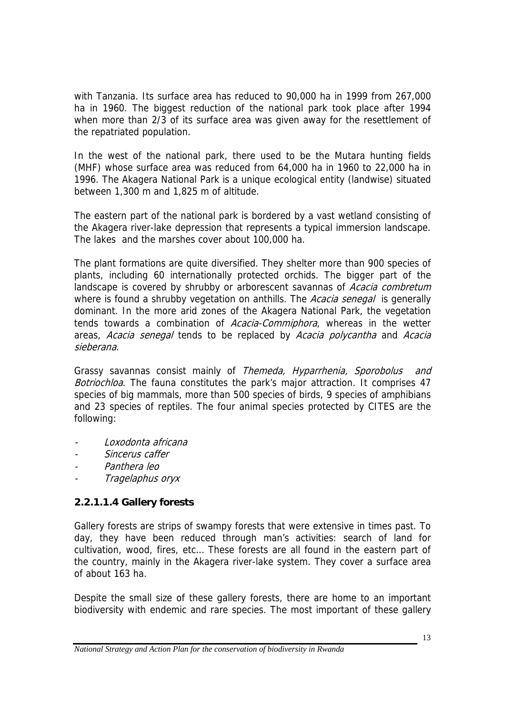with Tanzania. Its surface area has reduced to 90,000 ha in 1999 from 267,000 ha in 1960. The biggest reduction of the national park took place after 1994 when more than 2/3 of its surface area was given away for the resettlement of the repatriated population.

In the west of the national park, there used to be the Mutara hunting fields (MHF) whose surface area was reduced from 64,000 ha in 1960 to 22,000 ha in 1996. The Akagera National Park is a unique ecological entity (landwise) situated between 1,300 m and 1,825 m of altitude.

The eastern part of the national park is bordered by a vast wetland consisting of the Akagera river-lake depression that represents a typical immersion landscape. The lakes and the marshes cover about 100,000 ha.

The plant formations are quite diversified. They shelter more than 900 species of plants, including 60 internationally protected orchids. The bigger part of the landscape is covered by shrubby or arborescent savannas of *Acacia combretum* where is found a shrubby vegetation on anthills. The Acacia senegal is generally dominant. In the more arid zones of the Akagera National Park, the vegetation tends towards a combination of Acacia-Commiphora, whereas in the wetter areas, Acacia senegal tends to be replaced by Acacia polycantha and Acacia sieberana.

Grassy savannas consist mainly of Themeda, Hyparrhenia, Sporobolus and Botriochloa. The fauna constitutes the park's major attraction. It comprises 47 species of big mammals, more than 500 species of birds, 9 species of amphibians and 23 species of reptiles. The four animal species protected by CITES are the following:

- Loxodonta africana
- Sincerus caffer
- Panthera leo
- Tragelaphus oryx

# **2.2.1.1.4 Gallery forests**

Gallery forests are strips of swampy forests that were extensive in times past. To day, they have been reduced through man's activities: search of land for cultivation, wood, fires, etc… These forests are all found in the eastern part of the country, mainly in the Akagera river-lake system. They cover a surface area of about 163 ha.

Despite the small size of these gallery forests, there are home to an important biodiversity with endemic and rare species. The most important of these gallery

*National Strategy and Action Plan for the conservation of biodiversity in Rwanda*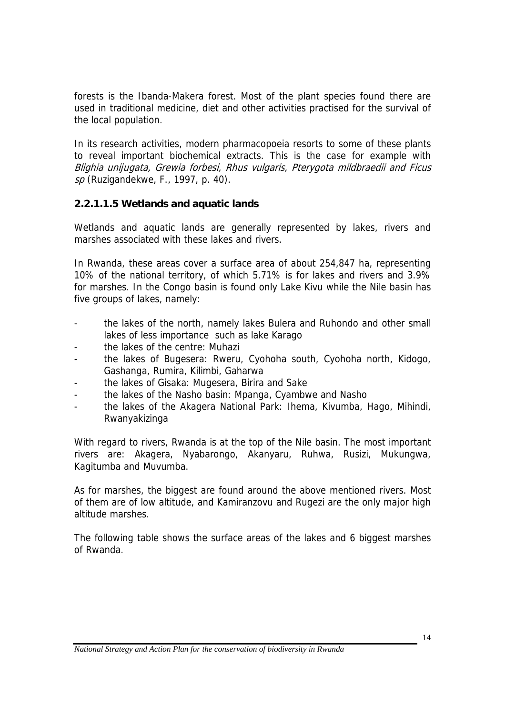forests is the Ibanda-Makera forest. Most of the plant species found there are used in traditional medicine, diet and other activities practised for the survival of the local population.

In its research activities, modern pharmacopoeia resorts to some of these plants to reveal important biochemical extracts. This is the case for example with Blighia unijugata, Grewia forbesi, Rhus vulgaris, Pterygota mildbraedii and Ficus sp (Ruzigandekwe, F., 1997, p. 40).

### **2.2.1.1.5 Wetlands and aquatic lands**

Wetlands and aquatic lands are generally represented by lakes, rivers and marshes associated with these lakes and rivers.

In Rwanda, these areas cover a surface area of about 254,847 ha, representing 10% of the national territory, of which 5.71% is for lakes and rivers and 3.9% for marshes. In the Congo basin is found only Lake Kivu while the Nile basin has five groups of lakes, namely:

- the lakes of the north, namely lakes Bulera and Ruhondo and other small lakes of less importance such as lake Karago
- the lakes of the centre: Muhazi
- the lakes of Bugesera: Rweru, Cyohoha south, Cyohoha north, Kidogo, Gashanga, Rumira, Kilimbi, Gaharwa
- the lakes of Gisaka: Mugesera, Birira and Sake
- the lakes of the Nasho basin: Mpanga, Cyambwe and Nasho
- the lakes of the Akagera National Park: Ihema, Kivumba, Hago, Mihindi, Rwanyakizinga

With regard to rivers, Rwanda is at the top of the Nile basin. The most important rivers are: Akagera, Nyabarongo, Akanyaru, Ruhwa, Rusizi, Mukungwa, Kagitumba and Muvumba.

As for marshes, the biggest are found around the above mentioned rivers. Most of them are of low altitude, and Kamiranzovu and Rugezi are the only major high altitude marshes.

The following table shows the surface areas of the lakes and 6 biggest marshes of Rwanda.

*National Strategy and Action Plan for the conservation of biodiversity in Rwanda*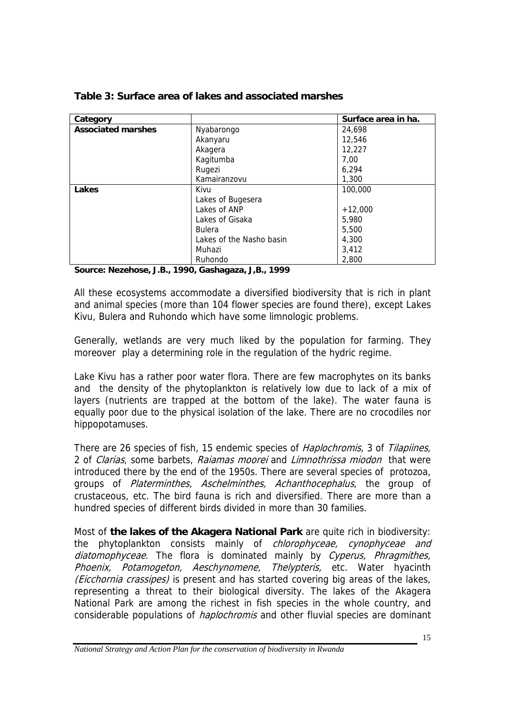| Category                  |                          | Surface area in ha. |
|---------------------------|--------------------------|---------------------|
| <b>Associated marshes</b> | Nyabarongo               | 24,698              |
|                           | Akanyaru                 | 12,546              |
|                           | Akagera                  | 12,227              |
|                           | Kagitumba                | 7,00                |
|                           | Rugezi                   | 6,294               |
|                           | Kamairanzovu             | 1,300               |
| Lakes                     | Kivu                     | 100,000             |
|                           | Lakes of Bugesera        |                     |
|                           | Lakes of ANP             | $+12,000$           |
|                           | Lakes of Gisaka          | 5,980               |
|                           | <b>Bulera</b>            | 5,500               |
|                           | Lakes of the Nasho basin | 4,300               |
|                           | Muhazi                   | 3,412               |
|                           | Ruhondo                  | 2,800               |

#### **Table 3: Surface area of lakes and associated marshes**

**Source: Nezehose, J.B., 1990, Gashagaza, J,B., 1999** 

All these ecosystems accommodate a diversified biodiversity that is rich in plant and animal species (more than 104 flower species are found there), except Lakes Kivu, Bulera and Ruhondo which have some limnologic problems.

Generally, wetlands are very much liked by the population for farming. They moreover play a determining role in the regulation of the hydric regime.

Lake Kivu has a rather poor water flora. There are few macrophytes on its banks and the density of the phytoplankton is relatively low due to lack of a mix of layers (nutrients are trapped at the bottom of the lake). The water fauna is equally poor due to the physical isolation of the lake. There are no crocodiles nor hippopotamuses.

There are 26 species of fish, 15 endemic species of *Haplochromis*, 3 of *Tilapiines*, 2 of *Clarias*, some barbets, *Raiamas moorei* and *Limnothrissa miodon* that were introduced there by the end of the 1950s. There are several species of protozoa, groups of Platerminthes, Aschelminthes, Achanthocephalus, the group of crustaceous, etc. The bird fauna is rich and diversified. There are more than a hundred species of different birds divided in more than 30 families.

Most of **the lakes of the Akagera National Park** are quite rich in biodiversity: the phytoplankton consists mainly of *chlorophyceae, cynophyceae and* diatomophyceae. The flora is dominated mainly by Cyperus, Phragmithes, Phoenix, Potamogeton, Aeschynomene, Thelypteris, etc. Water hyacinth (*Eicchornia crassipes*) is present and has started covering big areas of the lakes, representing a threat to their biological diversity. The lakes of the Akagera National Park are among the richest in fish species in the whole country, and considerable populations of *haplochromis* and other fluvial species are dominant

*National Strategy and Action Plan for the conservation of biodiversity in Rwanda*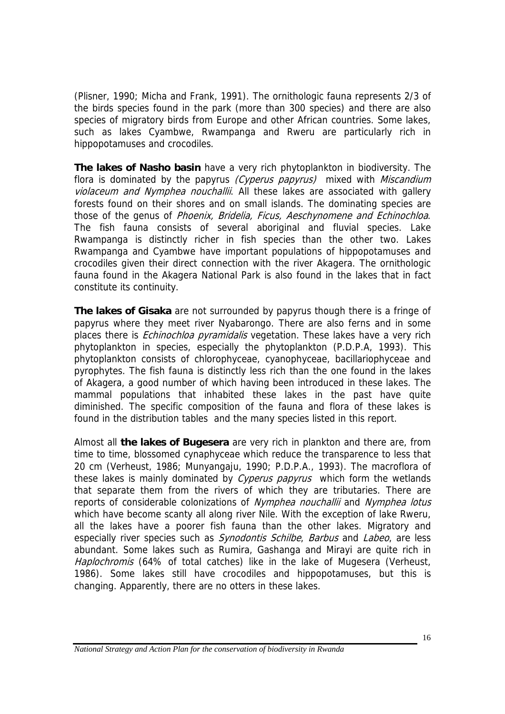(Plisner, 1990; Micha and Frank, 1991). The ornithologic fauna represents 2/3 of the birds species found in the park (more than 300 species) and there are also species of migratory birds from Europe and other African countries. Some lakes, such as lakes Cyambwe, Rwampanga and Rweru are particularly rich in hippopotamuses and crocodiles.

**The lakes of Nasho basin** have a very rich phytoplankton in biodiversity. The flora is dominated by the papyrus (Cyperus papyrus) mixed with Miscandium violaceum and Nymphea nouchallii. All these lakes are associated with gallery forests found on their shores and on small islands. The dominating species are those of the genus of Phoenix, Bridelia, Ficus, Aeschynomene and Echinochloa. The fish fauna consists of several aboriginal and fluvial species. Lake Rwampanga is distinctly richer in fish species than the other two. Lakes Rwampanga and Cyambwe have important populations of hippopotamuses and crocodiles given their direct connection with the river Akagera. The ornithologic fauna found in the Akagera National Park is also found in the lakes that in fact constitute its continuity.

**The lakes of Gisaka** are not surrounded by papyrus though there is a fringe of papyrus where they meet river Nyabarongo. There are also ferns and in some places there is *Echinochloa pyramidalis* vegetation. These lakes have a very rich phytoplankton in species, especially the phytoplankton (P.D.P.A, 1993). This phytoplankton consists of chlorophyceae, cyanophyceae, bacillariophyceae and pyrophytes. The fish fauna is distinctly less rich than the one found in the lakes of Akagera, a good number of which having been introduced in these lakes. The mammal populations that inhabited these lakes in the past have quite diminished. The specific composition of the fauna and flora of these lakes is found in the distribution tables and the many species listed in this report.

Almost all **the lakes of Bugesera** are very rich in plankton and there are, from time to time, blossomed cynaphyceae which reduce the transparence to less that 20 cm (Verheust, 1986; Munyangaju, 1990; P.D.P.A., 1993). The macroflora of these lakes is mainly dominated by *Cyperus papyrus* which form the wetlands that separate them from the rivers of which they are tributaries. There are reports of considerable colonizations of Nymphea nouchallii and Nymphea lotus which have become scanty all along river Nile. With the exception of lake Rweru, all the lakes have a poorer fish fauna than the other lakes. Migratory and especially river species such as *Synodontis Schilbe, Barbus* and *Labeo*, are less abundant. Some lakes such as Rumira, Gashanga and Mirayi are quite rich in Haplochromis (64% of total catches) like in the lake of Mugesera (Verheust, 1986). Some lakes still have crocodiles and hippopotamuses, but this is changing. Apparently, there are no otters in these lakes.

*National Strategy and Action Plan for the conservation of biodiversity in Rwanda*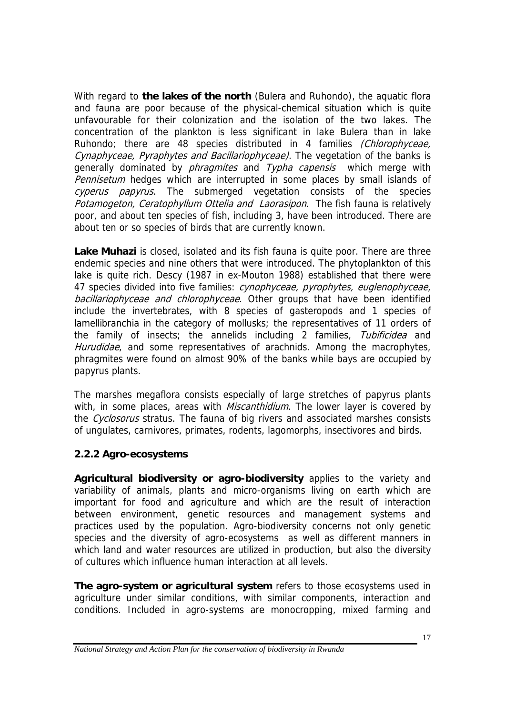With regard to **the lakes of the north** (Bulera and Ruhondo), the aquatic flora and fauna are poor because of the physical-chemical situation which is quite unfavourable for their colonization and the isolation of the two lakes. The concentration of the plankton is less significant in lake Bulera than in lake Ruhondo; there are 48 species distributed in 4 families (Chlorophyceae, Cynaphyceae, Pyraphytes and Bacillariophyceae). The vegetation of the banks is generally dominated by *phragmites* and Typha capensis which merge with Pennisetum hedges which are interrupted in some places by small islands of cyperus papyrus. The submerged vegetation consists of the species Potamogeton, Ceratophyllum Ottelia and Laorasipon. The fish fauna is relatively poor, and about ten species of fish, including 3, have been introduced. There are about ten or so species of birds that are currently known.

**Lake Muhazi** is closed, isolated and its fish fauna is quite poor. There are three endemic species and nine others that were introduced. The phytoplankton of this lake is quite rich. Descy (1987 in ex-Mouton 1988) established that there were 47 species divided into five families: *cynophyceae, pyrophytes, euglenophyceae,* bacillariophyceae and chlorophyceae. Other groups that have been identified include the invertebrates, with 8 species of gasteropods and 1 species of lamellibranchia in the category of mollusks; the representatives of 11 orders of the family of insects; the annelids including 2 families, Tubificidea and Hurudidae, and some representatives of arachnids. Among the macrophytes, phragmites were found on almost 90% of the banks while bays are occupied by papyrus plants.

The marshes megaflora consists especially of large stretches of papyrus plants with, in some places, areas with *Miscanthidium*. The lower layer is covered by the *Cyclosorus* stratus. The fauna of big rivers and associated marshes consists of ungulates, carnivores, primates, rodents, lagomorphs, insectivores and birds.

### **2.2.2 Agro-ecosystems**

**Agricultural biodiversity or agro-biodiversity** applies to the variety and variability of animals, plants and micro-organisms living on earth which are important for food and agriculture and which are the result of interaction between environment, genetic resources and management systems and practices used by the population. Agro-biodiversity concerns not only genetic species and the diversity of agro-ecosystems as well as different manners in which land and water resources are utilized in production, but also the diversity of cultures which influence human interaction at all levels.

**The agro-system or agricultural system** refers to those ecosystems used in agriculture under similar conditions, with similar components, interaction and conditions. Included in agro-systems are monocropping, mixed farming and

*National Strategy and Action Plan for the conservation of biodiversity in Rwanda*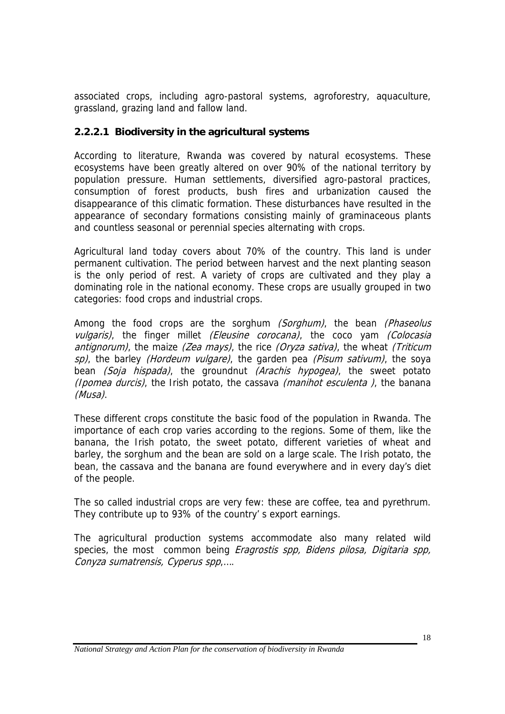associated crops, including agro-pastoral systems, agroforestry, aquaculture, grassland, grazing land and fallow land.

### **2.2.2.1 Biodiversity in the agricultural systems**

According to literature, Rwanda was covered by natural ecosystems. These ecosystems have been greatly altered on over 90% of the national territory by population pressure. Human settlements, diversified agro-pastoral practices, consumption of forest products, bush fires and urbanization caused the disappearance of this climatic formation. These disturbances have resulted in the appearance of secondary formations consisting mainly of graminaceous plants and countless seasonal or perennial species alternating with crops.

Agricultural land today covers about 70% of the country. This land is under permanent cultivation. The period between harvest and the next planting season is the only period of rest. A variety of crops are cultivated and they play a dominating role in the national economy. These crops are usually grouped in two categories: food crops and industrial crops.

Among the food crops are the sorghum (Sorghum), the bean (Phaseolus vulgaris), the finger millet *(Eleusine corocana)*, the coco vam *(Colocasia* antignorum), the maize (Zea mays), the rice (Oryza sativa), the wheat (Triticum sp), the barley (Hordeum vulgare), the garden pea (Pisum sativum), the soya bean (Soja hispada), the groundnut (Arachis hypogea), the sweet potato (Ipomea durcis), the Irish potato, the cassava (manihot esculenta), the banana (Musa).

These different crops constitute the basic food of the population in Rwanda. The importance of each crop varies according to the regions. Some of them, like the banana, the Irish potato, the sweet potato, different varieties of wheat and barley, the sorghum and the bean are sold on a large scale. The Irish potato, the bean, the cassava and the banana are found everywhere and in every day's diet of the people.

The so called industrial crops are very few: these are coffee, tea and pyrethrum. They contribute up to 93% of the country' s export earnings.

The agricultural production systems accommodate also many related wild species, the most common being *Eragrostis spp, Bidens pilosa, Digitaria spp,* Conyza sumatrensis, Cyperus spp,….

*National Strategy and Action Plan for the conservation of biodiversity in Rwanda*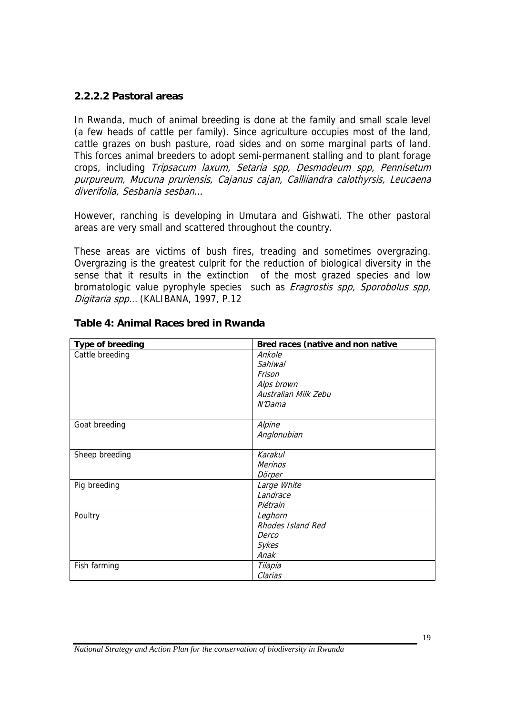#### **2.2.2.2 Pastoral areas**

In Rwanda, much of animal breeding is done at the family and small scale level (a few heads of cattle per family). Since agriculture occupies most of the land, cattle grazes on bush pasture, road sides and on some marginal parts of land. This forces animal breeders to adopt semi-permanent stalling and to plant forage crops, including Tripsacum laxum, Setaria spp, Desmodeum spp, Pennisetum purpureum, Mucuna pruriensis, Cajanus cajan, Calliiandra calothyrsis, Leucaena diverifolia, Sesbania sesban…

However, ranching is developing in Umutara and Gishwati. The other pastoral areas are very small and scattered throughout the country.

These areas are victims of bush fires, treading and sometimes overgrazing. Overgrazing is the greatest culprit for the reduction of biological diversity in the sense that it results in the extinction of the most grazed species and low bromatologic value pyrophyle species such as Eragrostis spp, Sporobolus spp, Digitaria spp... (KALIBANA, 1997, P.12

| <b>Type of breeding</b> | Bred races (native and non native |
|-------------------------|-----------------------------------|
| Cattle breeding         | Ankole                            |
|                         | Sahiwal                           |
|                         | Frison                            |
|                         | Alps brown                        |
|                         | Australian Milk Zebu              |
|                         | N'Dama                            |
|                         |                                   |
| Goat breeding           | Alpine                            |
|                         | Anglonubian                       |
|                         |                                   |
| Sheep breeding          | Karakul                           |
|                         | <b>Merinos</b>                    |
|                         | Dörper                            |
| Pig breeding            | Large White                       |
|                         | Landrace                          |
|                         | Piétrain                          |
| Poultry                 | Leghorn                           |
|                         | Rhodes Island Red                 |
|                         | Derco                             |
|                         | Sykes                             |
|                         | Anak                              |
| Fish farming            | Tilapia                           |
|                         | Clarias                           |

#### **Table 4: Animal Races bred in Rwanda**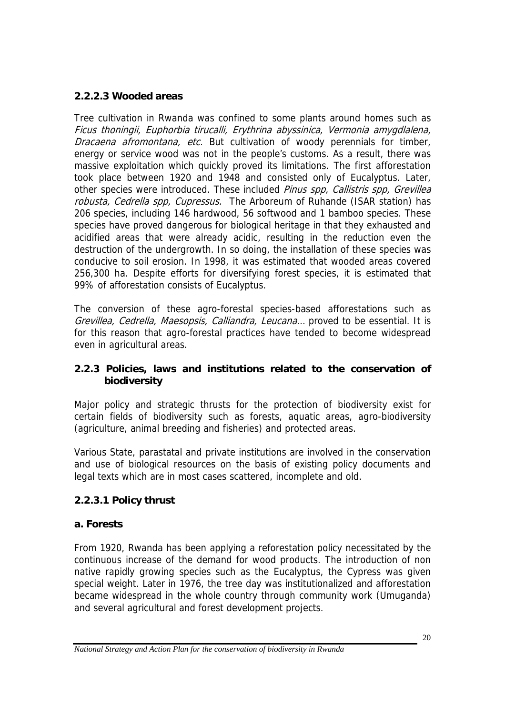### **2.2.2.3 Wooded areas**

Tree cultivation in Rwanda was confined to some plants around homes such as Ficus thoningii, Euphorbia tirucalli, Erythrina abyssinica, Vermonia amygdlalena, Dracaena afromontana, etc. But cultivation of woody perennials for timber, energy or service wood was not in the people's customs. As a result, there was massive exploitation which quickly proved its limitations. The first afforestation took place between 1920 and 1948 and consisted only of Eucalyptus. Later, other species were introduced. These included Pinus spp, Callistris spp, Grevillea robusta, Cedrella spp, Cupressus. The Arboreum of Ruhande (ISAR station) has 206 species, including 146 hardwood, 56 softwood and 1 bamboo species. These species have proved dangerous for biological heritage in that they exhausted and acidified areas that were already acidic, resulting in the reduction even the destruction of the undergrowth. In so doing, the installation of these species was conducive to soil erosion. In 1998, it was estimated that wooded areas covered 256,300 ha. Despite efforts for diversifying forest species, it is estimated that 99% of afforestation consists of Eucalyptus.

The conversion of these agro-forestal species-based afforestations such as Grevillea, Cedrella, Maesopsis, Calliandra, Leucana… proved to be essential. It is for this reason that agro-forestal practices have tended to become widespread even in agricultural areas.

### **2.2.3 Policies, laws and institutions related to the conservation of biodiversity**

Major policy and strategic thrusts for the protection of biodiversity exist for certain fields of biodiversity such as forests, aquatic areas, agro-biodiversity (agriculture, animal breeding and fisheries) and protected areas.

Various State, parastatal and private institutions are involved in the conservation and use of biological resources on the basis of existing policy documents and legal texts which are in most cases scattered, incomplete and old.

### **2.2.3.1 Policy thrust**

### **a. Forests**

From 1920, Rwanda has been applying a reforestation policy necessitated by the continuous increase of the demand for wood products. The introduction of non native rapidly growing species such as the Eucalyptus, the Cypress was given special weight. Later in 1976, the tree day was institutionalized and afforestation became widespread in the whole country through community work (Umuganda) and several agricultural and forest development projects.

*National Strategy and Action Plan for the conservation of biodiversity in Rwanda*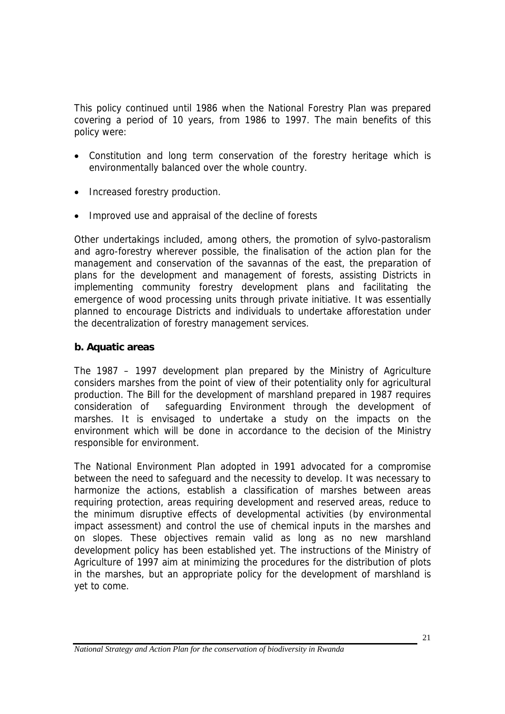This policy continued until 1986 when the National Forestry Plan was prepared covering a period of 10 years, from 1986 to 1997. The main benefits of this policy were:

- Constitution and long term conservation of the forestry heritage which is environmentally balanced over the whole country.
- Increased forestry production.
- Improved use and appraisal of the decline of forests

Other undertakings included, among others, the promotion of sylvo-pastoralism and agro-forestry wherever possible, the finalisation of the action plan for the management and conservation of the savannas of the east, the preparation of plans for the development and management of forests, assisting Districts in implementing community forestry development plans and facilitating the emergence of wood processing units through private initiative. It was essentially planned to encourage Districts and individuals to undertake afforestation under the decentralization of forestry management services.

### **b. Aquatic areas**

The 1987 – 1997 development plan prepared by the Ministry of Agriculture considers marshes from the point of view of their potentiality only for agricultural production. The Bill for the development of marshland prepared in 1987 requires consideration of safeguarding Environment through the development of marshes. It is envisaged to undertake a study on the impacts on the environment which will be done in accordance to the decision of the Ministry responsible for environment.

The National Environment Plan adopted in 1991 advocated for a compromise between the need to safeguard and the necessity to develop. It was necessary to harmonize the actions, establish a classification of marshes between areas requiring protection, areas requiring development and reserved areas, reduce to the minimum disruptive effects of developmental activities (by environmental impact assessment) and control the use of chemical inputs in the marshes and on slopes. These objectives remain valid as long as no new marshland development policy has been established yet. The instructions of the Ministry of Agriculture of 1997 aim at minimizing the procedures for the distribution of plots in the marshes, but an appropriate policy for the development of marshland is yet to come.

*National Strategy and Action Plan for the conservation of biodiversity in Rwanda*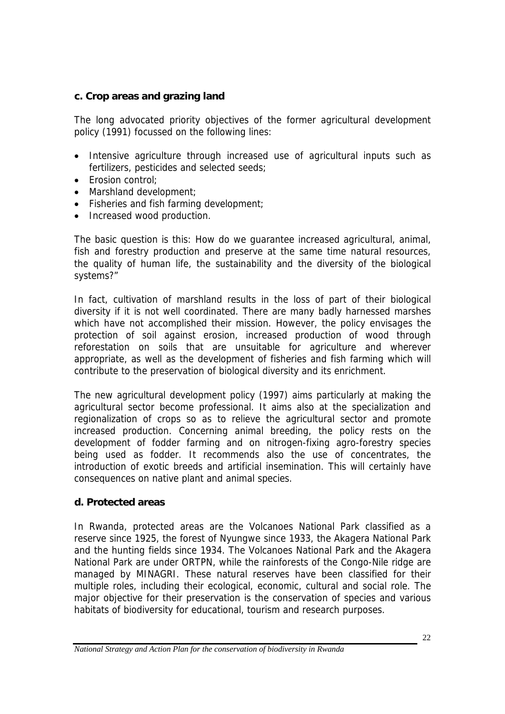#### **c. Crop areas and grazing land**

The long advocated priority objectives of the former agricultural development policy (1991) focussed on the following lines:

- Intensive agriculture through increased use of agricultural inputs such as fertilizers, pesticides and selected seeds;
- Erosion control;
- Marshland development;
- Fisheries and fish farming development;
- Increased wood production.

The basic question is this: How do we guarantee increased agricultural, animal, fish and forestry production and preserve at the same time natural resources, the quality of human life, the sustainability and the diversity of the biological systems?"

In fact, cultivation of marshland results in the loss of part of their biological diversity if it is not well coordinated. There are many badly harnessed marshes which have not accomplished their mission. However, the policy envisages the protection of soil against erosion, increased production of wood through reforestation on soils that are unsuitable for agriculture and wherever appropriate, as well as the development of fisheries and fish farming which will contribute to the preservation of biological diversity and its enrichment.

The new agricultural development policy (1997) aims particularly at making the agricultural sector become professional. It aims also at the specialization and regionalization of crops so as to relieve the agricultural sector and promote increased production. Concerning animal breeding, the policy rests on the development of fodder farming and on nitrogen-fixing agro-forestry species being used as fodder. It recommends also the use of concentrates, the introduction of exotic breeds and artificial insemination. This will certainly have consequences on native plant and animal species.

### **d. Protected areas**

In Rwanda, protected areas are the Volcanoes National Park classified as a reserve since 1925, the forest of Nyungwe since 1933, the Akagera National Park and the hunting fields since 1934. The Volcanoes National Park and the Akagera National Park are under ORTPN, while the rainforests of the Congo-Nile ridge are managed by MINAGRI. These natural reserves have been classified for their multiple roles, including their ecological, economic, cultural and social role. The major objective for their preservation is the conservation of species and various habitats of biodiversity for educational, tourism and research purposes.

*National Strategy and Action Plan for the conservation of biodiversity in Rwanda*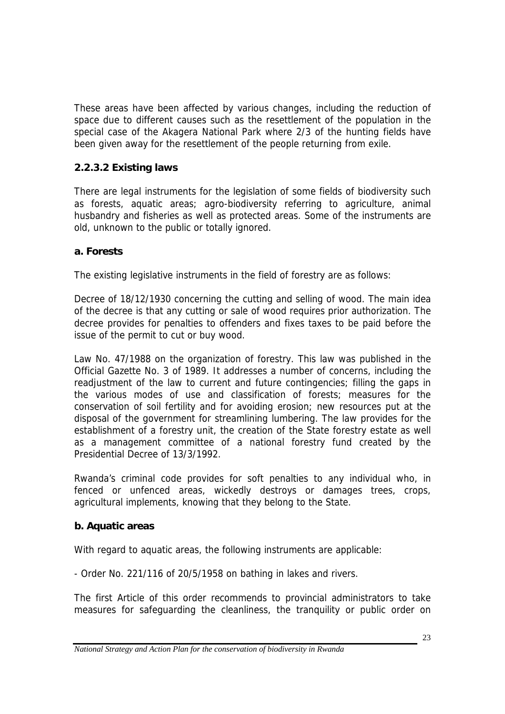These areas have been affected by various changes, including the reduction of space due to different causes such as the resettlement of the population in the special case of the Akagera National Park where 2/3 of the hunting fields have been given away for the resettlement of the people returning from exile.

### **2.2.3.2 Existing laws**

There are legal instruments for the legislation of some fields of biodiversity such as forests, aquatic areas; agro-biodiversity referring to agriculture, animal husbandry and fisheries as well as protected areas. Some of the instruments are old, unknown to the public or totally ignored.

### **a. Forests**

The existing legislative instruments in the field of forestry are as follows:

Decree of 18/12/1930 concerning the cutting and selling of wood. The main idea of the decree is that any cutting or sale of wood requires prior authorization. The decree provides for penalties to offenders and fixes taxes to be paid before the issue of the permit to cut or buy wood.

Law No. 47/1988 on the organization of forestry. This law was published in the Official Gazette No. 3 of 1989. It addresses a number of concerns, including the readjustment of the law to current and future contingencies; filling the gaps in the various modes of use and classification of forests; measures for the conservation of soil fertility and for avoiding erosion; new resources put at the disposal of the government for streamlining lumbering. The law provides for the establishment of a forestry unit, the creation of the State forestry estate as well as a management committee of a national forestry fund created by the Presidential Decree of 13/3/1992.

Rwanda's criminal code provides for soft penalties to any individual who, in fenced or unfenced areas, wickedly destroys or damages trees, crops, agricultural implements, knowing that they belong to the State.

### **b. Aquatic areas**

With regard to aquatic areas, the following instruments are applicable:

- Order No. 221/116 of 20/5/1958 on bathing in lakes and rivers.

The first Article of this order recommends to provincial administrators to take measures for safeguarding the cleanliness, the tranquility or public order on

*National Strategy and Action Plan for the conservation of biodiversity in Rwanda*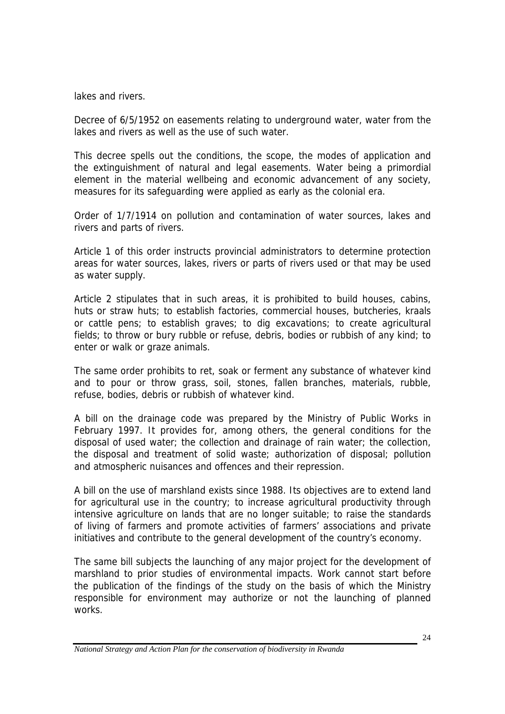lakes and rivers.

Decree of 6/5/1952 on easements relating to underground water, water from the lakes and rivers as well as the use of such water.

This decree spells out the conditions, the scope, the modes of application and the extinguishment of natural and legal easements. Water being a primordial element in the material wellbeing and economic advancement of any society, measures for its safeguarding were applied as early as the colonial era.

Order of 1/7/1914 on pollution and contamination of water sources, lakes and rivers and parts of rivers.

Article 1 of this order instructs provincial administrators to determine protection areas for water sources, lakes, rivers or parts of rivers used or that may be used as water supply.

Article 2 stipulates that in such areas, it is prohibited to build houses, cabins, huts or straw huts; to establish factories, commercial houses, butcheries, kraals or cattle pens; to establish graves; to dig excavations; to create agricultural fields; to throw or bury rubble or refuse, debris, bodies or rubbish of any kind; to enter or walk or graze animals.

The same order prohibits to ret, soak or ferment any substance of whatever kind and to pour or throw grass, soil, stones, fallen branches, materials, rubble, refuse, bodies, debris or rubbish of whatever kind.

A bill on the drainage code was prepared by the Ministry of Public Works in February 1997. It provides for, among others, the general conditions for the disposal of used water; the collection and drainage of rain water; the collection, the disposal and treatment of solid waste; authorization of disposal; pollution and atmospheric nuisances and offences and their repression.

A bill on the use of marshland exists since 1988. Its objectives are to extend land for agricultural use in the country; to increase agricultural productivity through intensive agriculture on lands that are no longer suitable; to raise the standards of living of farmers and promote activities of farmers' associations and private initiatives and contribute to the general development of the country's economy.

The same bill subjects the launching of any major project for the development of marshland to prior studies of environmental impacts. Work cannot start before the publication of the findings of the study on the basis of which the Ministry responsible for environment may authorize or not the launching of planned works.

*National Strategy and Action Plan for the conservation of biodiversity in Rwanda*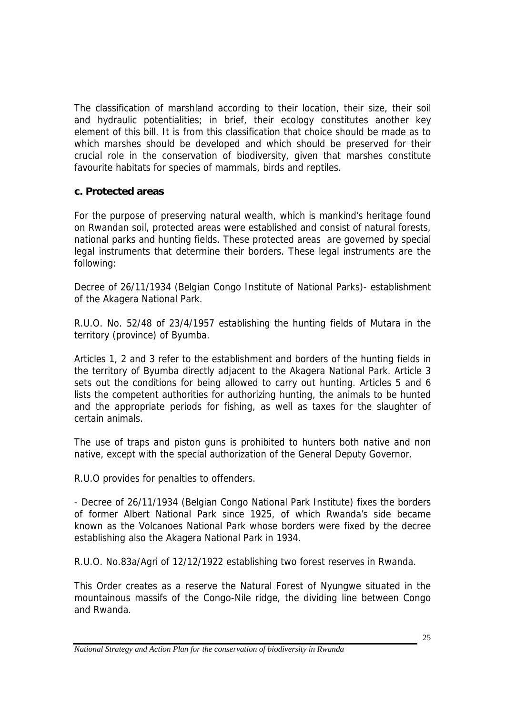The classification of marshland according to their location, their size, their soil and hydraulic potentialities; in brief, their ecology constitutes another key element of this bill. It is from this classification that choice should be made as to which marshes should be developed and which should be preserved for their crucial role in the conservation of biodiversity, given that marshes constitute favourite habitats for species of mammals, birds and reptiles.

### **c. Protected areas**

For the purpose of preserving natural wealth, which is mankind's heritage found on Rwandan soil, protected areas were established and consist of natural forests, national parks and hunting fields. These protected areas are governed by special legal instruments that determine their borders. These legal instruments are the following:

Decree of 26/11/1934 (Belgian Congo Institute of National Parks)- establishment of the Akagera National Park.

R.U.O. No. 52/48 of 23/4/1957 establishing the hunting fields of Mutara in the territory (province) of Byumba.

Articles 1, 2 and 3 refer to the establishment and borders of the hunting fields in the territory of Byumba directly adjacent to the Akagera National Park. Article 3 sets out the conditions for being allowed to carry out hunting. Articles 5 and 6 lists the competent authorities for authorizing hunting, the animals to be hunted and the appropriate periods for fishing, as well as taxes for the slaughter of certain animals.

The use of traps and piston guns is prohibited to hunters both native and non native, except with the special authorization of the General Deputy Governor.

R.U.O provides for penalties to offenders.

- Decree of 26/11/1934 (Belgian Congo National Park Institute) fixes the borders of former Albert National Park since 1925, of which Rwanda's side became known as the Volcanoes National Park whose borders were fixed by the decree establishing also the Akagera National Park in 1934.

R.U.O. No.83a/Agri of 12/12/1922 establishing two forest reserves in Rwanda.

This Order creates as a reserve the Natural Forest of Nyungwe situated in the mountainous massifs of the Congo-Nile ridge, the dividing line between Congo and Rwanda.

*National Strategy and Action Plan for the conservation of biodiversity in Rwanda*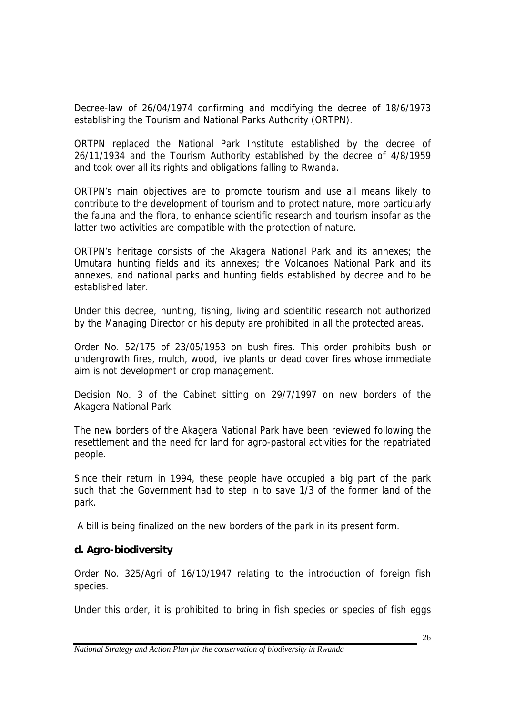Decree-law of 26/04/1974 confirming and modifying the decree of 18/6/1973 establishing the Tourism and National Parks Authority (ORTPN).

ORTPN replaced the National Park Institute established by the decree of 26/11/1934 and the Tourism Authority established by the decree of 4/8/1959 and took over all its rights and obligations falling to Rwanda.

ORTPN's main objectives are to promote tourism and use all means likely to contribute to the development of tourism and to protect nature, more particularly the fauna and the flora, to enhance scientific research and tourism insofar as the latter two activities are compatible with the protection of nature.

ORTPN's heritage consists of the Akagera National Park and its annexes; the Umutara hunting fields and its annexes; the Volcanoes National Park and its annexes, and national parks and hunting fields established by decree and to be established later.

Under this decree, hunting, fishing, living and scientific research not authorized by the Managing Director or his deputy are prohibited in all the protected areas.

Order No. 52/175 of 23/05/1953 on bush fires. This order prohibits bush or undergrowth fires, mulch, wood, live plants or dead cover fires whose immediate aim is not development or crop management.

Decision No. 3 of the Cabinet sitting on 29/7/1997 on new borders of the Akagera National Park.

The new borders of the Akagera National Park have been reviewed following the resettlement and the need for land for agro-pastoral activities for the repatriated people.

Since their return in 1994, these people have occupied a big part of the park such that the Government had to step in to save 1/3 of the former land of the park.

A bill is being finalized on the new borders of the park in its present form.

### **d. Agro-biodiversity**

Order No. 325/Agri of 16/10/1947 relating to the introduction of foreign fish species.

Under this order, it is prohibited to bring in fish species or species of fish eggs

*National Strategy and Action Plan for the conservation of biodiversity in Rwanda*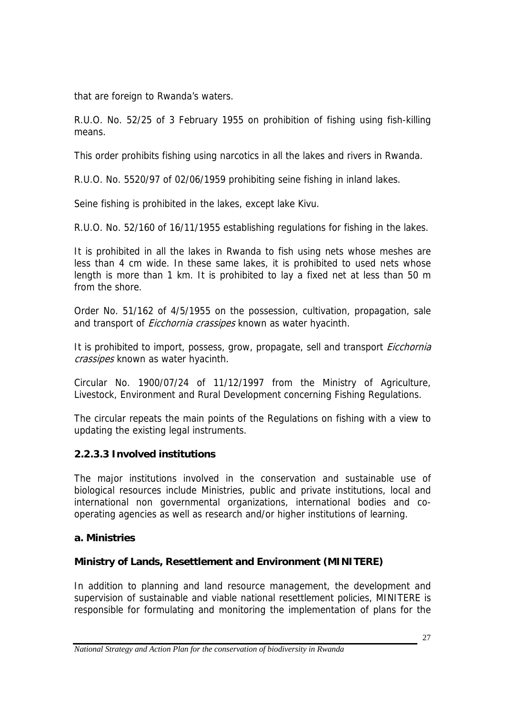that are foreign to Rwanda's waters.

R.U.O. No. 52/25 of 3 February 1955 on prohibition of fishing using fish-killing means.

This order prohibits fishing using narcotics in all the lakes and rivers in Rwanda.

R.U.O. No. 5520/97 of 02/06/1959 prohibiting seine fishing in inland lakes.

Seine fishing is prohibited in the lakes, except lake Kivu.

R.U.O. No. 52/160 of 16/11/1955 establishing regulations for fishing in the lakes.

It is prohibited in all the lakes in Rwanda to fish using nets whose meshes are less than 4 cm wide. In these same lakes, it is prohibited to used nets whose length is more than 1 km. It is prohibited to lay a fixed net at less than 50 m from the shore.

Order No. 51/162 of 4/5/1955 on the possession, cultivation, propagation, sale and transport of *Eicchornia crassipes* known as water hyacinth.

It is prohibited to import, possess, grow, propagate, sell and transport *Eicchornia* crassipes known as water hyacinth.

Circular No. 1900/07/24 of 11/12/1997 from the Ministry of Agriculture, Livestock, Environment and Rural Development concerning Fishing Regulations.

The circular repeats the main points of the Regulations on fishing with a view to updating the existing legal instruments.

# **2.2.3.3 Involved institutions**

The major institutions involved in the conservation and sustainable use of biological resources include Ministries, public and private institutions, local and international non governmental organizations, international bodies and cooperating agencies as well as research and/or higher institutions of learning.

### **a. Ministries**

# **Ministry of Lands, Resettlement and Environment (MINITERE)**

In addition to planning and land resource management, the development and supervision of sustainable and viable national resettlement policies, MINITERE is responsible for formulating and monitoring the implementation of plans for the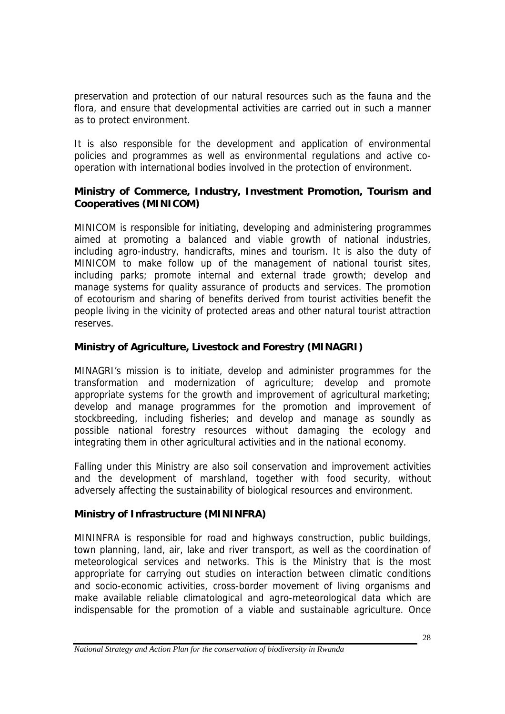preservation and protection of our natural resources such as the fauna and the flora, and ensure that developmental activities are carried out in such a manner as to protect environment.

It is also responsible for the development and application of environmental policies and programmes as well as environmental regulations and active cooperation with international bodies involved in the protection of environment.

### **Ministry of Commerce, Industry, Investment Promotion, Tourism and Cooperatives (MINICOM)**

MINICOM is responsible for initiating, developing and administering programmes aimed at promoting a balanced and viable growth of national industries, including agro-industry, handicrafts, mines and tourism. It is also the duty of MINICOM to make follow up of the management of national tourist sites, including parks; promote internal and external trade growth; develop and manage systems for quality assurance of products and services. The promotion of ecotourism and sharing of benefits derived from tourist activities benefit the people living in the vicinity of protected areas and other natural tourist attraction reserves.

### **Ministry of Agriculture, Livestock and Forestry (MINAGRI)**

MINAGRI's mission is to initiate, develop and administer programmes for the transformation and modernization of agriculture; develop and promote appropriate systems for the growth and improvement of agricultural marketing; develop and manage programmes for the promotion and improvement of stockbreeding, including fisheries; and develop and manage as soundly as possible national forestry resources without damaging the ecology and integrating them in other agricultural activities and in the national economy.

Falling under this Ministry are also soil conservation and improvement activities and the development of marshland, together with food security, without adversely affecting the sustainability of biological resources and environment.

### **Ministry of Infrastructure (MININFRA)**

MININFRA is responsible for road and highways construction, public buildings, town planning, land, air, lake and river transport, as well as the coordination of meteorological services and networks. This is the Ministry that is the most appropriate for carrying out studies on interaction between climatic conditions and socio-economic activities, cross-border movement of living organisms and make available reliable climatological and agro-meteorological data which are indispensable for the promotion of a viable and sustainable agriculture. Once

*National Strategy and Action Plan for the conservation of biodiversity in Rwanda*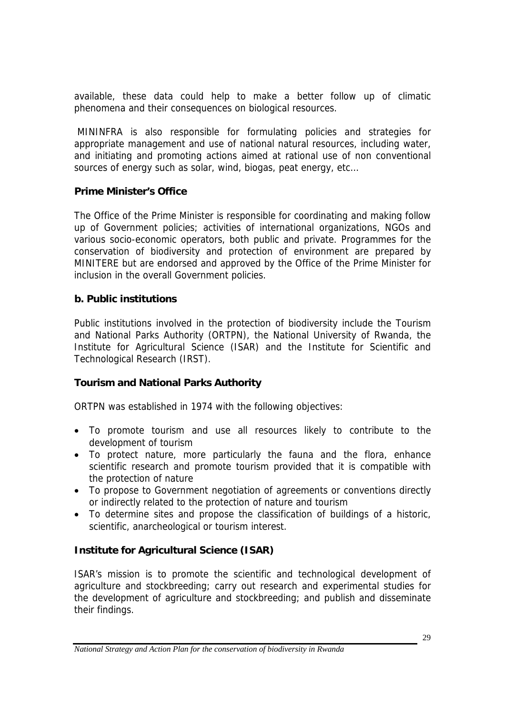available, these data could help to make a better follow up of climatic phenomena and their consequences on biological resources.

 MININFRA is also responsible for formulating policies and strategies for appropriate management and use of national natural resources, including water, and initiating and promoting actions aimed at rational use of non conventional sources of energy such as solar, wind, biogas, peat energy, etc…

### **Prime Minister's Office**

The Office of the Prime Minister is responsible for coordinating and making follow up of Government policies; activities of international organizations, NGOs and various socio-economic operators, both public and private. Programmes for the conservation of biodiversity and protection of environment are prepared by MINITERE but are endorsed and approved by the Office of the Prime Minister for inclusion in the overall Government policies.

### **b. Public institutions**

Public institutions involved in the protection of biodiversity include the Tourism and National Parks Authority (ORTPN), the National University of Rwanda, the Institute for Agricultural Science (ISAR) and the Institute for Scientific and Technological Research (IRST).

### **Tourism and National Parks Authority**

ORTPN was established in 1974 with the following objectives:

- To promote tourism and use all resources likely to contribute to the development of tourism
- To protect nature, more particularly the fauna and the flora, enhance scientific research and promote tourism provided that it is compatible with the protection of nature
- To propose to Government negotiation of agreements or conventions directly or indirectly related to the protection of nature and tourism
- To determine sites and propose the classification of buildings of a historic, scientific, anarcheological or tourism interest.

### **Institute for Agricultural Science (ISAR)**

ISAR's mission is to promote the scientific and technological development of agriculture and stockbreeding; carry out research and experimental studies for the development of agriculture and stockbreeding; and publish and disseminate their findings.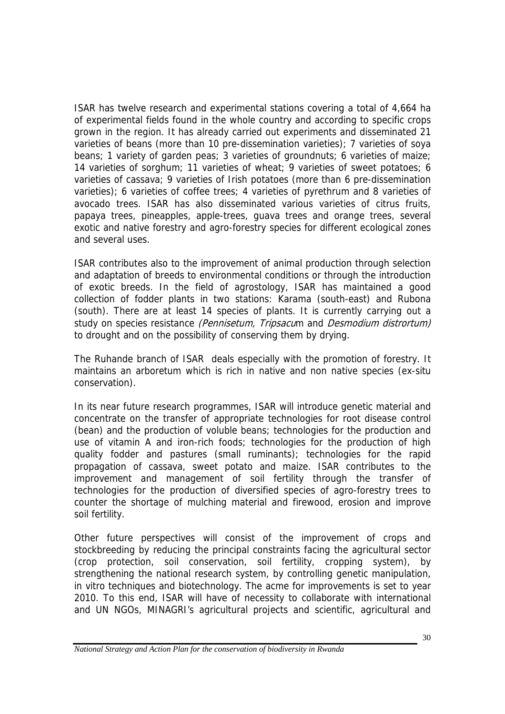ISAR has twelve research and experimental stations covering a total of 4,664 ha of experimental fields found in the whole country and according to specific crops grown in the region. It has already carried out experiments and disseminated 21 varieties of beans (more than 10 pre-dissemination varieties); 7 varieties of soya beans; 1 variety of garden peas; 3 varieties of groundnuts; 6 varieties of maize; 14 varieties of sorghum; 11 varieties of wheat; 9 varieties of sweet potatoes; 6 varieties of cassava; 9 varieties of Irish potatoes (more than 6 pre-dissemination varieties); 6 varieties of coffee trees; 4 varieties of pyrethrum and 8 varieties of avocado trees. ISAR has also disseminated various varieties of citrus fruits, papaya trees, pineapples, apple-trees, guava trees and orange trees, several exotic and native forestry and agro-forestry species for different ecological zones and several uses.

ISAR contributes also to the improvement of animal production through selection and adaptation of breeds to environmental conditions or through the introduction of exotic breeds. In the field of agrostology, ISAR has maintained a good collection of fodder plants in two stations: Karama (south-east) and Rubona (south). There are at least 14 species of plants. It is currently carrying out a study on species resistance (Pennisetum, Tripsacum and Desmodium distrortum) to drought and on the possibility of conserving them by drying.

The Ruhande branch of ISAR deals especially with the promotion of forestry. It maintains an arboretum which is rich in native and non native species (ex-situ conservation).

In its near future research programmes, ISAR will introduce genetic material and concentrate on the transfer of appropriate technologies for root disease control (bean) and the production of voluble beans; technologies for the production and use of vitamin A and iron-rich foods; technologies for the production of high quality fodder and pastures (small ruminants); technologies for the rapid propagation of cassava, sweet potato and maize. ISAR contributes to the improvement and management of soil fertility through the transfer of technologies for the production of diversified species of agro-forestry trees to counter the shortage of mulching material and firewood, erosion and improve soil fertility.

Other future perspectives will consist of the improvement of crops and stockbreeding by reducing the principal constraints facing the agricultural sector (crop protection, soil conservation, soil fertility, cropping system), by strengthening the national research system, by controlling genetic manipulation, in vitro techniques and biotechnology. The acme for improvements is set to year 2010. To this end, ISAR will have of necessity to collaborate with international and UN NGOs, MINAGRI's agricultural projects and scientific, agricultural and

*National Strategy and Action Plan for the conservation of biodiversity in Rwanda*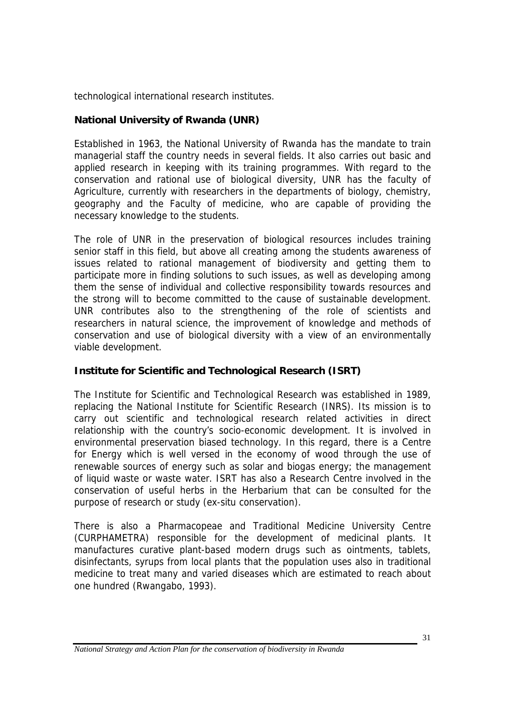technological international research institutes.

### **National University of Rwanda (UNR)**

Established in 1963, the National University of Rwanda has the mandate to train managerial staff the country needs in several fields. It also carries out basic and applied research in keeping with its training programmes. With regard to the conservation and rational use of biological diversity, UNR has the faculty of Agriculture, currently with researchers in the departments of biology, chemistry, geography and the Faculty of medicine, who are capable of providing the necessary knowledge to the students.

The role of UNR in the preservation of biological resources includes training senior staff in this field, but above all creating among the students awareness of issues related to rational management of biodiversity and getting them to participate more in finding solutions to such issues, as well as developing among them the sense of individual and collective responsibility towards resources and the strong will to become committed to the cause of sustainable development. UNR contributes also to the strengthening of the role of scientists and researchers in natural science, the improvement of knowledge and methods of conservation and use of biological diversity with a view of an environmentally viable development.

### **Institute for Scientific and Technological Research (ISRT)**

The Institute for Scientific and Technological Research was established in 1989, replacing the National Institute for Scientific Research (INRS). Its mission is to carry out scientific and technological research related activities in direct relationship with the country's socio-economic development. It is involved in environmental preservation biased technology. In this regard, there is a Centre for Energy which is well versed in the economy of wood through the use of renewable sources of energy such as solar and biogas energy; the management of liquid waste or waste water. ISRT has also a Research Centre involved in the conservation of useful herbs in the Herbarium that can be consulted for the purpose of research or study (ex-situ conservation).

There is also a Pharmacopeae and Traditional Medicine University Centre (CURPHAMETRA) responsible for the development of medicinal plants. It manufactures curative plant-based modern drugs such as ointments, tablets, disinfectants, syrups from local plants that the population uses also in traditional medicine to treat many and varied diseases which are estimated to reach about one hundred (Rwangabo, 1993).

*National Strategy and Action Plan for the conservation of biodiversity in Rwanda*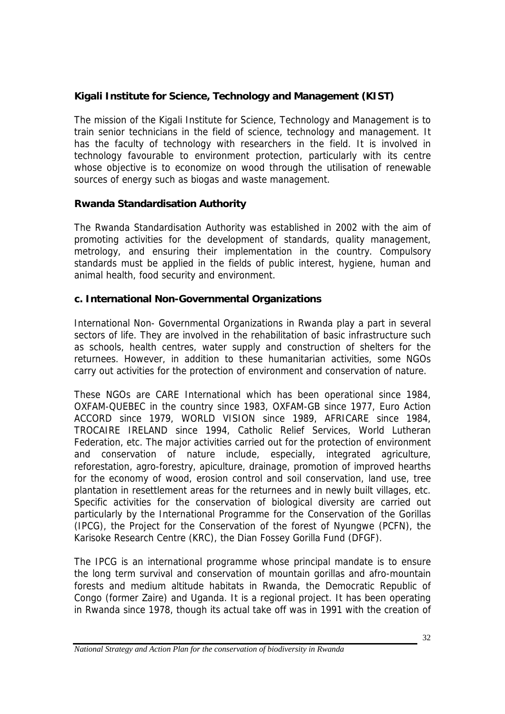### **Kigali Institute for Science, Technology and Management (KIST)**

The mission of the Kigali Institute for Science, Technology and Management is to train senior technicians in the field of science, technology and management. It has the faculty of technology with researchers in the field. It is involved in technology favourable to environment protection, particularly with its centre whose objective is to economize on wood through the utilisation of renewable sources of energy such as biogas and waste management.

### **Rwanda Standardisation Authority**

The Rwanda Standardisation Authority was established in 2002 with the aim of promoting activities for the development of standards, quality management, metrology, and ensuring their implementation in the country. Compulsory standards must be applied in the fields of public interest, hygiene, human and animal health, food security and environment.

### **c. International Non-Governmental Organizations**

International Non- Governmental Organizations in Rwanda play a part in several sectors of life. They are involved in the rehabilitation of basic infrastructure such as schools, health centres, water supply and construction of shelters for the returnees. However, in addition to these humanitarian activities, some NGOs carry out activities for the protection of environment and conservation of nature.

These NGOs are CARE International which has been operational since 1984, OXFAM-QUEBEC in the country since 1983, OXFAM-GB since 1977, Euro Action ACCORD since 1979, WORLD VISION since 1989, AFRICARE since 1984, TROCAIRE IRELAND since 1994, Catholic Relief Services, World Lutheran Federation, etc. The major activities carried out for the protection of environment and conservation of nature include, especially, integrated agriculture, reforestation, agro-forestry, apiculture, drainage, promotion of improved hearths for the economy of wood, erosion control and soil conservation, land use, tree plantation in resettlement areas for the returnees and in newly built villages, etc. Specific activities for the conservation of biological diversity are carried out particularly by the International Programme for the Conservation of the Gorillas (IPCG), the Project for the Conservation of the forest of Nyungwe (PCFN), the Karisoke Research Centre (KRC), the Dian Fossey Gorilla Fund (DFGF).

The IPCG is an international programme whose principal mandate is to ensure the long term survival and conservation of mountain gorillas and afro-mountain forests and medium altitude habitats in Rwanda, the Democratic Republic of Congo (former Zaire) and Uganda. It is a regional project. It has been operating in Rwanda since 1978, though its actual take off was in 1991 with the creation of

*National Strategy and Action Plan for the conservation of biodiversity in Rwanda*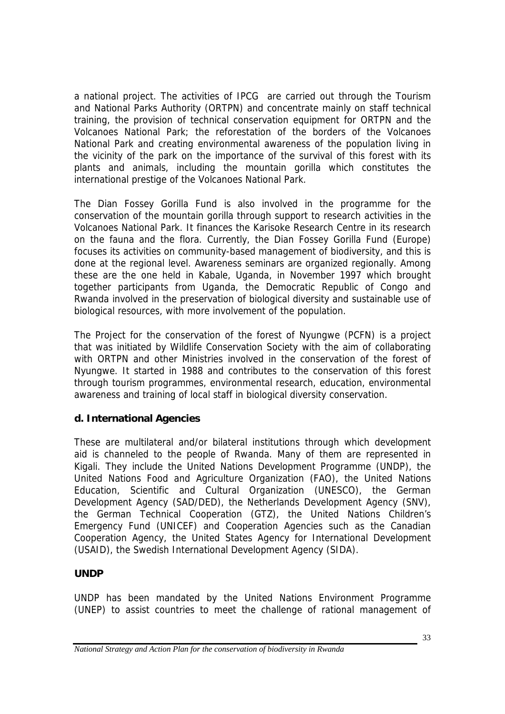a national project. The activities of IPCG are carried out through the Tourism and National Parks Authority (ORTPN) and concentrate mainly on staff technical training, the provision of technical conservation equipment for ORTPN and the Volcanoes National Park; the reforestation of the borders of the Volcanoes National Park and creating environmental awareness of the population living in the vicinity of the park on the importance of the survival of this forest with its plants and animals, including the mountain gorilla which constitutes the international prestige of the Volcanoes National Park.

The Dian Fossey Gorilla Fund is also involved in the programme for the conservation of the mountain gorilla through support to research activities in the Volcanoes National Park. It finances the Karisoke Research Centre in its research on the fauna and the flora. Currently, the Dian Fossey Gorilla Fund (Europe) focuses its activities on community-based management of biodiversity, and this is done at the regional level. Awareness seminars are organized regionally. Among these are the one held in Kabale, Uganda, in November 1997 which brought together participants from Uganda, the Democratic Republic of Congo and Rwanda involved in the preservation of biological diversity and sustainable use of biological resources, with more involvement of the population.

The Project for the conservation of the forest of Nyungwe (PCFN) is a project that was initiated by Wildlife Conservation Society with the aim of collaborating with ORTPN and other Ministries involved in the conservation of the forest of Nyungwe. It started in 1988 and contributes to the conservation of this forest through tourism programmes, environmental research, education, environmental awareness and training of local staff in biological diversity conservation.

### **d. International Agencies**

These are multilateral and/or bilateral institutions through which development aid is channeled to the people of Rwanda. Many of them are represented in Kigali. They include the United Nations Development Programme (UNDP), the United Nations Food and Agriculture Organization (FAO), the United Nations Education, Scientific and Cultural Organization (UNESCO), the German Development Agency (SAD/DED), the Netherlands Development Agency (SNV), the German Technical Cooperation (GTZ), the United Nations Children's Emergency Fund (UNICEF) and Cooperation Agencies such as the Canadian Cooperation Agency, the United States Agency for International Development (USAID), the Swedish International Development Agency (SIDA).

### **UNDP**

UNDP has been mandated by the United Nations Environment Programme (UNEP) to assist countries to meet the challenge of rational management of

*National Strategy and Action Plan for the conservation of biodiversity in Rwanda*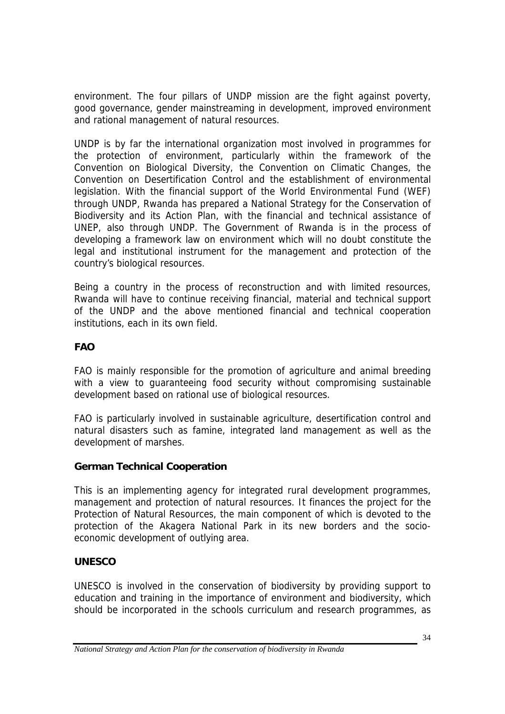environment. The four pillars of UNDP mission are the fight against poverty, good governance, gender mainstreaming in development, improved environment and rational management of natural resources.

UNDP is by far the international organization most involved in programmes for the protection of environment, particularly within the framework of the Convention on Biological Diversity, the Convention on Climatic Changes, the Convention on Desertification Control and the establishment of environmental legislation. With the financial support of the World Environmental Fund (WEF) through UNDP, Rwanda has prepared a National Strategy for the Conservation of Biodiversity and its Action Plan, with the financial and technical assistance of UNEP, also through UNDP. The Government of Rwanda is in the process of developing a framework law on environment which will no doubt constitute the legal and institutional instrument for the management and protection of the country's biological resources.

Being a country in the process of reconstruction and with limited resources, Rwanda will have to continue receiving financial, material and technical support of the UNDP and the above mentioned financial and technical cooperation institutions, each in its own field.

## **FAO**

FAO is mainly responsible for the promotion of agriculture and animal breeding with a view to quaranteeing food security without compromising sustainable development based on rational use of biological resources.

FAO is particularly involved in sustainable agriculture, desertification control and natural disasters such as famine, integrated land management as well as the development of marshes.

### **German Technical Cooperation**

This is an implementing agency for integrated rural development programmes, management and protection of natural resources. It finances the project for the Protection of Natural Resources, the main component of which is devoted to the protection of the Akagera National Park in its new borders and the socioeconomic development of outlying area.

### **UNESCO**

UNESCO is involved in the conservation of biodiversity by providing support to education and training in the importance of environment and biodiversity, which should be incorporated in the schools curriculum and research programmes, as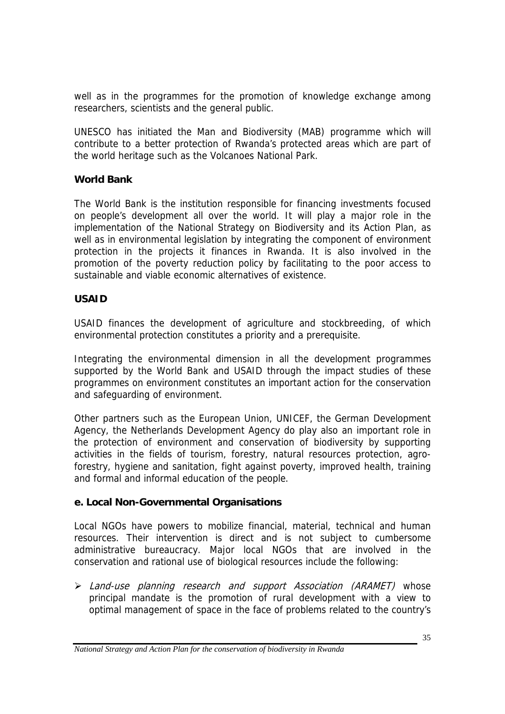well as in the programmes for the promotion of knowledge exchange among researchers, scientists and the general public.

UNESCO has initiated the Man and Biodiversity (MAB) programme which will contribute to a better protection of Rwanda's protected areas which are part of the world heritage such as the Volcanoes National Park.

#### **World Bank**

The World Bank is the institution responsible for financing investments focused on people's development all over the world. It will play a major role in the implementation of the National Strategy on Biodiversity and its Action Plan, as well as in environmental legislation by integrating the component of environment protection in the projects it finances in Rwanda. It is also involved in the promotion of the poverty reduction policy by facilitating to the poor access to sustainable and viable economic alternatives of existence.

#### **USAID**

USAID finances the development of agriculture and stockbreeding, of which environmental protection constitutes a priority and a prerequisite.

Integrating the environmental dimension in all the development programmes supported by the World Bank and USAID through the impact studies of these programmes on environment constitutes an important action for the conservation and safeguarding of environment.

Other partners such as the European Union, UNICEF, the German Development Agency, the Netherlands Development Agency do play also an important role in the protection of environment and conservation of biodiversity by supporting activities in the fields of tourism, forestry, natural resources protection, agroforestry, hygiene and sanitation, fight against poverty, improved health, training and formal and informal education of the people.

### **e. Local Non-Governmental Organisations**

Local NGOs have powers to mobilize financial, material, technical and human resources. Their intervention is direct and is not subject to cumbersome administrative bureaucracy. Major local NGOs that are involved in the conservation and rational use of biological resources include the following:

> Land-use planning research and support Association (ARAMET) whose principal mandate is the promotion of rural development with a view to optimal management of space in the face of problems related to the country's

*National Strategy and Action Plan for the conservation of biodiversity in Rwanda*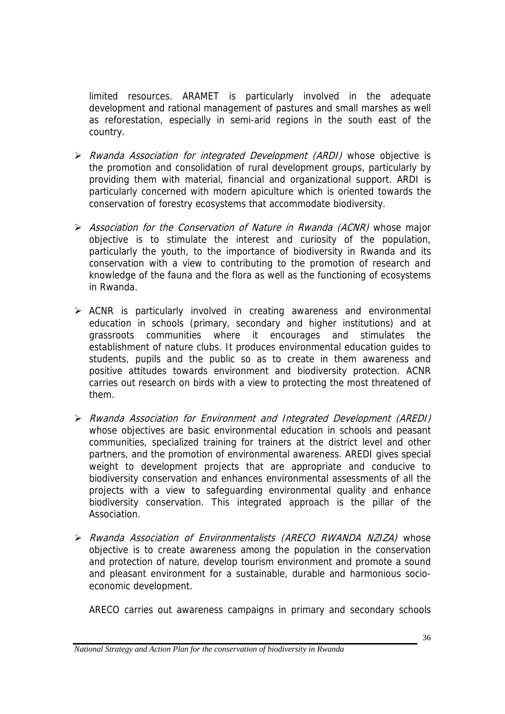limited resources. ARAMET is particularly involved in the adequate development and rational management of pastures and small marshes as well as reforestation, especially in semi-arid regions in the south east of the country.

- $\triangleright$  Rwanda Association for integrated Development (ARDI) whose objective is the promotion and consolidation of rural development groups, particularly by providing them with material, financial and organizational support. ARDI is particularly concerned with modern apiculture which is oriented towards the conservation of forestry ecosystems that accommodate biodiversity.
- $\triangleright$  Association for the Conservation of Nature in Rwanda (ACNR) whose major objective is to stimulate the interest and curiosity of the population, particularly the youth, to the importance of biodiversity in Rwanda and its conservation with a view to contributing to the promotion of research and knowledge of the fauna and the flora as well as the functioning of ecosystems in Rwanda.
- $\triangleright$  ACNR is particularly involved in creating awareness and environmental education in schools (primary, secondary and higher institutions) and at grassroots communities where it encourages and stimulates the establishment of nature clubs. It produces environmental education guides to students, pupils and the public so as to create in them awareness and positive attitudes towards environment and biodiversity protection. ACNR carries out research on birds with a view to protecting the most threatened of them.
- ! Rwanda Association for Environment and Integrated Development (AREDI) whose objectives are basic environmental education in schools and peasant communities, specialized training for trainers at the district level and other partners, and the promotion of environmental awareness. AREDI gives special weight to development projects that are appropriate and conducive to biodiversity conservation and enhances environmental assessments of all the projects with a view to safeguarding environmental quality and enhance biodiversity conservation. This integrated approach is the pillar of the Association.
- > Rwanda Association of Environmentalists (ARECO RWANDA NZIZA) whose objective is to create awareness among the population in the conservation and protection of nature, develop tourism environment and promote a sound and pleasant environment for a sustainable, durable and harmonious socioeconomic development.

ARECO carries out awareness campaigns in primary and secondary schools

*National Strategy and Action Plan for the conservation of biodiversity in Rwanda*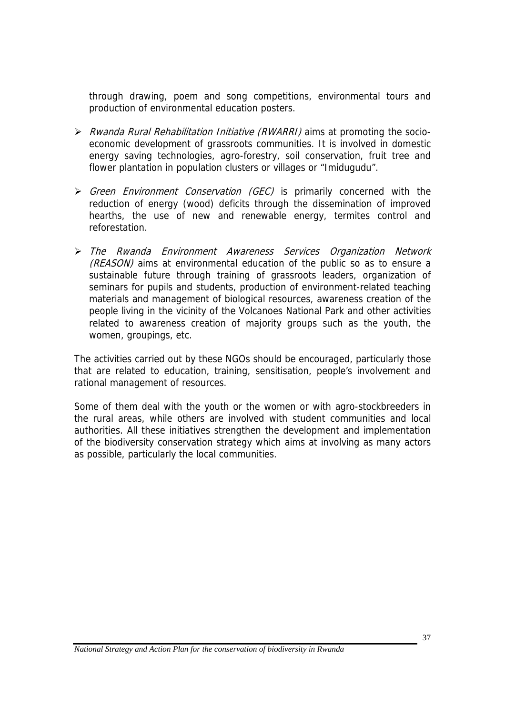through drawing, poem and song competitions, environmental tours and production of environmental education posters.

- $\triangleright$  Rwanda Rural Rehabilitation Initiative (RWARRI) aims at promoting the socioeconomic development of grassroots communities. It is involved in domestic energy saving technologies, agro-forestry, soil conservation, fruit tree and flower plantation in population clusters or villages or "Imidugudu".
- $\triangleright$  Green Environment Conservation (GEC) is primarily concerned with the reduction of energy (wood) deficits through the dissemination of improved hearths, the use of new and renewable energy, termites control and reforestation.
- ! The Rwanda Environment Awareness Services Organization Network (REASON) aims at environmental education of the public so as to ensure a sustainable future through training of grassroots leaders, organization of seminars for pupils and students, production of environment-related teaching materials and management of biological resources, awareness creation of the people living in the vicinity of the Volcanoes National Park and other activities related to awareness creation of majority groups such as the youth, the women, groupings, etc.

The activities carried out by these NGOs should be encouraged, particularly those that are related to education, training, sensitisation, people's involvement and rational management of resources.

Some of them deal with the youth or the women or with agro-stockbreeders in the rural areas, while others are involved with student communities and local authorities. All these initiatives strengthen the development and implementation of the biodiversity conservation strategy which aims at involving as many actors as possible, particularly the local communities.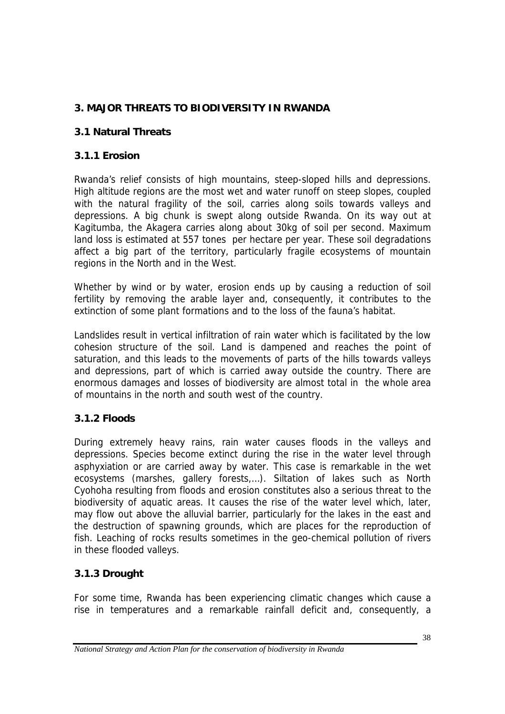# **3. MAJOR THREATS TO BIODIVERSITY IN RWANDA**

## **3.1 Natural Threats**

### **3.1.1 Erosion**

Rwanda's relief consists of high mountains, steep-sloped hills and depressions. High altitude regions are the most wet and water runoff on steep slopes, coupled with the natural fragility of the soil, carries along soils towards valleys and depressions. A big chunk is swept along outside Rwanda. On its way out at Kagitumba, the Akagera carries along about 30kg of soil per second. Maximum land loss is estimated at 557 tones per hectare per year. These soil degradations affect a big part of the territory, particularly fragile ecosystems of mountain regions in the North and in the West.

Whether by wind or by water, erosion ends up by causing a reduction of soil fertility by removing the arable layer and, consequently, it contributes to the extinction of some plant formations and to the loss of the fauna's habitat.

Landslides result in vertical infiltration of rain water which is facilitated by the low cohesion structure of the soil. Land is dampened and reaches the point of saturation, and this leads to the movements of parts of the hills towards valleys and depressions, part of which is carried away outside the country. There are enormous damages and losses of biodiversity are almost total in the whole area of mountains in the north and south west of the country.

### **3.1.2 Floods**

During extremely heavy rains, rain water causes floods in the valleys and depressions. Species become extinct during the rise in the water level through asphyxiation or are carried away by water. This case is remarkable in the wet ecosystems (marshes, gallery forests,…). Siltation of lakes such as North Cyohoha resulting from floods and erosion constitutes also a serious threat to the biodiversity of aquatic areas. It causes the rise of the water level which, later, may flow out above the alluvial barrier, particularly for the lakes in the east and the destruction of spawning grounds, which are places for the reproduction of fish. Leaching of rocks results sometimes in the geo-chemical pollution of rivers in these flooded valleys.

## **3.1.3 Drought**

For some time, Rwanda has been experiencing climatic changes which cause a rise in temperatures and a remarkable rainfall deficit and, consequently, a

*National Strategy and Action Plan for the conservation of biodiversity in Rwanda*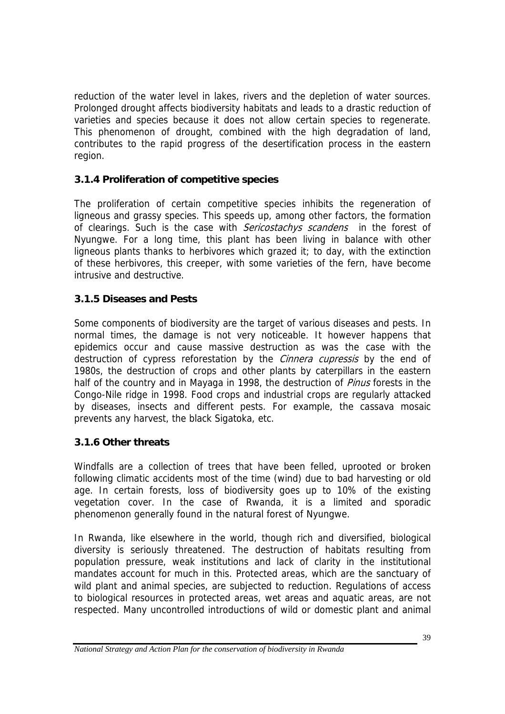reduction of the water level in lakes, rivers and the depletion of water sources. Prolonged drought affects biodiversity habitats and leads to a drastic reduction of varieties and species because it does not allow certain species to regenerate. This phenomenon of drought, combined with the high degradation of land, contributes to the rapid progress of the desertification process in the eastern region.

## **3.1.4 Proliferation of competitive species**

The proliferation of certain competitive species inhibits the regeneration of ligneous and grassy species. This speeds up, among other factors, the formation of clearings. Such is the case with *Sericostachys scandens* in the forest of Nyungwe. For a long time, this plant has been living in balance with other ligneous plants thanks to herbivores which grazed it; to day, with the extinction of these herbivores, this creeper, with some varieties of the fern, have become intrusive and destructive.

### **3.1.5 Diseases and Pests**

Some components of biodiversity are the target of various diseases and pests. In normal times, the damage is not very noticeable. It however happens that epidemics occur and cause massive destruction as was the case with the destruction of cypress reforestation by the *Cinnera cupressis* by the end of 1980s, the destruction of crops and other plants by caterpillars in the eastern half of the country and in Mayaga in 1998, the destruction of *Pinus* forests in the Congo-Nile ridge in 1998. Food crops and industrial crops are regularly attacked by diseases, insects and different pests. For example, the cassava mosaic prevents any harvest, the black Sigatoka, etc.

### **3.1.6 Other threats**

Windfalls are a collection of trees that have been felled, uprooted or broken following climatic accidents most of the time (wind) due to bad harvesting or old age. In certain forests, loss of biodiversity goes up to 10% of the existing vegetation cover. In the case of Rwanda, it is a limited and sporadic phenomenon generally found in the natural forest of Nyungwe.

In Rwanda, like elsewhere in the world, though rich and diversified, biological diversity is seriously threatened. The destruction of habitats resulting from population pressure, weak institutions and lack of clarity in the institutional mandates account for much in this. Protected areas, which are the sanctuary of wild plant and animal species, are subjected to reduction. Regulations of access to biological resources in protected areas, wet areas and aquatic areas, are not respected. Many uncontrolled introductions of wild or domestic plant and animal

*National Strategy and Action Plan for the conservation of biodiversity in Rwanda*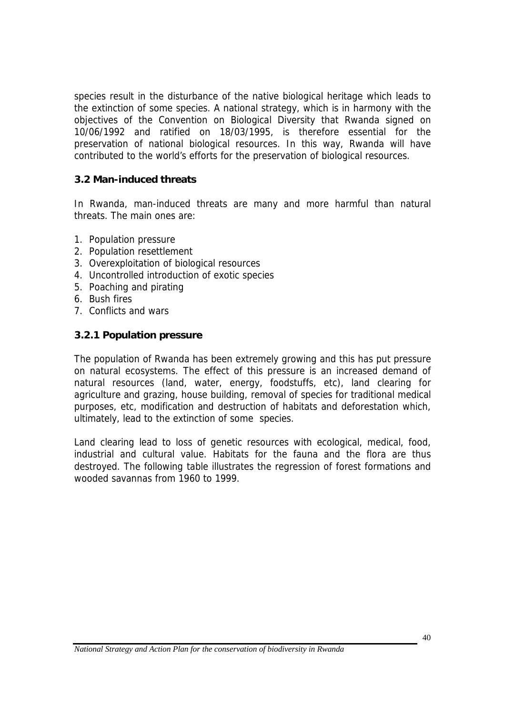species result in the disturbance of the native biological heritage which leads to the extinction of some species. A national strategy, which is in harmony with the objectives of the Convention on Biological Diversity that Rwanda signed on 10/06/1992 and ratified on 18/03/1995, is therefore essential for the preservation of national biological resources. In this way, Rwanda will have contributed to the world's efforts for the preservation of biological resources.

#### **3.2 Man-induced threats**

In Rwanda, man-induced threats are many and more harmful than natural threats. The main ones are:

- 1. Population pressure
- 2. Population resettlement
- 3. Overexploitation of biological resources
- 4. Uncontrolled introduction of exotic species
- 5. Poaching and pirating
- 6. Bush fires
- 7. Conflicts and wars

#### **3.2.1 Population pressure**

The population of Rwanda has been extremely growing and this has put pressure on natural ecosystems. The effect of this pressure is an increased demand of natural resources (land, water, energy, foodstuffs, etc), land clearing for agriculture and grazing, house building, removal of species for traditional medical purposes, etc, modification and destruction of habitats and deforestation which, ultimately, lead to the extinction of some species.

Land clearing lead to loss of genetic resources with ecological, medical, food, industrial and cultural value. Habitats for the fauna and the flora are thus destroyed. The following table illustrates the regression of forest formations and wooded savannas from 1960 to 1999.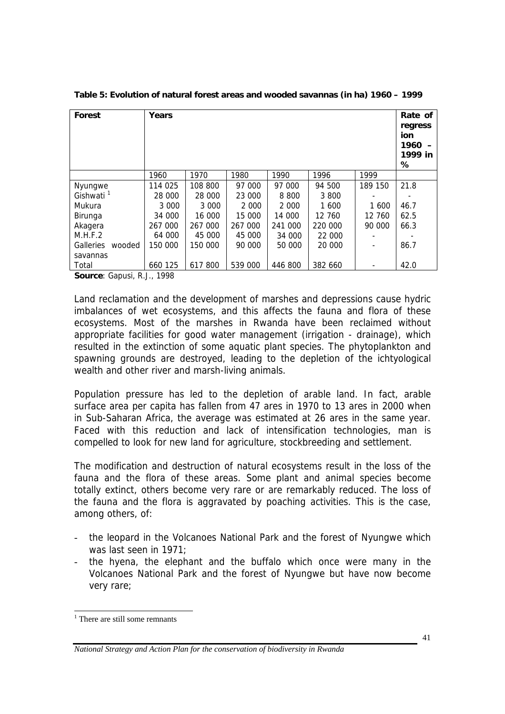| Forest                | Years   |         |         |         |         |         | Rate of<br>regress<br>ion<br>1960<br>1999 in<br>℅ |
|-----------------------|---------|---------|---------|---------|---------|---------|---------------------------------------------------|
|                       | 1960    | 1970    | 1980    | 1990    | 1996    | 1999    |                                                   |
| Nyungwe               | 114 025 | 108 800 | 97 000  | 97 000  | 94 500  | 189 150 | 21.8                                              |
| Gishwati <sup>1</sup> | 28 000  | 28 000  | 23 000  | 8 8 0 0 | 3 800   |         |                                                   |
| Mukura                | 3 0 0 0 | 3 0 0 0 | 2 0 0 0 | 2 0 0 0 | 1 600   | 1 600   | 46.7                                              |
| Birunga               | 34 000  | 16 000  | 15 000  | 14 000  | 12 760  | 12 760  | 62.5                                              |
| Akagera               | 267 000 | 267 000 | 267 000 | 241 000 | 220 000 | 90 000  | 66.3                                              |
| M.H.F.2               | 64 000  | 45 000  | 45 000  | 34 000  | 22 000  |         |                                                   |
| Galleries<br>wooded   | 150 000 | 150 000 | 90 000  | 50 000  | 20 000  |         | 86.7                                              |
| savannas              |         |         |         |         |         |         |                                                   |
| Total                 | 660 125 | 617 800 | 539 000 | 446 800 | 382 660 |         | 42.0                                              |

**Table 5: Evolution of natural forest areas and wooded savannas (in ha) 1960 – 1999** 

**Source**: Gapusi, R.J., 1998

Land reclamation and the development of marshes and depressions cause hydric imbalances of wet ecosystems, and this affects the fauna and flora of these ecosystems. Most of the marshes in Rwanda have been reclaimed without appropriate facilities for good water management (irrigation - drainage), which resulted in the extinction of some aquatic plant species. The phytoplankton and spawning grounds are destroyed, leading to the depletion of the ichtyological wealth and other river and marsh-living animals.

Population pressure has led to the depletion of arable land. In fact, arable surface area per capita has fallen from 47 ares in 1970 to 13 ares in 2000 when in Sub-Saharan Africa, the average was estimated at 26 ares in the same year. Faced with this reduction and lack of intensification technologies, man is compelled to look for new land for agriculture, stockbreeding and settlement.

The modification and destruction of natural ecosystems result in the loss of the fauna and the flora of these areas. Some plant and animal species become totally extinct, others become very rare or are remarkably reduced. The loss of the fauna and the flora is aggravated by poaching activities. This is the case, among others, of:

- the leopard in the Volcanoes National Park and the forest of Nyungwe which was last seen in 1971;
- the hyena, the elephant and the buffalo which once were many in the Volcanoes National Park and the forest of Nyungwe but have now become very rare;

<sup>&</sup>lt;sup>1</sup> There are still some remnants

*National Strategy and Action Plan for the conservation of biodiversity in Rwanda*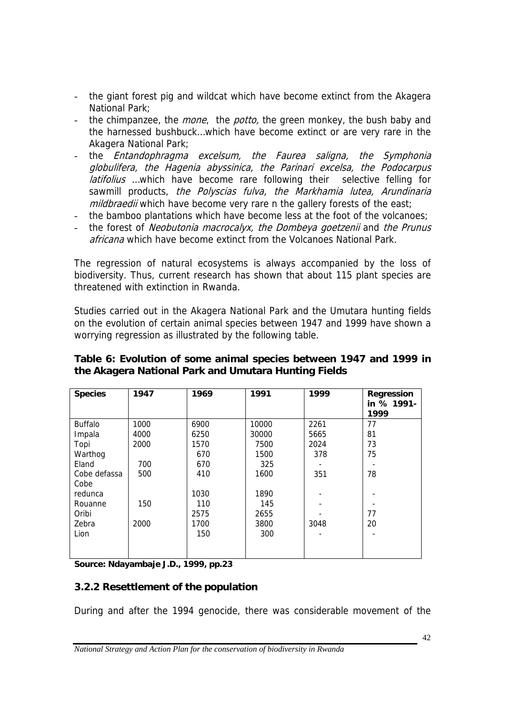- the giant forest pig and wildcat which have become extinct from the Akagera National Park;
- the chimpanzee, the *mone*, the *potto*, the green monkey, the bush baby and the harnessed bushbuck…which have become extinct or are very rare in the Akagera National Park;
- the *Entandophragma excelsum, the Faurea saligna, the Symphonia* globulifera, the Hagenia abyssinica, the Parinari excelsa, the Podocarpus latifolius ...which have become rare following their selective felling for sawmill products, the Polyscias fulva, the Markhamia lutea, Arundinaria mildbraedii which have become very rare n the gallery forests of the east;
- the bamboo plantations which have become less at the foot of the volcanoes;
- the forest of Neobutonia macrocalyx, the Dombeya goetzenii and the Prunus africana which have become extinct from the Volcanoes National Park.

The regression of natural ecosystems is always accompanied by the loss of biodiversity. Thus, current research has shown that about 115 plant species are threatened with extinction in Rwanda.

Studies carried out in the Akagera National Park and the Umutara hunting fields on the evolution of certain animal species between 1947 and 1999 have shown a worrying regression as illustrated by the following table.

| the Akagera National Park and Uniqual a Hunting Fields |      |      |       |      |                                  |  |  |  |
|--------------------------------------------------------|------|------|-------|------|----------------------------------|--|--|--|
| <b>Species</b>                                         | 1947 | 1969 | 1991  | 1999 | Regression<br>in % 1991-<br>1999 |  |  |  |
| <b>Buffalo</b>                                         | 1000 | 6900 | 10000 | 2261 |                                  |  |  |  |

 - - 77 20 -

 - - - 3048 -

#### **Table 6: Evolution of some animal species between 1947 and 1999 in the Akagera National Park and Umutara Hunting Fields**

**Source: Ndayambaje J.D., 1999, pp.23** 

4000 2000

> 700 500

150

2000

Impala Topi Warthog Eland Cobe defassa

Cobe redunca Rouanne Oribi Zebra Lion

#### **3.2.2 Resettlement of the population**

During and after the 1994 genocide, there was considerable movement of the

*National Strategy and Action Plan for the conservation of biodiversity in Rwanda*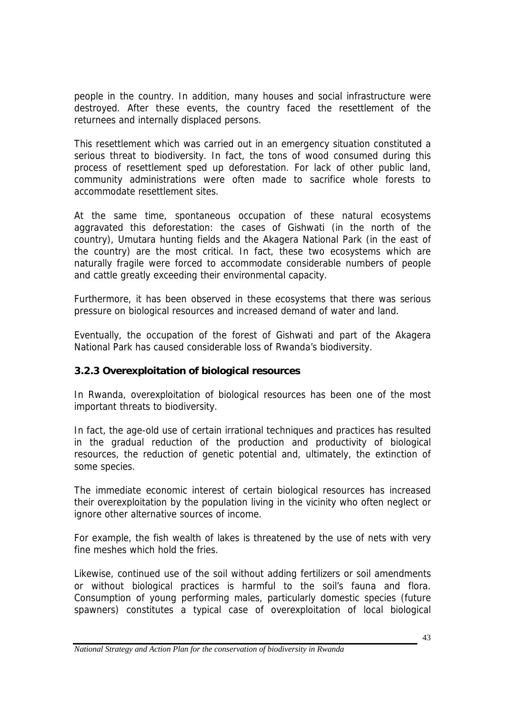people in the country. In addition, many houses and social infrastructure were destroyed. After these events, the country faced the resettlement of the returnees and internally displaced persons.

This resettlement which was carried out in an emergency situation constituted a serious threat to biodiversity. In fact, the tons of wood consumed during this process of resettlement sped up deforestation. For lack of other public land, community administrations were often made to sacrifice whole forests to accommodate resettlement sites.

At the same time, spontaneous occupation of these natural ecosystems aggravated this deforestation: the cases of Gishwati (in the north of the country), Umutara hunting fields and the Akagera National Park (in the east of the country) are the most critical. In fact, these two ecosystems which are naturally fragile were forced to accommodate considerable numbers of people and cattle greatly exceeding their environmental capacity.

Furthermore, it has been observed in these ecosystems that there was serious pressure on biological resources and increased demand of water and land.

Eventually, the occupation of the forest of Gishwati and part of the Akagera National Park has caused considerable loss of Rwanda's biodiversity.

### **3.2.3 Overexploitation of biological resources**

In Rwanda, overexploitation of biological resources has been one of the most important threats to biodiversity.

In fact, the age-old use of certain irrational techniques and practices has resulted in the gradual reduction of the production and productivity of biological resources, the reduction of genetic potential and, ultimately, the extinction of some species.

The immediate economic interest of certain biological resources has increased their overexploitation by the population living in the vicinity who often neglect or ignore other alternative sources of income.

For example, the fish wealth of lakes is threatened by the use of nets with very fine meshes which hold the fries.

Likewise, continued use of the soil without adding fertilizers or soil amendments or without biological practices is harmful to the soil's fauna and flora. Consumption of young performing males, particularly domestic species (future spawners) constitutes a typical case of overexploitation of local biological

*National Strategy and Action Plan for the conservation of biodiversity in Rwanda*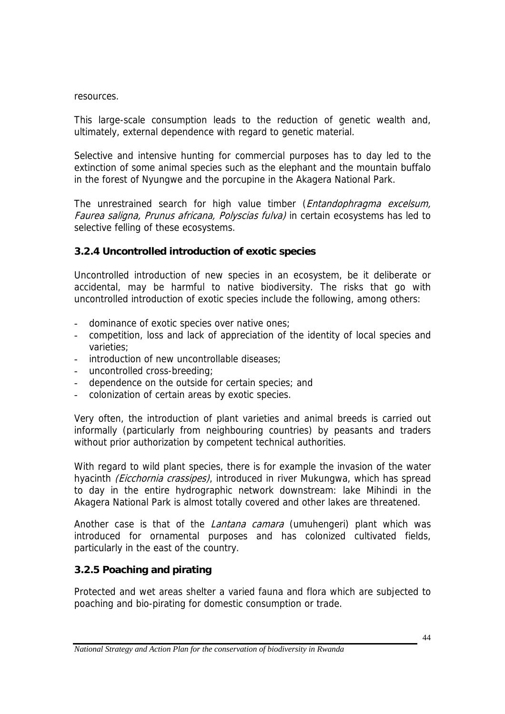#### resources.

This large-scale consumption leads to the reduction of genetic wealth and, ultimately, external dependence with regard to genetic material.

Selective and intensive hunting for commercial purposes has to day led to the extinction of some animal species such as the elephant and the mountain buffalo in the forest of Nyungwe and the porcupine in the Akagera National Park.

The unrestrained search for high value timber (*Entandophragma excelsum*, Faurea saligna, Prunus africana, Polyscias fulva) in certain ecosystems has led to selective felling of these ecosystems.

### **3.2.4 Uncontrolled introduction of exotic species**

Uncontrolled introduction of new species in an ecosystem, be it deliberate or accidental, may be harmful to native biodiversity. The risks that go with uncontrolled introduction of exotic species include the following, among others:

- dominance of exotic species over native ones;
- competition, loss and lack of appreciation of the identity of local species and varieties;
- introduction of new uncontrollable diseases;
- uncontrolled cross-breeding;
- dependence on the outside for certain species; and
- colonization of certain areas by exotic species.

Very often, the introduction of plant varieties and animal breeds is carried out informally (particularly from neighbouring countries) by peasants and traders without prior authorization by competent technical authorities.

With regard to wild plant species, there is for example the invasion of the water hyacinth (Eicchornia crassipes), introduced in river Mukungwa, which has spread to day in the entire hydrographic network downstream: lake Mihindi in the Akagera National Park is almost totally covered and other lakes are threatened.

Another case is that of the *Lantana camara* (umuhengeri) plant which was introduced for ornamental purposes and has colonized cultivated fields, particularly in the east of the country.

## **3.2.5 Poaching and pirating**

Protected and wet areas shelter a varied fauna and flora which are subjected to poaching and bio-pirating for domestic consumption or trade.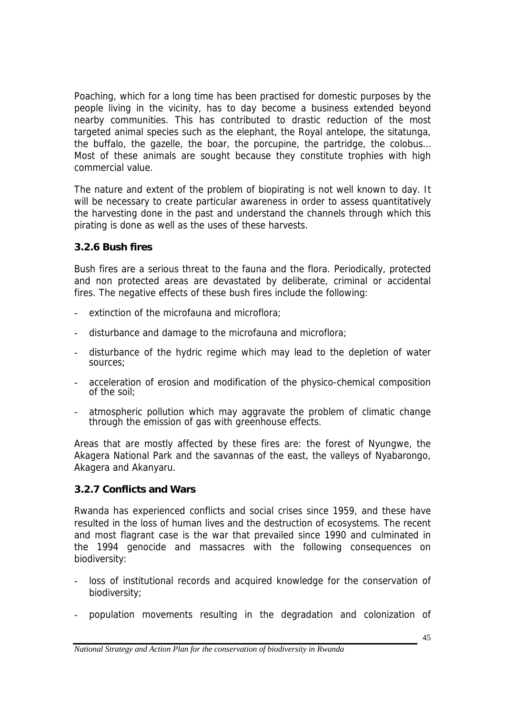Poaching, which for a long time has been practised for domestic purposes by the people living in the vicinity, has to day become a business extended beyond nearby communities. This has contributed to drastic reduction of the most targeted animal species such as the elephant, the Royal antelope, the sitatunga, the buffalo, the gazelle, the boar, the porcupine, the partridge, the colobus… Most of these animals are sought because they constitute trophies with high commercial value.

The nature and extent of the problem of biopirating is not well known to day. It will be necessary to create particular awareness in order to assess quantitatively the harvesting done in the past and understand the channels through which this pirating is done as well as the uses of these harvests.

### **3.2.6 Bush fires**

Bush fires are a serious threat to the fauna and the flora. Periodically, protected and non protected areas are devastated by deliberate, criminal or accidental fires. The negative effects of these bush fires include the following:

- extinction of the microfauna and microflora;
- disturbance and damage to the microfauna and microflora;
- disturbance of the hydric regime which may lead to the depletion of water sources;
- acceleration of erosion and modification of the physico-chemical composition of the soil;
- atmospheric pollution which may aggravate the problem of climatic change through the emission of gas with greenhouse effects.

Areas that are mostly affected by these fires are: the forest of Nyungwe, the Akagera National Park and the savannas of the east, the valleys of Nyabarongo, Akagera and Akanyaru.

### **3.2.7 Conflicts and Wars**

Rwanda has experienced conflicts and social crises since 1959, and these have resulted in the loss of human lives and the destruction of ecosystems. The recent and most flagrant case is the war that prevailed since 1990 and culminated in the 1994 genocide and massacres with the following consequences on biodiversity:

- loss of institutional records and acquired knowledge for the conservation of biodiversity;
- population movements resulting in the degradation and colonization of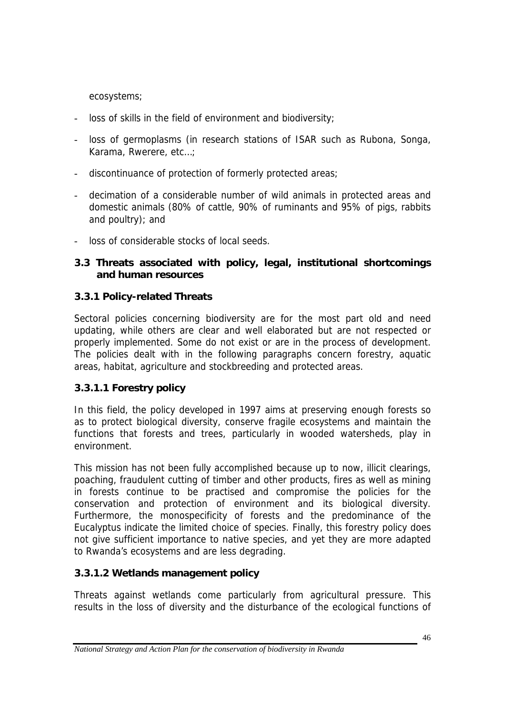ecosystems;

- loss of skills in the field of environment and biodiversity;
- loss of germoplasms (in research stations of ISAR such as Rubona, Songa, Karama, Rwerere, etc…;
- discontinuance of protection of formerly protected areas;
- decimation of a considerable number of wild animals in protected areas and domestic animals (80% of cattle, 90% of ruminants and 95% of pigs, rabbits and poultry); and
- loss of considerable stocks of local seeds.

### **3.3 Threats associated with policy, legal, institutional shortcomings and human resources**

### **3.3.1 Policy-related Threats**

Sectoral policies concerning biodiversity are for the most part old and need updating, while others are clear and well elaborated but are not respected or properly implemented. Some do not exist or are in the process of development. The policies dealt with in the following paragraphs concern forestry, aquatic areas, habitat, agriculture and stockbreeding and protected areas.

### **3.3.1.1 Forestry policy**

In this field, the policy developed in 1997 aims at preserving enough forests so as to protect biological diversity, conserve fragile ecosystems and maintain the functions that forests and trees, particularly in wooded watersheds, play in environment.

This mission has not been fully accomplished because up to now, illicit clearings, poaching, fraudulent cutting of timber and other products, fires as well as mining in forests continue to be practised and compromise the policies for the conservation and protection of environment and its biological diversity. Furthermore, the monospecificity of forests and the predominance of the Eucalyptus indicate the limited choice of species. Finally, this forestry policy does not give sufficient importance to native species, and yet they are more adapted to Rwanda's ecosystems and are less degrading.

### **3.3.1.2 Wetlands management policy**

Threats against wetlands come particularly from agricultural pressure. This results in the loss of diversity and the disturbance of the ecological functions of

*National Strategy and Action Plan for the conservation of biodiversity in Rwanda*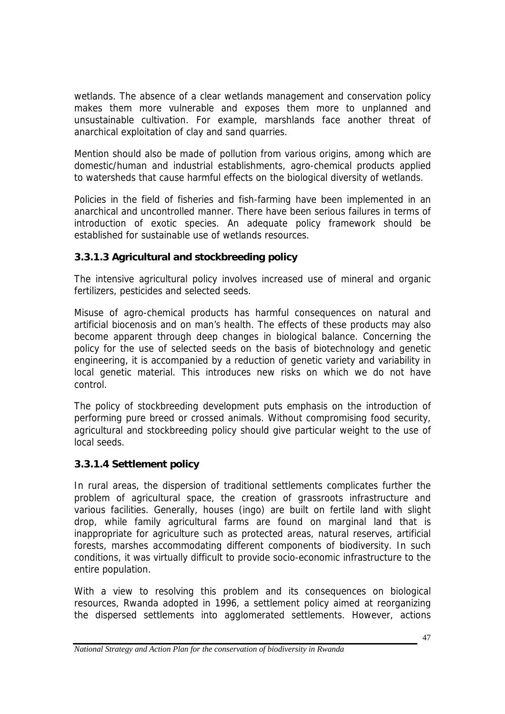wetlands. The absence of a clear wetlands management and conservation policy makes them more vulnerable and exposes them more to unplanned and unsustainable cultivation. For example, marshlands face another threat of anarchical exploitation of clay and sand quarries.

Mention should also be made of pollution from various origins, among which are domestic/human and industrial establishments, agro-chemical products applied to watersheds that cause harmful effects on the biological diversity of wetlands.

Policies in the field of fisheries and fish-farming have been implemented in an anarchical and uncontrolled manner. There have been serious failures in terms of introduction of exotic species. An adequate policy framework should be established for sustainable use of wetlands resources.

## **3.3.1.3 Agricultural and stockbreeding policy**

The intensive agricultural policy involves increased use of mineral and organic fertilizers, pesticides and selected seeds.

Misuse of agro-chemical products has harmful consequences on natural and artificial biocenosis and on man's health. The effects of these products may also become apparent through deep changes in biological balance. Concerning the policy for the use of selected seeds on the basis of biotechnology and genetic engineering, it is accompanied by a reduction of genetic variety and variability in local genetic material. This introduces new risks on which we do not have control.

The policy of stockbreeding development puts emphasis on the introduction of performing pure breed or crossed animals. Without compromising food security, agricultural and stockbreeding policy should give particular weight to the use of local seeds.

## **3.3.1.4 Settlement policy**

In rural areas, the dispersion of traditional settlements complicates further the problem of agricultural space, the creation of grassroots infrastructure and various facilities. Generally, houses (ingo) are built on fertile land with slight drop, while family agricultural farms are found on marginal land that is inappropriate for agriculture such as protected areas, natural reserves, artificial forests, marshes accommodating different components of biodiversity. In such conditions, it was virtually difficult to provide socio-economic infrastructure to the entire population.

With a view to resolving this problem and its consequences on biological resources, Rwanda adopted in 1996, a settlement policy aimed at reorganizing the dispersed settlements into agglomerated settlements. However, actions

*National Strategy and Action Plan for the conservation of biodiversity in Rwanda*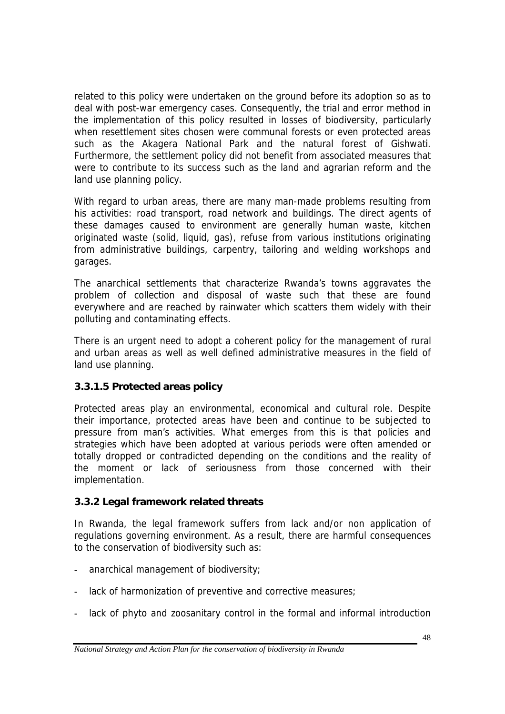related to this policy were undertaken on the ground before its adoption so as to deal with post-war emergency cases. Consequently, the trial and error method in the implementation of this policy resulted in losses of biodiversity, particularly when resettlement sites chosen were communal forests or even protected areas such as the Akagera National Park and the natural forest of Gishwati. Furthermore, the settlement policy did not benefit from associated measures that were to contribute to its success such as the land and agrarian reform and the land use planning policy.

With regard to urban areas, there are many man-made problems resulting from his activities: road transport, road network and buildings. The direct agents of these damages caused to environment are generally human waste, kitchen originated waste (solid, liquid, gas), refuse from various institutions originating from administrative buildings, carpentry, tailoring and welding workshops and garages.

The anarchical settlements that characterize Rwanda's towns aggravates the problem of collection and disposal of waste such that these are found everywhere and are reached by rainwater which scatters them widely with their polluting and contaminating effects.

There is an urgent need to adopt a coherent policy for the management of rural and urban areas as well as well defined administrative measures in the field of land use planning.

### **3.3.1.5 Protected areas policy**

Protected areas play an environmental, economical and cultural role. Despite their importance, protected areas have been and continue to be subjected to pressure from man's activities. What emerges from this is that policies and strategies which have been adopted at various periods were often amended or totally dropped or contradicted depending on the conditions and the reality of the moment or lack of seriousness from those concerned with their implementation.

### **3.3.2 Legal framework related threats**

In Rwanda, the legal framework suffers from lack and/or non application of regulations governing environment. As a result, there are harmful consequences to the conservation of biodiversity such as:

- anarchical management of biodiversity;
- lack of harmonization of preventive and corrective measures;
- lack of phyto and zoosanitary control in the formal and informal introduction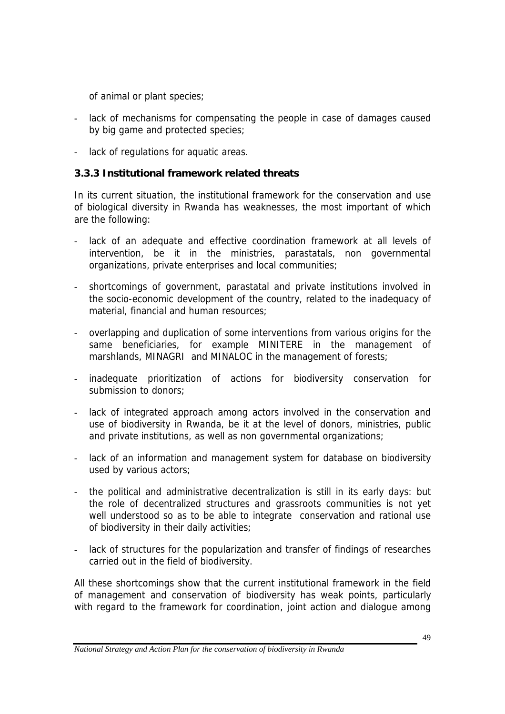of animal or plant species;

- lack of mechanisms for compensating the people in case of damages caused by big game and protected species;
- lack of regulations for aquatic areas.

### **3.3.3 Institutional framework related threats**

In its current situation, the institutional framework for the conservation and use of biological diversity in Rwanda has weaknesses, the most important of which are the following:

- lack of an adequate and effective coordination framework at all levels of intervention, be it in the ministries, parastatals, non governmental organizations, private enterprises and local communities;
- shortcomings of government, parastatal and private institutions involved in the socio-economic development of the country, related to the inadequacy of material, financial and human resources;
- overlapping and duplication of some interventions from various origins for the same beneficiaries, for example MINITERE in the management of marshlands, MINAGRI and MINALOC in the management of forests;
- inadequate prioritization of actions for biodiversity conservation for submission to donors;
- lack of integrated approach among actors involved in the conservation and use of biodiversity in Rwanda, be it at the level of donors, ministries, public and private institutions, as well as non governmental organizations;
- lack of an information and management system for database on biodiversity used by various actors;
- the political and administrative decentralization is still in its early days: but the role of decentralized structures and grassroots communities is not yet well understood so as to be able to integrate conservation and rational use of biodiversity in their daily activities;
- lack of structures for the popularization and transfer of findings of researches carried out in the field of biodiversity.

All these shortcomings show that the current institutional framework in the field of management and conservation of biodiversity has weak points, particularly with regard to the framework for coordination, joint action and dialogue among

*National Strategy and Action Plan for the conservation of biodiversity in Rwanda*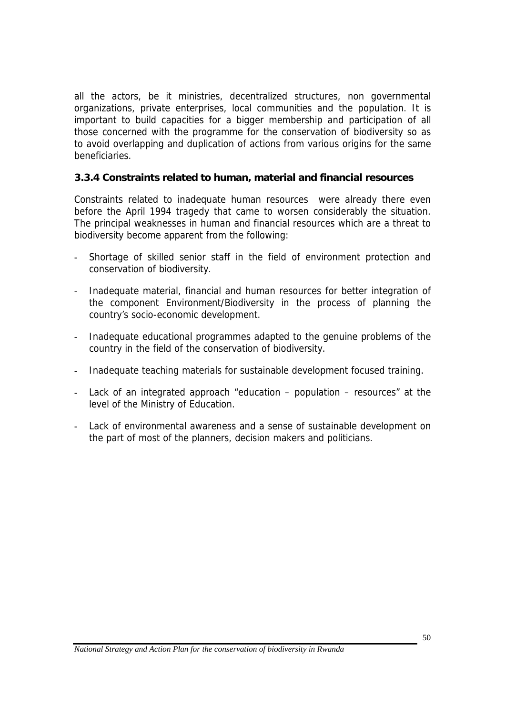all the actors, be it ministries, decentralized structures, non governmental organizations, private enterprises, local communities and the population. It is important to build capacities for a bigger membership and participation of all those concerned with the programme for the conservation of biodiversity so as to avoid overlapping and duplication of actions from various origins for the same beneficiaries.

#### **3.3.4 Constraints related to human, material and financial resources**

Constraints related to inadequate human resources were already there even before the April 1994 tragedy that came to worsen considerably the situation. The principal weaknesses in human and financial resources which are a threat to biodiversity become apparent from the following:

- Shortage of skilled senior staff in the field of environment protection and conservation of biodiversity.
- Inadequate material, financial and human resources for better integration of the component Environment/Biodiversity in the process of planning the country's socio-economic development.
- Inadequate educational programmes adapted to the genuine problems of the country in the field of the conservation of biodiversity.
- Inadequate teaching materials for sustainable development focused training.
- Lack of an integrated approach "education population resources" at the level of the Ministry of Education.
- Lack of environmental awareness and a sense of sustainable development on the part of most of the planners, decision makers and politicians.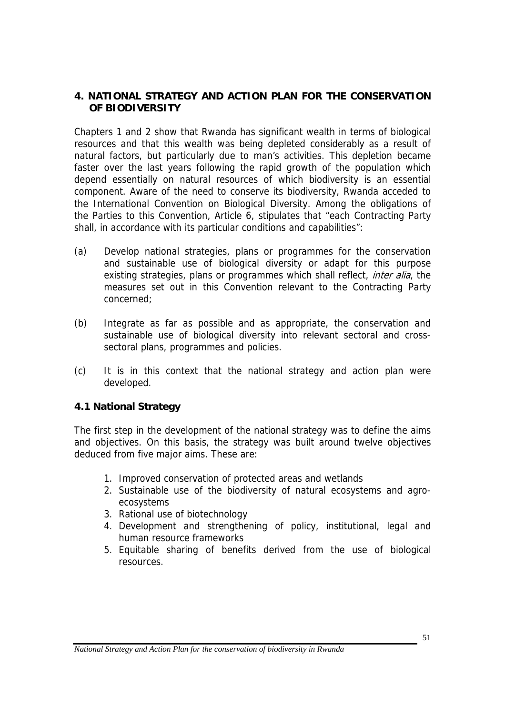#### **4. NATIONAL STRATEGY AND ACTION PLAN FOR THE CONSERVATION OF BIODIVERSITY**

Chapters 1 and 2 show that Rwanda has significant wealth in terms of biological resources and that this wealth was being depleted considerably as a result of natural factors, but particularly due to man's activities. This depletion became faster over the last years following the rapid growth of the population which depend essentially on natural resources of which biodiversity is an essential component. Aware of the need to conserve its biodiversity, Rwanda acceded to the International Convention on Biological Diversity. Among the obligations of the Parties to this Convention, Article 6, stipulates that "each Contracting Party shall, in accordance with its particular conditions and capabilities":

- (a) Develop national strategies, plans or programmes for the conservation and sustainable use of biological diversity or adapt for this purpose existing strategies, plans or programmes which shall reflect, *inter alia*, the measures set out in this Convention relevant to the Contracting Party concerned;
- (b) Integrate as far as possible and as appropriate, the conservation and sustainable use of biological diversity into relevant sectoral and crosssectoral plans, programmes and policies.
- (c) It is in this context that the national strategy and action plan were developed.

### **4.1 National Strategy**

The first step in the development of the national strategy was to define the aims and objectives. On this basis, the strategy was built around twelve objectives deduced from five major aims. These are:

- 1. Improved conservation of protected areas and wetlands
- 2. Sustainable use of the biodiversity of natural ecosystems and agroecosystems
- 3. Rational use of biotechnology
- 4. Development and strengthening of policy, institutional, legal and human resource frameworks
- 5. Equitable sharing of benefits derived from the use of biological resources.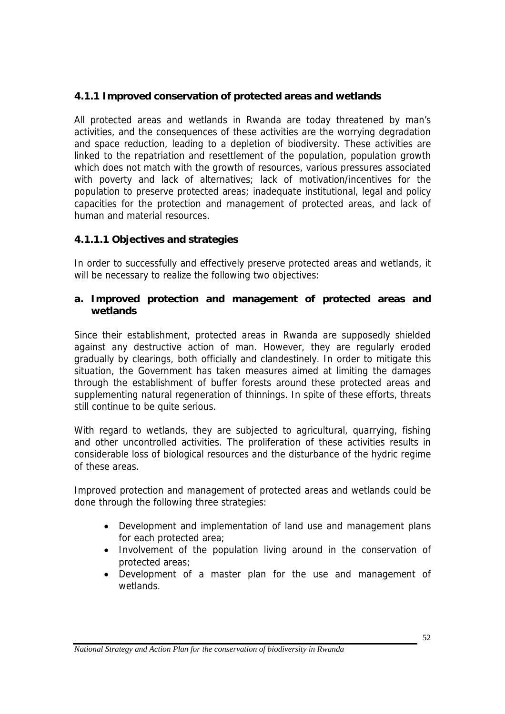### **4.1.1 Improved conservation of protected areas and wetlands**

All protected areas and wetlands in Rwanda are today threatened by man's activities, and the consequences of these activities are the worrying degradation and space reduction, leading to a depletion of biodiversity. These activities are linked to the repatriation and resettlement of the population, population growth which does not match with the growth of resources, various pressures associated with poverty and lack of alternatives; lack of motivation/incentives for the population to preserve protected areas; inadequate institutional, legal and policy capacities for the protection and management of protected areas, and lack of human and material resources.

### **4.1.1.1 Objectives and strategies**

In order to successfully and effectively preserve protected areas and wetlands, it will be necessary to realize the following two objectives:

#### **a. Improved protection and management of protected areas and wetlands**

Since their establishment, protected areas in Rwanda are supposedly shielded against any destructive action of man. However, they are regularly eroded gradually by clearings, both officially and clandestinely. In order to mitigate this situation, the Government has taken measures aimed at limiting the damages through the establishment of buffer forests around these protected areas and supplementing natural regeneration of thinnings. In spite of these efforts, threats still continue to be quite serious.

With regard to wetlands, they are subjected to agricultural, quarrying, fishing and other uncontrolled activities. The proliferation of these activities results in considerable loss of biological resources and the disturbance of the hydric regime of these areas.

Improved protection and management of protected areas and wetlands could be done through the following three strategies:

- Development and implementation of land use and management plans for each protected area;
- Involvement of the population living around in the conservation of protected areas;
- Development of a master plan for the use and management of wetlands.

*National Strategy and Action Plan for the conservation of biodiversity in Rwanda*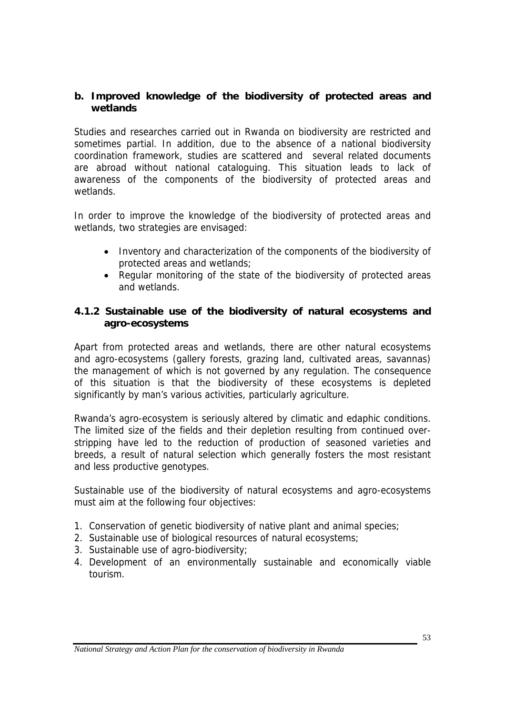#### **b. Improved knowledge of the biodiversity of protected areas and wetlands**

Studies and researches carried out in Rwanda on biodiversity are restricted and sometimes partial. In addition, due to the absence of a national biodiversity coordination framework, studies are scattered and several related documents are abroad without national cataloguing. This situation leads to lack of awareness of the components of the biodiversity of protected areas and wetlands.

In order to improve the knowledge of the biodiversity of protected areas and wetlands, two strategies are envisaged:

- Inventory and characterization of the components of the biodiversity of protected areas and wetlands;
- Regular monitoring of the state of the biodiversity of protected areas and wetlands.

#### **4.1.2 Sustainable use of the biodiversity of natural ecosystems and agro-ecosystems**

Apart from protected areas and wetlands, there are other natural ecosystems and agro-ecosystems (gallery forests, grazing land, cultivated areas, savannas) the management of which is not governed by any regulation. The consequence of this situation is that the biodiversity of these ecosystems is depleted significantly by man's various activities, particularly agriculture.

Rwanda's agro-ecosystem is seriously altered by climatic and edaphic conditions. The limited size of the fields and their depletion resulting from continued overstripping have led to the reduction of production of seasoned varieties and breeds, a result of natural selection which generally fosters the most resistant and less productive genotypes.

Sustainable use of the biodiversity of natural ecosystems and agro-ecosystems must aim at the following four objectives:

- 1. Conservation of genetic biodiversity of native plant and animal species;
- 2. Sustainable use of biological resources of natural ecosystems;
- 3. Sustainable use of agro-biodiversity;
- 4. Development of an environmentally sustainable and economically viable tourism.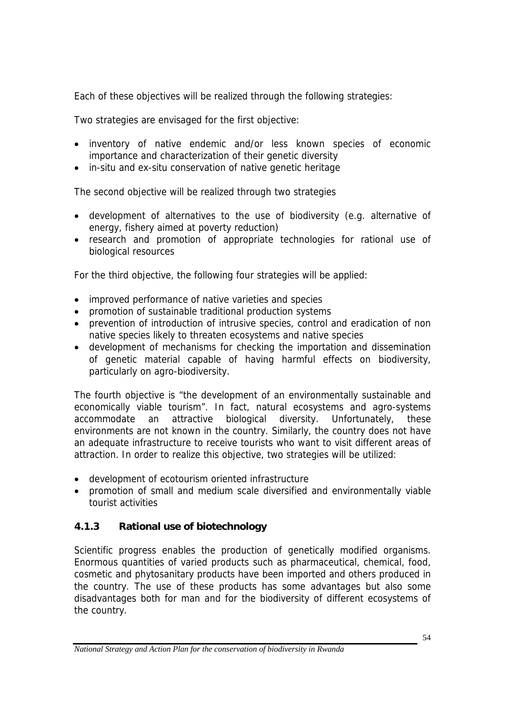Each of these objectives will be realized through the following strategies:

Two strategies are envisaged for the first objective:

- inventory of native endemic and/or less known species of economic importance and characterization of their genetic diversity
- in-situ and ex-situ conservation of native genetic heritage

The second objective will be realized through two strategies

- development of alternatives to the use of biodiversity (e.g. alternative of energy, fishery aimed at poverty reduction)
- research and promotion of appropriate technologies for rational use of biological resources

For the third objective, the following four strategies will be applied:

- improved performance of native varieties and species
- promotion of sustainable traditional production systems
- prevention of introduction of intrusive species, control and eradication of non native species likely to threaten ecosystems and native species
- development of mechanisms for checking the importation and dissemination of genetic material capable of having harmful effects on biodiversity, particularly on agro-biodiversity.

The fourth objective is "the development of an environmentally sustainable and economically viable tourism". In fact, natural ecosystems and agro-systems accommodate an attractive biological diversity. Unfortunately, these environments are not known in the country. Similarly, the country does not have an adequate infrastructure to receive tourists who want to visit different areas of attraction. In order to realize this objective, two strategies will be utilized:

- development of ecotourism oriented infrastructure
- promotion of small and medium scale diversified and environmentally viable tourist activities

## **4.1.3 Rational use of biotechnology**

Scientific progress enables the production of genetically modified organisms. Enormous quantities of varied products such as pharmaceutical, chemical, food, cosmetic and phytosanitary products have been imported and others produced in the country. The use of these products has some advantages but also some disadvantages both for man and for the biodiversity of different ecosystems of the country.

*National Strategy and Action Plan for the conservation of biodiversity in Rwanda*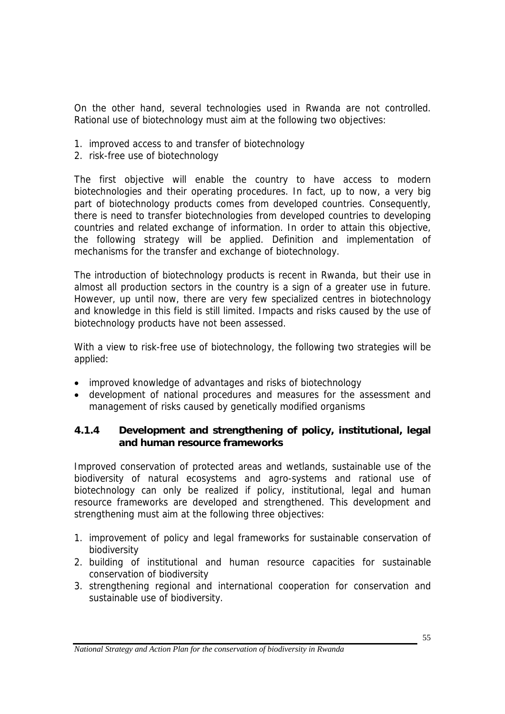On the other hand, several technologies used in Rwanda are not controlled. Rational use of biotechnology must aim at the following two objectives:

- 1. improved access to and transfer of biotechnology
- 2. risk-free use of biotechnology

The first objective will enable the country to have access to modern biotechnologies and their operating procedures. In fact, up to now, a very big part of biotechnology products comes from developed countries. Consequently, there is need to transfer biotechnologies from developed countries to developing countries and related exchange of information. In order to attain this objective, the following strategy will be applied. Definition and implementation of mechanisms for the transfer and exchange of biotechnology.

The introduction of biotechnology products is recent in Rwanda, but their use in almost all production sectors in the country is a sign of a greater use in future. However, up until now, there are very few specialized centres in biotechnology and knowledge in this field is still limited. Impacts and risks caused by the use of biotechnology products have not been assessed.

With a view to risk-free use of biotechnology, the following two strategies will be applied:

- improved knowledge of advantages and risks of biotechnology
- development of national procedures and measures for the assessment and management of risks caused by genetically modified organisms

#### **4.1.4 Development and strengthening of policy, institutional, legal and human resource frameworks**

Improved conservation of protected areas and wetlands, sustainable use of the biodiversity of natural ecosystems and agro-systems and rational use of biotechnology can only be realized if policy, institutional, legal and human resource frameworks are developed and strengthened. This development and strengthening must aim at the following three objectives:

- 1. improvement of policy and legal frameworks for sustainable conservation of biodiversity
- 2. building of institutional and human resource capacities for sustainable conservation of biodiversity
- 3. strengthening regional and international cooperation for conservation and sustainable use of biodiversity.

*National Strategy and Action Plan for the conservation of biodiversity in Rwanda*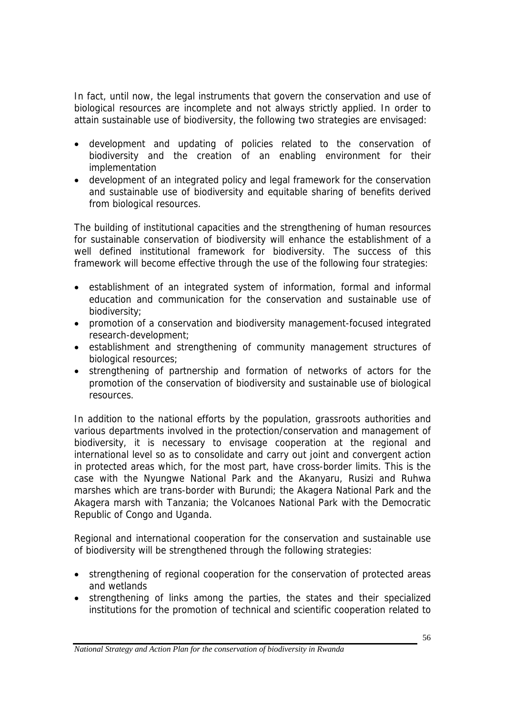In fact, until now, the legal instruments that govern the conservation and use of biological resources are incomplete and not always strictly applied. In order to attain sustainable use of biodiversity, the following two strategies are envisaged:

- development and updating of policies related to the conservation of biodiversity and the creation of an enabling environment for their implementation
- development of an integrated policy and legal framework for the conservation and sustainable use of biodiversity and equitable sharing of benefits derived from biological resources.

The building of institutional capacities and the strengthening of human resources for sustainable conservation of biodiversity will enhance the establishment of a well defined institutional framework for biodiversity. The success of this framework will become effective through the use of the following four strategies:

- establishment of an integrated system of information, formal and informal education and communication for the conservation and sustainable use of biodiversity;
- promotion of a conservation and biodiversity management-focused integrated research-development;
- establishment and strengthening of community management structures of biological resources;
- strengthening of partnership and formation of networks of actors for the promotion of the conservation of biodiversity and sustainable use of biological resources.

In addition to the national efforts by the population, grassroots authorities and various departments involved in the protection/conservation and management of biodiversity, it is necessary to envisage cooperation at the regional and international level so as to consolidate and carry out joint and convergent action in protected areas which, for the most part, have cross-border limits. This is the case with the Nyungwe National Park and the Akanyaru, Rusizi and Ruhwa marshes which are trans-border with Burundi; the Akagera National Park and the Akagera marsh with Tanzania; the Volcanoes National Park with the Democratic Republic of Congo and Uganda.

Regional and international cooperation for the conservation and sustainable use of biodiversity will be strengthened through the following strategies:

- strengthening of regional cooperation for the conservation of protected areas and wetlands
- strengthening of links among the parties, the states and their specialized institutions for the promotion of technical and scientific cooperation related to

*National Strategy and Action Plan for the conservation of biodiversity in Rwanda*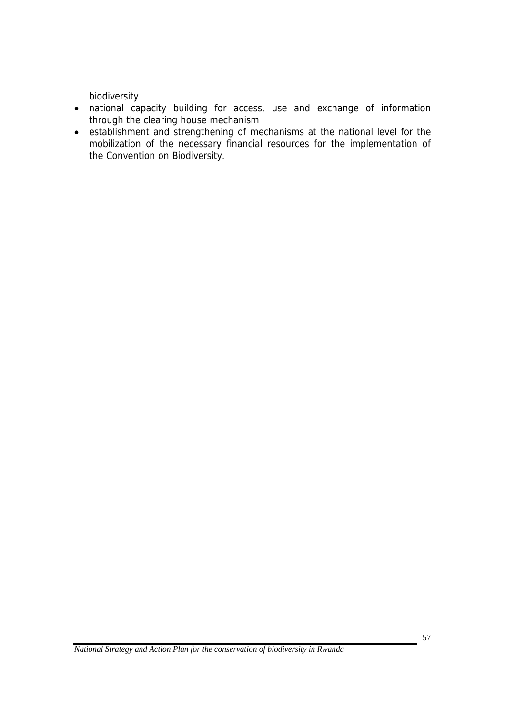biodiversity

- national capacity building for access, use and exchange of information through the clearing house mechanism
- establishment and strengthening of mechanisms at the national level for the mobilization of the necessary financial resources for the implementation of the Convention on Biodiversity.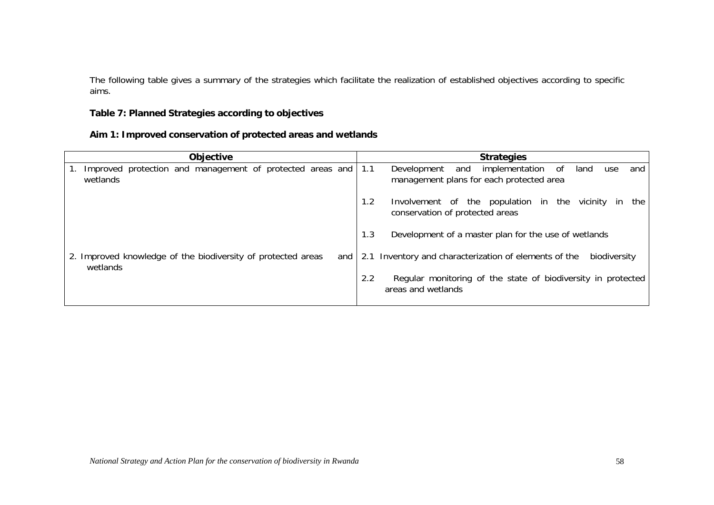The following table gives a summary of the strategies which facilitate the realization of established objectives according to specific aims.

#### **Table 7: Planned Strategies according to objectives**

| Aim 1: Improved conservation of protected areas and wetlands |  |
|--------------------------------------------------------------|--|
|--------------------------------------------------------------|--|

| <b>Objective</b>                                                                  | <b>Strategies</b>                                                                                         |
|-----------------------------------------------------------------------------------|-----------------------------------------------------------------------------------------------------------|
| Improved protection and management of protected areas and 1.1<br>wetlands         | implementation of<br>and<br>land<br>Development<br>and<br>use<br>management plans for each protected area |
|                                                                                   | Involvement of the population in the vicinity in<br>1.2<br>the<br>conservation of protected areas         |
|                                                                                   | Development of a master plan for the use of wetlands<br>1.3                                               |
| 2. Improved knowledge of the biodiversity of protected areas<br>and I<br>wetlands | 2.1 Inventory and characterization of elements of the<br>biodiversity                                     |
|                                                                                   | Regular monitoring of the state of biodiversity in protected<br>2.2<br>areas and wetlands                 |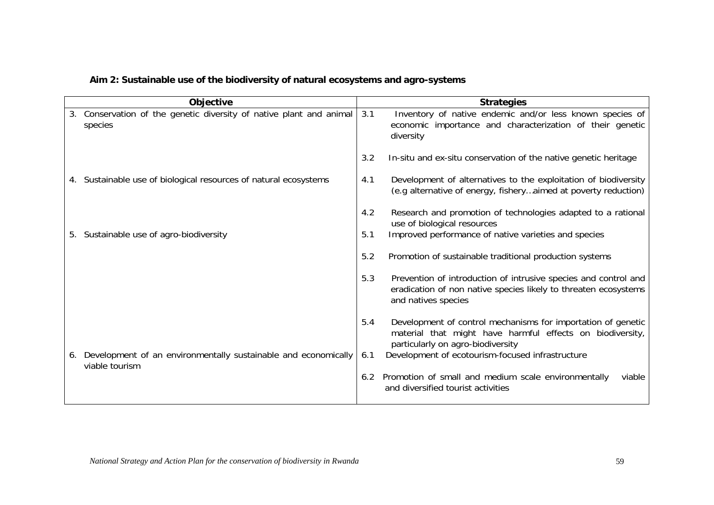|    | Objective                                                                      |     | <b>Strategies</b>                                                                                                                                              |
|----|--------------------------------------------------------------------------------|-----|----------------------------------------------------------------------------------------------------------------------------------------------------------------|
|    | 3. Conservation of the genetic diversity of native plant and animal<br>species | 3.1 | Inventory of native endemic and/or less known species of<br>economic importance and characterization of their genetic<br>diversity                             |
|    |                                                                                | 3.2 | In-situ and ex-situ conservation of the native genetic heritage                                                                                                |
|    | 4. Sustainable use of biological resources of natural ecosystems               | 4.1 | Development of alternatives to the exploitation of biodiversity<br>(e.g alternative of energy, fisheryaimed at poverty reduction)                              |
|    |                                                                                | 4.2 | Research and promotion of technologies adapted to a rational<br>use of biological resources                                                                    |
|    | 5. Sustainable use of agro-biodiversity                                        | 5.1 | Improved performance of native varieties and species                                                                                                           |
|    |                                                                                | 5.2 | Promotion of sustainable traditional production systems                                                                                                        |
|    |                                                                                | 5.3 | Prevention of introduction of intrusive species and control and<br>eradication of non native species likely to threaten ecosystems<br>and natives species      |
|    |                                                                                | 5.4 | Development of control mechanisms for importation of genetic<br>material that might have harmful effects on biodiversity,<br>particularly on agro-biodiversity |
| 6. | Development of an environmentally sustainable and economically                 | 6.1 | Development of ecotourism-focused infrastructure                                                                                                               |
|    | viable tourism                                                                 | 6.2 | Promotion of small and medium scale environmentally<br>viable<br>and diversified tourist activities                                                            |

### **Aim 2: Sustainable use of the biodiversity of natural ecosystems and agro-systems**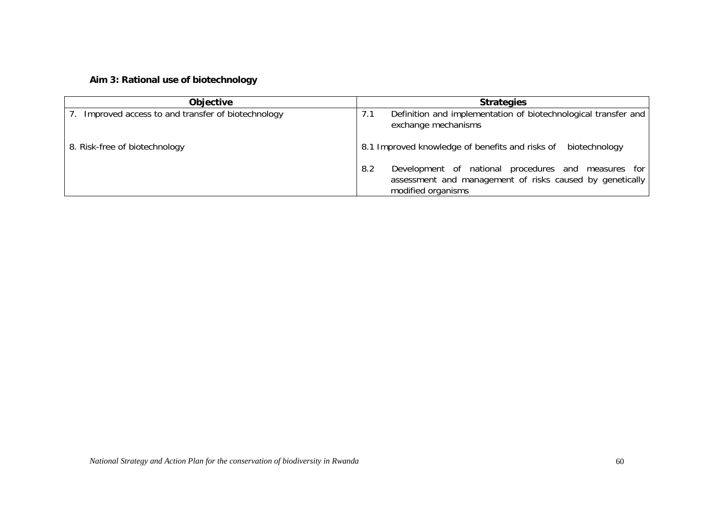### **Aim 3: Rational use of biotechnology**

| <b>Objective</b>                                 | <b>Strategies</b>                                                                                                                            |  |  |  |
|--------------------------------------------------|----------------------------------------------------------------------------------------------------------------------------------------------|--|--|--|
| Improved access to and transfer of biotechnology | Definition and implementation of biotechnological transfer and<br>7.1<br>exchange mechanisms                                                 |  |  |  |
| 8. Risk-free of biotechnology                    | 8.1 Improved knowledge of benefits and risks of<br>biotechnology                                                                             |  |  |  |
|                                                  | Development of national procedures and measures for<br>8.2<br>assessment and management of risks caused by genetically<br>modified organisms |  |  |  |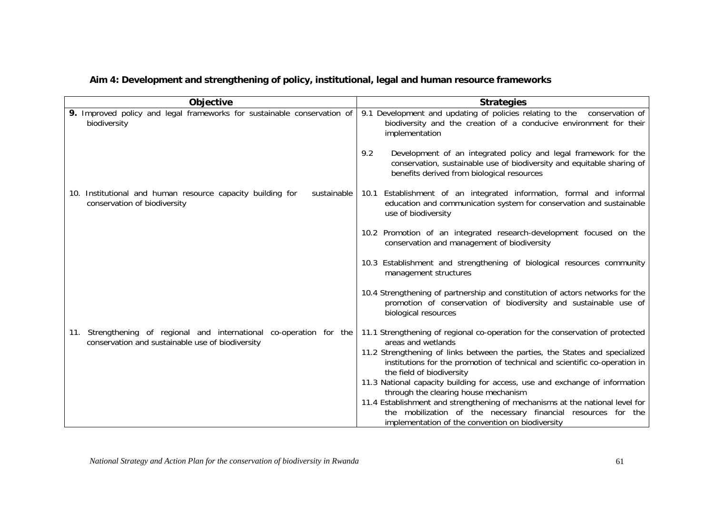|  |  | Aim 4: Development and strengthening of policy, institutional, legal and human resource frameworks |  |
|--|--|----------------------------------------------------------------------------------------------------|--|
|  |  |                                                                                                    |  |

| Objective                                                                                                                | <b>Strategies</b>                                                                                                                                                                              |
|--------------------------------------------------------------------------------------------------------------------------|------------------------------------------------------------------------------------------------------------------------------------------------------------------------------------------------|
| 9. Improved policy and legal frameworks for sustainable conservation of<br>biodiversity                                  | 9.1 Development and updating of policies relating to the conservation of<br>biodiversity and the creation of a conducive environment for their<br>implementation                               |
|                                                                                                                          | 9.2<br>Development of an integrated policy and legal framework for the<br>conservation, sustainable use of biodiversity and equitable sharing of<br>benefits derived from biological resources |
| 10. Institutional and human resource capacity building for<br>sustainable<br>conservation of biodiversity                | Establishment of an integrated information, formal and informal<br>10.1<br>education and communication system for conservation and sustainable<br>use of biodiversity                          |
|                                                                                                                          | 10.2 Promotion of an integrated research-development focused on the<br>conservation and management of biodiversity                                                                             |
|                                                                                                                          | 10.3 Establishment and strengthening of biological resources community<br>management structures                                                                                                |
|                                                                                                                          | 10.4 Strengthening of partnership and constitution of actors networks for the<br>promotion of conservation of biodiversity and sustainable use of<br>biological resources                      |
| 11. Strengthening of regional and international co-operation for the<br>conservation and sustainable use of biodiversity | 11.1 Strengthening of regional co-operation for the conservation of protected<br>areas and wetlands                                                                                            |
|                                                                                                                          | 11.2 Strengthening of links between the parties, the States and specialized<br>institutions for the promotion of technical and scientific co-operation in<br>the field of biodiversity         |
|                                                                                                                          | 11.3 National capacity building for access, use and exchange of information                                                                                                                    |
|                                                                                                                          | through the clearing house mechanism<br>11.4 Establishment and strengthening of mechanisms at the national level for                                                                           |
|                                                                                                                          | the mobilization of the necessary financial resources for the                                                                                                                                  |
|                                                                                                                          | implementation of the convention on biodiversity                                                                                                                                               |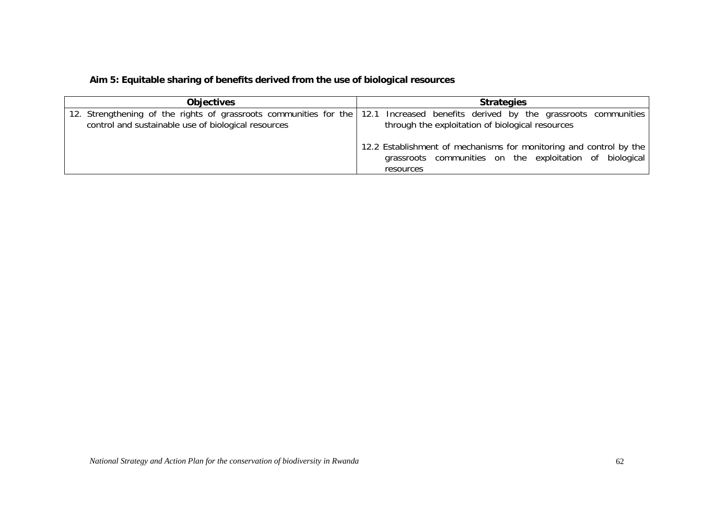### **Aim 5: Equitable sharing of benefits derived from the use of biological resources**

| <b>Objectives</b>                                   | <b>Strategies</b>                                                                                                                                                                   |  |  |  |
|-----------------------------------------------------|-------------------------------------------------------------------------------------------------------------------------------------------------------------------------------------|--|--|--|
| control and sustainable use of biological resources | 12. Strengthening of the rights of grassroots communities for the 12.1 Increased benefits derived by the grassroots communities<br>through the exploitation of biological resources |  |  |  |
|                                                     | 12.2 Establishment of mechanisms for monitoring and control by the<br>grassroots communities on the exploitation of biological<br>resources                                         |  |  |  |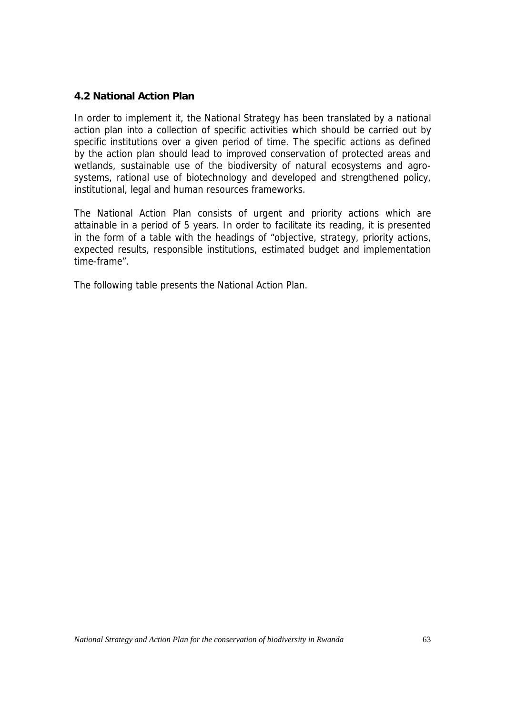#### **4.2 National Action Plan**

In order to implement it, the National Strategy has been translated by a national action plan into a collection of specific activities which should be carried out by specific institutions over a given period of time. The specific actions as defined by the action plan should lead to improved conservation of protected areas and wetlands, sustainable use of the biodiversity of natural ecosystems and agrosystems, rational use of biotechnology and developed and strengthened policy, institutional, legal and human resources frameworks.

The National Action Plan consists of urgent and priority actions which are attainable in a period of 5 years. In order to facilitate its reading, it is presented in the form of a table with the headings of "objective, strategy, priority actions, expected results, responsible institutions, estimated budget and implementation time-frame".

The following table presents the National Action Plan.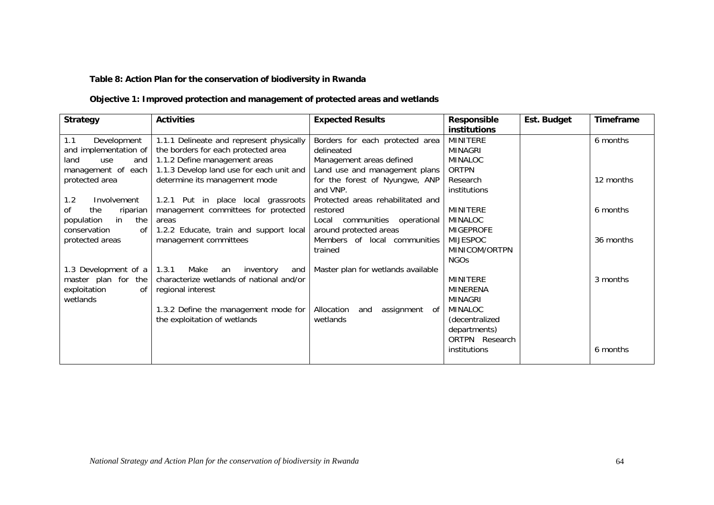#### **Table 8: Action Plan for the conservation of biodiversity in Rwanda**

#### **Objective 1: Improved protection and management of protected areas and wetlands**

| <b>Strategy</b>              | <b>Activities</b>                        | <b>Expected Results</b>               | Responsible      | Est. Budget | Timeframe |
|------------------------------|------------------------------------------|---------------------------------------|------------------|-------------|-----------|
|                              |                                          |                                       | institutions     |             |           |
| Development<br>1.1           | 1.1.1 Delineate and represent physically | Borders for each protected area       | <b>MINITERE</b>  |             | 6 months  |
| and implementation of        | the borders for each protected area      | delineated                            | MINAGRI          |             |           |
| land<br>and<br>use           | 1.1.2 Define management areas            | Management areas defined              | <b>MINALOC</b>   |             |           |
| management of each           | 1.1.3 Develop land use for each unit and | Land use and management plans         | <b>ORTPN</b>     |             |           |
| protected area               | determine its management mode            | for the forest of Nyungwe, ANP        | Research         |             | 12 months |
|                              |                                          | and VNP.                              | institutions     |             |           |
| 1.2<br>Involvement           | 1.2.1 Put in place local grassroots      | Protected areas rehabilitated and     |                  |             |           |
| 0f<br>the<br>riparian        | management committees for protected      | restored                              | <b>MINITERE</b>  |             | 6 months  |
| in<br>population<br>the      | areas                                    | Local communities<br>operational      | <b>MINALOC</b>   |             |           |
| conservation<br>of I         | 1.2.2 Educate, train and support local   | around protected areas                | <b>MIGEPROFE</b> |             |           |
| protected areas              | management committees                    | Members of local communities          | <b>MIJESPOC</b>  |             | 36 months |
|                              |                                          | trained                               | MINICOM/ORTPN    |             |           |
|                              |                                          |                                       | <b>NGOs</b>      |             |           |
| 1.3 Development of a   1.3.1 | Make<br>an<br>inventory<br>and           | Master plan for wetlands available    |                  |             |           |
| master plan for the          | characterize wetlands of national and/or |                                       | <b>MINITERE</b>  |             | 3 months  |
| exploitation<br>of           | regional interest                        |                                       | <b>MINERENA</b>  |             |           |
| wetlands                     |                                          |                                       | MINAGRI          |             |           |
|                              | 1.3.2 Define the management mode for     | Allocation<br>assignment<br>and<br>0f | <b>MINALOC</b>   |             |           |
|                              | the exploitation of wetlands             | wetlands                              | (decentralized   |             |           |
|                              |                                          |                                       | departments)     |             |           |
|                              |                                          |                                       | ORTPN Research   |             |           |
|                              |                                          |                                       | institutions     |             | 6 months  |
|                              |                                          |                                       |                  |             |           |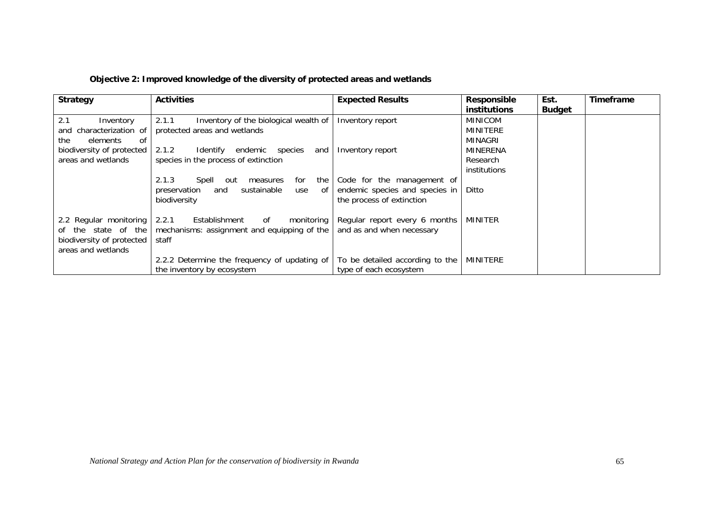|  |  | Objective 2: Improved knowledge of the diversity of protected areas and wetlands |  |
|--|--|----------------------------------------------------------------------------------|--|
|  |  |                                                                                  |  |

| <b>Strategy</b>                                                                                  | <b>Activities</b>                                                                                                    | <b>Expected Results</b>                                                                   | Responsible<br><b>institutions</b>           | Est.<br><b>Budget</b> | <b>Timeframe</b> |
|--------------------------------------------------------------------------------------------------|----------------------------------------------------------------------------------------------------------------------|-------------------------------------------------------------------------------------------|----------------------------------------------|-----------------------|------------------|
| 2.1<br>Inventory<br>and characterization of<br>the<br>elements<br>. of                           | 2.1.1<br>Inventory of the biological wealth of<br>protected areas and wetlands                                       | Inventory report                                                                          | <b>MINICOM</b><br><b>MINITERE</b><br>MINAGRI |                       |                  |
| biodiversity of protected<br>areas and wetlands                                                  | 2.1.2<br>Identify<br>endemic species<br>and<br>species in the process of extinction                                  | Inventory report                                                                          | MINERENA<br>Research<br>institutions         |                       |                  |
|                                                                                                  | 2.1.3<br>for<br>the<br>Spell<br>measures<br>out<br>sustainable<br>preservation<br>and<br>use<br>. of<br>biodiversity | Code for the management of<br>endemic species and species in<br>the process of extinction | Ditto                                        |                       |                  |
| 2.2 Regular monitoring<br>of the state of the<br>biodiversity of protected<br>areas and wetlands | 2.2.1<br>Establishment<br>monitoring<br>of<br>mechanisms: assignment and equipping of the<br>staff                   | Regular report every 6 months<br>and as and when necessary                                | MINITER                                      |                       |                  |
|                                                                                                  | 2.2.2 Determine the frequency of updating of<br>the inventory by ecosystem                                           | To be detailed according to the<br>type of each ecosystem                                 | MINITERE                                     |                       |                  |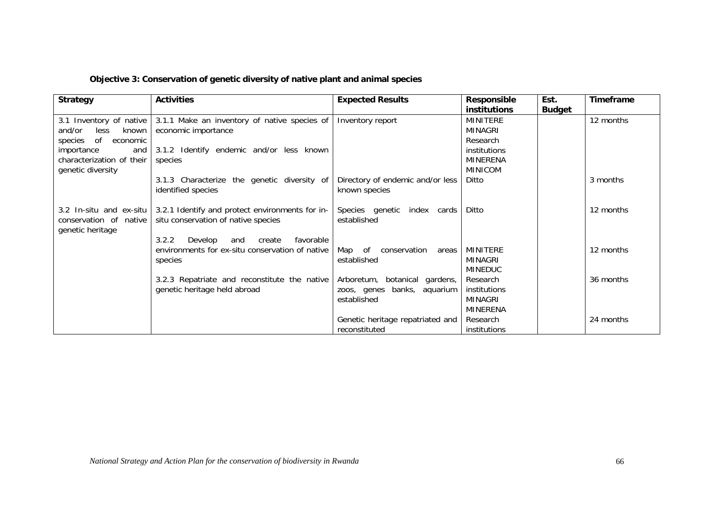| Objective 3: Conservation of genetic diversity of native plant and animal species |  |  |  |
|-----------------------------------------------------------------------------------|--|--|--|
|                                                                                   |  |  |  |

| <b>Strategy</b>                                                                 | <b>Activities</b>                                                                                                                        | <b>Expected Results</b>                                                     | <b>Responsible</b><br>institutions                            | Est.<br><b>Budget</b> | Timeframe |
|---------------------------------------------------------------------------------|------------------------------------------------------------------------------------------------------------------------------------------|-----------------------------------------------------------------------------|---------------------------------------------------------------|-----------------------|-----------|
| 3.1 Inventory of native<br>and/or<br>less<br>known<br>of<br>species<br>economic | 3.1.1 Make an inventory of native species of<br>economic importance                                                                      | Inventory report                                                            | MINITERE<br><b>MINAGRI</b><br>Research                        |                       | 12 months |
| importance<br>and<br>characterization of their<br>genetic diversity             | 3.1.2 Identify endemic and/or less known<br>species                                                                                      |                                                                             | institutions<br><b>MINERENA</b><br><b>MINICOM</b>             |                       |           |
|                                                                                 | 3.1.3 Characterize the genetic diversity of<br>identified species                                                                        | Directory of endemic and/or less<br>known species                           | Ditto                                                         |                       | 3 months  |
| 3.2 In-situ and ex-situ<br>conservation of native<br>genetic heritage           | 3.2.1 Identify and protect environments for in-<br>situ conservation of native species<br>3.2.2<br>Develop<br>favorable<br>and<br>create | Species genetic<br>index cards<br>established                               | Ditto                                                         |                       | 12 months |
|                                                                                 | environments for ex-situ conservation of native<br>species                                                                               | Map of<br>conservation<br>areas<br>established                              | MINITERE<br><b>MINAGRI</b><br><b>MINEDUC</b>                  |                       | 12 months |
|                                                                                 | 3.2.3 Repatriate and reconstitute the native<br>genetic heritage held abroad                                                             | Arboretum, botanical gardens,<br>zoos, genes banks, aquarium<br>established | Research<br>institutions<br><b>MINAGRI</b><br><b>MINERENA</b> |                       | 36 months |
|                                                                                 |                                                                                                                                          | Genetic heritage repatriated and<br>reconstituted                           | Research<br>institutions                                      |                       | 24 months |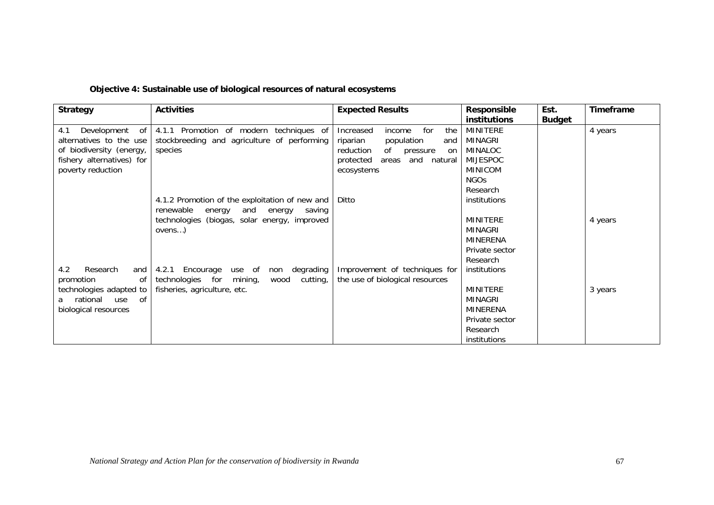| <b>Strategy</b>                                  | <b>Activities</b>                               | <b>Expected Results</b>           | <b>Responsible</b><br>institutions | Est.<br><b>Budget</b> | Timeframe |
|--------------------------------------------------|-------------------------------------------------|-----------------------------------|------------------------------------|-----------------------|-----------|
| Development of<br>4.1                            | 4.1.1 Promotion of modern techniques of         | Increased<br>for<br>the<br>income | <b>MINITERE</b>                    |                       | 4 years   |
| alternatives to the use                          | stockbreeding and agriculture of performing     | population<br>riparian<br>and     | MINAGRI                            |                       |           |
| of biodiversity (energy,                         | species                                         | reduction<br>of pressure<br>on    | MINALOC                            |                       |           |
| fishery alternatives) for                        |                                                 | areas and natural<br>protected    | <b>MIJESPOC</b>                    |                       |           |
| poverty reduction                                |                                                 | ecosystems                        | <b>MINICOM</b>                     |                       |           |
|                                                  |                                                 |                                   | NGO <sub>S</sub>                   |                       |           |
|                                                  |                                                 |                                   | Research                           |                       |           |
|                                                  | 4.1.2 Promotion of the exploitation of new and  | Ditto                             | institutions                       |                       |           |
|                                                  | renewable<br>and energy<br>energy<br>saving     |                                   |                                    |                       |           |
|                                                  | technologies (biogas, solar energy, improved    |                                   | <b>MINITERE</b>                    |                       | 4 years   |
|                                                  | over)                                           |                                   | <b>MINAGRI</b>                     |                       |           |
|                                                  |                                                 |                                   | <b>MINERENA</b>                    |                       |           |
|                                                  |                                                 |                                   | Private sector                     |                       |           |
|                                                  |                                                 |                                   | Research                           |                       |           |
| 4.2<br>Research<br>and                           | degrading<br>4.2.1 Encourage<br>use of<br>non   | Improvement of techniques for     | institutions                       |                       |           |
| promotion<br>0f                                  | technologies for<br>cutting,<br>mining,<br>wood | the use of biological resources   | MINITERE                           |                       |           |
| technologies adapted to<br>rational<br>of<br>use | fisheries, agriculture, etc.                    |                                   | <b>MINAGRI</b>                     |                       | 3 years   |
| a<br>biological resources                        |                                                 |                                   | <b>MINERENA</b>                    |                       |           |
|                                                  |                                                 |                                   | Private sector                     |                       |           |
|                                                  |                                                 |                                   | Research                           |                       |           |
|                                                  |                                                 |                                   | <i>institutions</i>                |                       |           |

# **Objective 4: Sustainable use of biological resources of natural ecosystems**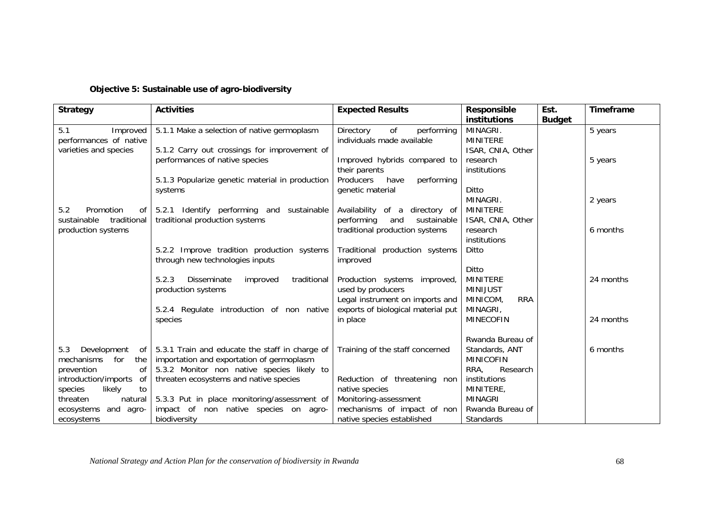| <b>Strategy</b>            | <b>Activities</b>                                      | <b>Expected Results</b>            | <b>Responsible</b>     | Est.          | <b>Timeframe</b> |
|----------------------------|--------------------------------------------------------|------------------------------------|------------------------|---------------|------------------|
|                            |                                                        |                                    | <b>institutions</b>    | <b>Budget</b> |                  |
| 5.1<br>Improved            | 5.1.1 Make a selection of native germoplasm            | of<br>Directory<br>performing      | MINAGRI.               |               | 5 years          |
| performances of native     |                                                        | individuals made available         | <b>MINITERE</b>        |               |                  |
| varieties and species      | 5.1.2 Carry out crossings for improvement of           |                                    | ISAR, CNIA, Other      |               |                  |
|                            | performances of native species                         | Improved hybrids compared to       | research               |               | 5 years          |
|                            |                                                        | their parents                      | institutions           |               |                  |
|                            | 5.1.3 Popularize genetic material in production        | Producers<br>performing<br>have    |                        |               |                  |
|                            | systems                                                | genetic material                   | Ditto                  |               |                  |
|                            |                                                        |                                    | MINAGRI.               |               | 2 years          |
| 5.2<br>Promotion<br>of l   | 5.2.1 Identify performing and sustainable              | Availability of a<br>directory of  | <b>MINITERE</b>        |               |                  |
| traditional<br>sustainable | traditional production systems                         | performing<br>and<br>sustainable   | ISAR, CNIA, Other      |               |                  |
| production systems         |                                                        | traditional production systems     | research               |               | 6 months         |
|                            |                                                        |                                    | institutions           |               |                  |
|                            | 5.2.2 Improve tradition production systems             | Traditional production systems     | Ditto                  |               |                  |
|                            | through new technologies inputs                        | improved                           |                        |               |                  |
|                            |                                                        |                                    | Ditto                  |               |                  |
|                            | 5.2.3<br>traditional<br><b>Disseminate</b><br>improved | Production systems improved,       | <b>MINITERE</b>        |               | 24 months        |
|                            | production systems                                     | used by producers                  | <b>MINIJUST</b>        |               |                  |
|                            |                                                        | Legal instrument on imports and    | MINICOM,<br><b>RRA</b> |               |                  |
|                            | 5.2.4 Regulate introduction of non native              | exports of biological material put | MINAGRI,               |               |                  |
|                            | species                                                | in place                           | <b>MINECOFIN</b>       |               | 24 months        |
|                            |                                                        |                                    |                        |               |                  |
|                            |                                                        |                                    | Rwanda Bureau of       |               |                  |
| Development<br>5.3<br>of I | 5.3.1 Train and educate the staff in charge of         | Training of the staff concerned    | Standards, ANT         |               | 6 months         |
| mechanisms<br>for<br>the   | importation and exportation of germoplasm              |                                    | <b>MINICOFIN</b>       |               |                  |
| prevention<br>оf           | 5.3.2 Monitor non native species likely to             |                                    | RRA,<br>Research       |               |                  |
| introduction/imports<br>of | threaten ecosystems and native species                 | Reduction of threatening non       | institutions           |               |                  |
| species<br>to<br>likely    |                                                        | native species                     | MINITERE,              |               |                  |
| threaten<br>natural        | 5.3.3 Put in place monitoring/assessment of            | Monitoring-assessment              | <b>MINAGRI</b>         |               |                  |
| ecosystems and<br>agro-    | impact of non native species on agro-                  | mechanisms of impact of non        | Rwanda Bureau of       |               |                  |
| ecosystems                 | biodiversity                                           | native species established         | Standards              |               |                  |

*National Strategy and Action Plan for the conservation of biodiversity in Rwanda* 68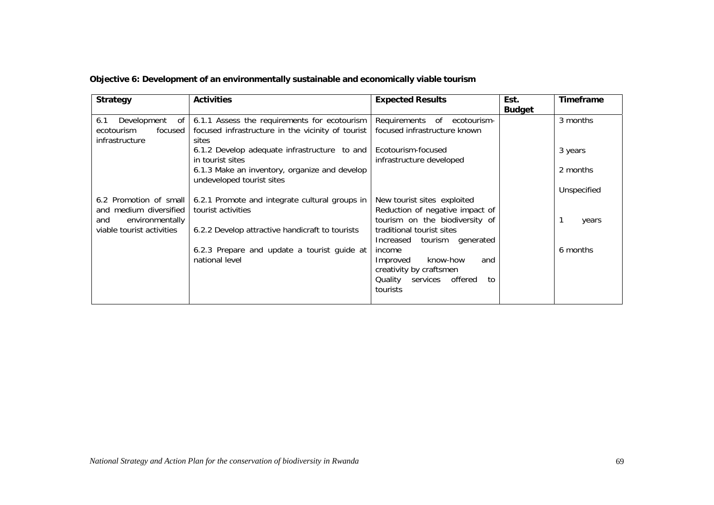|  |  | Objective 6: Development of an environmentally sustainable and economically viable tourism |  |
|--|--|--------------------------------------------------------------------------------------------|--|
|--|--|--------------------------------------------------------------------------------------------|--|

| <b>Strategy</b>                                                         | <b>Activities</b>                                                                                          | <b>Expected Results</b>                                     | Est.<br><b>Budget</b> | <b>Timeframe</b> |
|-------------------------------------------------------------------------|------------------------------------------------------------------------------------------------------------|-------------------------------------------------------------|-----------------------|------------------|
| Development<br>6.1<br>of l<br>focused  <br>ecotourism<br>infrastructure | 6.1.1 Assess the requirements for ecotourism<br>focused infrastructure in the vicinity of tourist<br>sites | Requirements of ecotourism-<br>focused infrastructure known |                       | 3 months         |
|                                                                         | 6.1.2 Develop adequate infrastructure to and Ecotourism-focused<br>in tourist sites                        | infrastructure developed                                    |                       | 3 years          |
|                                                                         | 6.1.3 Make an inventory, organize and develop<br>undeveloped tourist sites                                 |                                                             |                       | 2 months         |
|                                                                         |                                                                                                            |                                                             |                       | Unspecified      |
|                                                                         | 6.2 Promotion of small   6.2.1 Promote and integrate cultural groups in                                    | New tourist sites exploited                                 |                       |                  |
| and medium diversified                                                  | tourist activities                                                                                         | Reduction of negative impact of                             |                       |                  |
| environmentally<br>and                                                  |                                                                                                            | tourism on the biodiversity of                              |                       | years            |
| viable tourist activities                                               | 6.2.2 Develop attractive handicraft to tourists                                                            | traditional tourist sites<br>Increased tourism generated    |                       |                  |
|                                                                         | 6.2.3 Prepare and update a tourist guide at<br>national level                                              | income<br>know-how<br>Improved<br>and                       |                       | 6 months         |
|                                                                         |                                                                                                            | creativity by craftsmen                                     |                       |                  |
|                                                                         |                                                                                                            | Quality services offered<br>to<br>tourists                  |                       |                  |
|                                                                         |                                                                                                            |                                                             |                       |                  |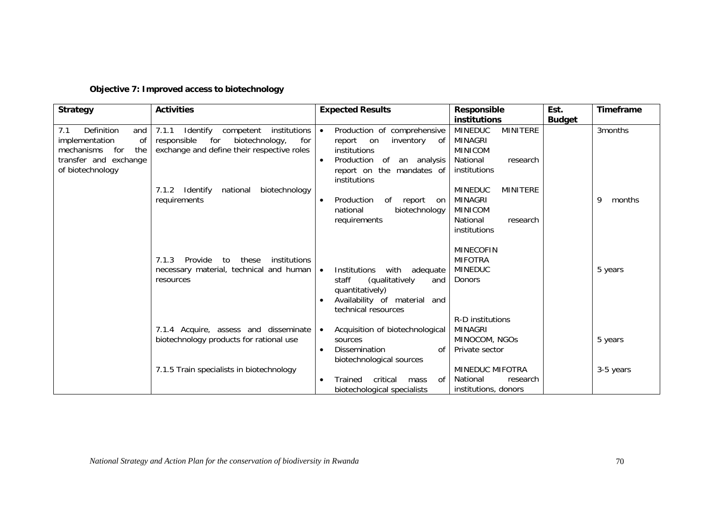|  |  |  |  |  | Objective 7: Improved access to biotechnology |
|--|--|--|--|--|-----------------------------------------------|
|--|--|--|--|--|-----------------------------------------------|

| <b>Strategy</b>                                                                                                           | <b>Activities</b>                                                                                                                           | <b>Expected Results</b>                                                                                                                                                     | <b>Responsible</b>                                                                                     | Est.          | Timeframe   |
|---------------------------------------------------------------------------------------------------------------------------|---------------------------------------------------------------------------------------------------------------------------------------------|-----------------------------------------------------------------------------------------------------------------------------------------------------------------------------|--------------------------------------------------------------------------------------------------------|---------------|-------------|
|                                                                                                                           |                                                                                                                                             |                                                                                                                                                                             | <b>institutions</b>                                                                                    | <b>Budget</b> |             |
| Definition<br>7.1<br>and<br>of<br>implementation<br>mechanisms<br>for<br>the<br>transfer and exchange<br>of biotechnology | 7.1.1<br>Identify<br>competent<br>institutions<br>responsible<br>for<br>biotechnology,<br>for<br>exchange and define their respective roles | Production of comprehensive<br>$\bullet$<br>inventory<br>report<br>on<br>of<br>institutions<br>Production<br>of<br>an analysis<br>report on the mandates of<br>institutions | <b>MINITERE</b><br><b>MINEDUC</b><br>MINAGRI<br><b>MINICOM</b><br>National<br>research<br>institutions |               | 3months     |
|                                                                                                                           | 7.1.2<br>Identify<br>national<br>biotechnology<br>requirements                                                                              | Production<br>of<br>report<br>on<br>biotechnology<br>national<br>requirements                                                                                               | <b>MINEDUC</b><br><b>MINITERE</b><br>MINAGRI<br><b>MINICOM</b><br>National<br>research<br>institutions |               | 9<br>months |
|                                                                                                                           | institutions<br>7.1.3<br>Provide<br>to<br>these<br>necessary material, technical and human<br>resources                                     | with<br><b>Institutions</b><br>adequate<br>$\bullet$<br>staff<br>(qualitatively<br>and<br>quantitatively)<br>Availability of material<br>and<br>technical resources         | <b>MINECOFIN</b><br><b>MIFOTRA</b><br><b>MINEDUC</b><br>Donors<br>R-D institutions                     |               | 5 years     |
|                                                                                                                           | 7.1.4 Acquire, assess and disseminate<br>biotechnology products for rational use                                                            | Acquisition of biotechnological<br>$\bullet$<br>sources<br><b>Dissemination</b><br>0f<br>biotechnological sources                                                           | <b>MINAGRI</b><br>MINOCOM, NGOS<br>Private sector                                                      |               | 5 years     |
|                                                                                                                           | 7.1.5 Train specialists in biotechnology                                                                                                    | critical<br>of<br>Trained<br>mass<br>$\bullet$<br>biotechological specialists                                                                                               | <b>MINEDUC MIFOTRA</b><br>National<br>research<br>institutions, donors                                 |               | 3-5 years   |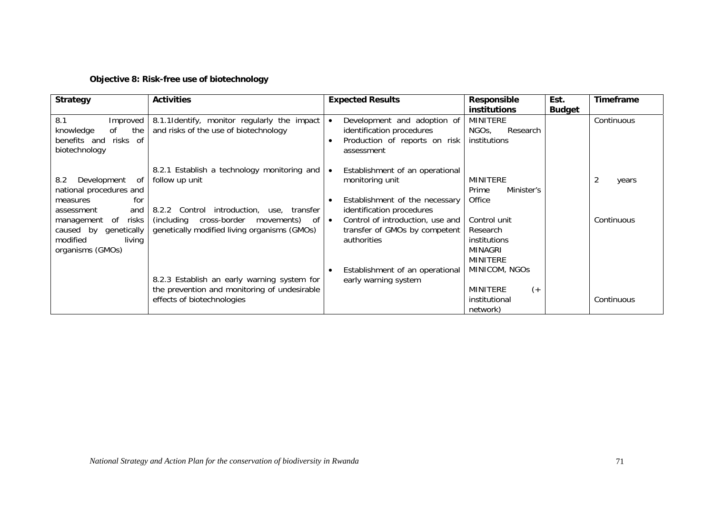#### **Objective 8: Risk-free use of biotechnology**

| <b>Strategy</b>                                                                                 | <b>Activities</b>                                                                                                         | <b>Expected Results</b>                                                                                                        | <b>Responsible</b><br><b>institutions</b>                                     | Est.<br><b>Budget</b> | <b>Timeframe</b> |
|-------------------------------------------------------------------------------------------------|---------------------------------------------------------------------------------------------------------------------------|--------------------------------------------------------------------------------------------------------------------------------|-------------------------------------------------------------------------------|-----------------------|------------------|
| 8.1<br>Improved<br>the<br>knowledge<br>0f<br>benefits and<br>risks of<br>biotechnology          | 8.1.1 Identify, monitor regularly the impact<br>and risks of the use of biotechnology                                     | Development and adoption of<br>identification procedures<br>Production of reports on risk<br>assessment                        | MINITERE<br>NGO <sub>s</sub> ,<br>Research<br>institutions                    |                       | Continuous       |
| Development of<br>8.2<br>national procedures and<br>for<br>measures<br>and<br>assessment        | 8.2.1 Establish a technology monitoring and<br>follow up unit<br>8.2.2 Control introduction, use, transfer                | Establishment of an operational<br>$\bullet$<br>monitoring unit<br>Establishment of the necessary<br>identification procedures | <b>MINITERE</b><br>Minister's<br>Prime<br>Office                              |                       | years            |
| of<br>risks<br>management<br>genetically<br>caused by<br>modified<br>living<br>organisms (GMOs) | (including cross-border movements)<br>- of<br>genetically modified living organisms (GMOs)                                | Control of introduction, use and<br>$\bullet$<br>transfer of GMOs by competent<br>authorities                                  | Control unit<br>Research<br>institutions<br><b>MINAGRI</b><br><b>MINITERE</b> |                       | Continuous       |
|                                                                                                 | 8.2.3 Establish an early warning system for<br>the prevention and monitoring of undesirable<br>effects of biotechnologies | Establishment of an operational<br>early warning system                                                                        | MINICOM, NGOS<br><b>MINITERE</b><br>$($ +<br>institutional<br>network)        |                       | Continuous       |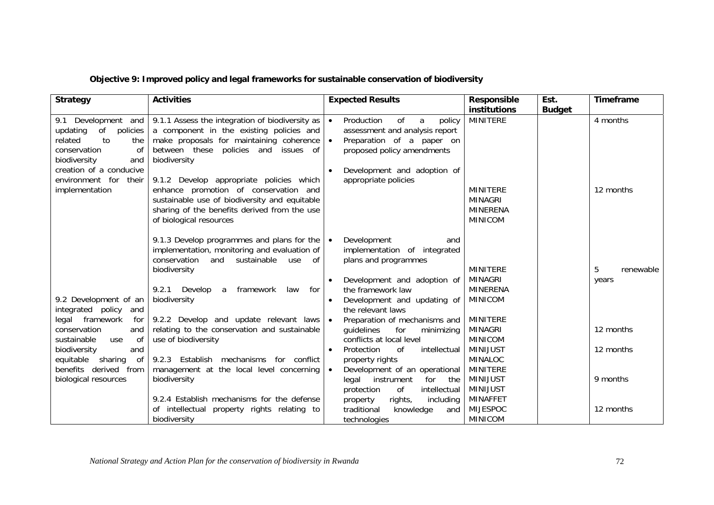|  |  | Objective 9: Improved policy and legal frameworks for sustainable conservation of biodiversity |
|--|--|------------------------------------------------------------------------------------------------|
|--|--|------------------------------------------------------------------------------------------------|

| <b>Strategy</b>                                                                                                                                                                              | <b>Activities</b>                                                                                                                                                                                                                                                                                                                                                                     | <b>Expected Results</b>                                                                                                                                                                                       | <b>Responsible</b><br>institutions                                      | Est.<br><b>Budget</b> | <b>Timeframe</b>        |
|----------------------------------------------------------------------------------------------------------------------------------------------------------------------------------------------|---------------------------------------------------------------------------------------------------------------------------------------------------------------------------------------------------------------------------------------------------------------------------------------------------------------------------------------------------------------------------------------|---------------------------------------------------------------------------------------------------------------------------------------------------------------------------------------------------------------|-------------------------------------------------------------------------|-----------------------|-------------------------|
| 9.1 Development and<br>of<br>updating<br>policies<br>related<br>to<br>the<br>conservation<br>0f<br>biodiversity<br>and<br>creation of a conducive<br>environment for their<br>implementation | 9.1.1 Assess the integration of biodiversity as<br>a component in the existing policies and<br>make proposals for maintaining coherence<br>between these policies and issues of<br>biodiversity<br>9.1.2 Develop appropriate policies which<br>enhance promotion of conservation and<br>sustainable use of biodiversity and equitable<br>sharing of the benefits derived from the use | Production<br>of<br>$\bullet$<br>a<br>policy<br>assessment and analysis report<br>Preparation of a paper on<br>$\bullet$<br>proposed policy amendments<br>Development and adoption of<br>appropriate policies | <b>MINITERE</b><br><b>MINITERE</b><br><b>MINAGRI</b><br><b>MINERENA</b> |                       | 4 months<br>12 months   |
|                                                                                                                                                                                              | of biological resources<br>9.1.3 Develop programmes and plans for the<br>implementation, monitoring and evaluation of<br>conservation<br>and sustainable<br>use<br>of                                                                                                                                                                                                                 | Development<br>$\bullet$<br>and<br>implementation of integrated<br>plans and programmes                                                                                                                       | <b>MINICOM</b>                                                          |                       |                         |
| 9.2 Development of an<br>integrated policy<br>and                                                                                                                                            | biodiversity<br>for<br>9.2.1<br>Develop<br>framework<br>law<br>a<br>biodiversity                                                                                                                                                                                                                                                                                                      | Development and adoption of<br>$\bullet$<br>the framework law<br>Development and updating of<br>the relevant laws                                                                                             | <b>MINITERE</b><br><b>MINAGRI</b><br><b>MINERENA</b><br><b>MINICOM</b>  |                       | 5<br>renewable<br>years |
| legal framework<br>for<br>conservation<br>and<br>sustainable<br>use<br>of<br>biodiversity<br>and                                                                                             | 9.2.2 Develop and update relevant laws<br>relating to the conservation and sustainable<br>use of biodiversity                                                                                                                                                                                                                                                                         | Preparation of mechanisms and<br>$\bullet$<br>guidelines<br>for<br>minimizing<br>conflicts at local level<br>Protection<br>0f<br>intellectual<br>$\bullet$                                                    | <b>MINITERE</b><br><b>MINAGRI</b><br><b>MINICOM</b><br><b>MINIJUST</b>  |                       | 12 months<br>12 months  |
| equitable<br>sharing<br>of<br>benefits derived from<br>biological resources                                                                                                                  | 9.2.3 Establish mechanisms for conflict<br>management at the local level concerning<br>biodiversity                                                                                                                                                                                                                                                                                   | property rights<br>Development of an operational<br>$\bullet$<br>legal instrument<br>for<br>the<br>protection<br>of<br>intellectual                                                                           | <b>MINALOC</b><br>MINITERE<br><b>MINIJUST</b><br>MINIJUST               |                       | 9 months                |
|                                                                                                                                                                                              | 9.2.4 Establish mechanisms for the defense<br>of intellectual property rights relating to<br>biodiversity                                                                                                                                                                                                                                                                             | rights,<br>including<br>property<br>traditional<br>knowledge<br>and<br>technologies                                                                                                                           | <b>MINAFFET</b><br><b>MIJESPOC</b><br><b>MINICOM</b>                    |                       | 12 months               |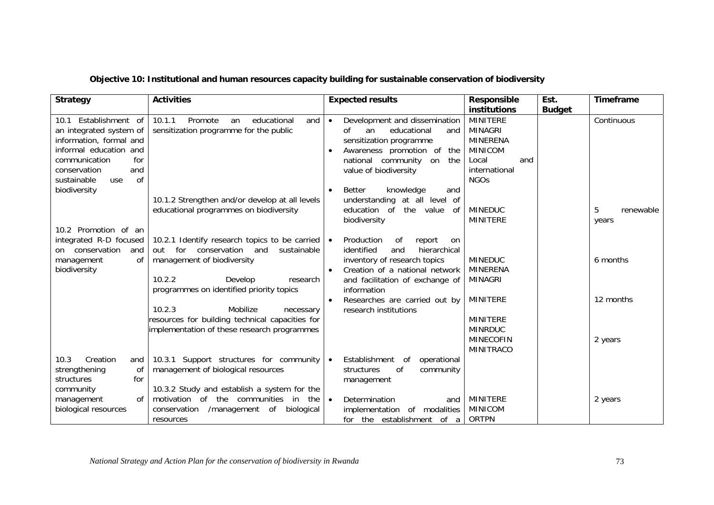| Objective 10: Institutional and human resources capacity building for sustainable conservation of biodiversity |  |
|----------------------------------------------------------------------------------------------------------------|--|
|----------------------------------------------------------------------------------------------------------------|--|

| <b>Strategy</b>                                                                                                                                                                                  | <b>Activities</b>                                                                                                                                                                                                                                                                                  | <b>Expected results</b>                                                                                                                                                                                                                                                                              | <b>Responsible</b><br>institutions                                                                                                | Est.<br><b>Budget</b> | <b>Timeframe</b>               |
|--------------------------------------------------------------------------------------------------------------------------------------------------------------------------------------------------|----------------------------------------------------------------------------------------------------------------------------------------------------------------------------------------------------------------------------------------------------------------------------------------------------|------------------------------------------------------------------------------------------------------------------------------------------------------------------------------------------------------------------------------------------------------------------------------------------------------|-----------------------------------------------------------------------------------------------------------------------------------|-----------------------|--------------------------------|
| 10.1 Establishment of<br>an integrated system of<br>information, formal and<br>informal education and<br>communication<br>for<br>conservation<br>and<br>of<br>sustainable<br>use<br>biodiversity | 10.1.1<br>Promote<br>educational<br>an<br>and<br>sensitization programme for the public<br>10.1.2 Strengthen and/or develop at all levels<br>educational programmes on biodiversity                                                                                                                | Development and dissemination<br>$\bullet$<br>Ωf<br>educational<br>an<br>and<br>sensitization programme<br>Awareness promotion of<br>the<br>national community on<br>the<br>value of biodiversity<br>Better<br>knowledge<br>and<br>understanding at all level of<br>the value<br>education of<br>-of | <b>MINITERE</b><br><b>MINAGRI</b><br><b>MINERENA</b><br><b>MINICOM</b><br>Local<br>and<br>international<br><b>NGOs</b><br>MINEDUC |                       | Continuous<br>5<br>renewable   |
| 10.2 Promotion of an<br>integrated R-D focused<br>on conservation<br>and<br>management<br>0f<br>biodiversity                                                                                     | 10.2.1 Identify research topics to be carried<br>for<br>conservation<br>and<br>sustainable<br>out<br>management of biodiversity<br>10.2.2<br>Develop<br>research<br>programmes on identified priority topics<br>10.2.3<br>Mobilize<br>necessary<br>resources for building technical capacities for | biodiversity<br>Production<br>0f<br>report<br>$\bullet$<br><b>on</b><br>identified<br>and<br>hierarchical<br>inventory of research topics<br>Creation of a national network<br>$\bullet$<br>and facilitation of exchange of<br>information<br>Researches are carried out by<br>research institutions | <b>MINITERE</b><br><b>MINEDUC</b><br><b>MINERENA</b><br><b>MINAGRI</b><br><b>MINITERE</b><br><b>MINITERE</b>                      |                       | years<br>6 months<br>12 months |
| 10.3<br>Creation<br>and<br>strengthening<br>οf<br>for<br>structures                                                                                                                              | implementation of these research programmes<br>10.3.1 Support structures for community<br>management of biological resources                                                                                                                                                                       | Establishment of<br>operational<br>$\bullet$<br>0f<br>structures<br>community<br>management                                                                                                                                                                                                          | <b>MINRDUC</b><br><b>MINECOFIN</b><br><b>MINITRACO</b>                                                                            |                       | 2 years                        |
| community<br>of<br>management<br>biological resources                                                                                                                                            | 10.3.2 Study and establish a system for the<br>motivation of the communities in the<br>conservation /management of<br>biological<br>resources                                                                                                                                                      | Determination<br>$\bullet$<br>and<br>implementation of modalities<br>for the establishment of a                                                                                                                                                                                                      | <b>MINITERE</b><br><b>MINICOM</b><br><b>ORTPN</b>                                                                                 |                       | 2 years                        |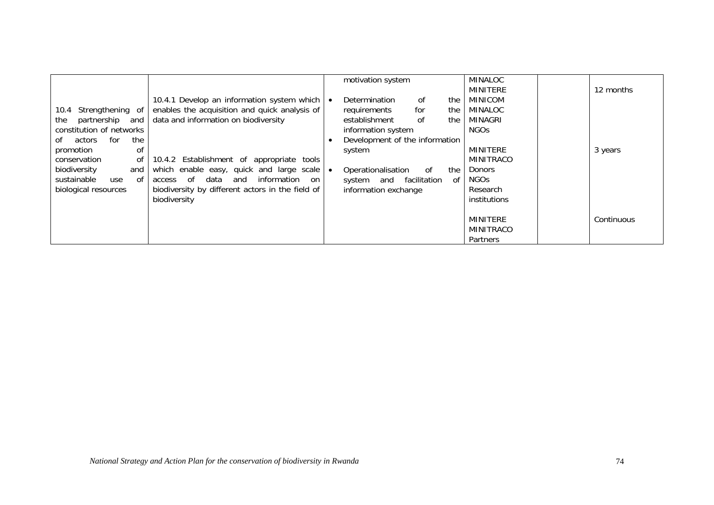|                            |                                                  | motivation system              |              |     | MINALOC         |            |
|----------------------------|--------------------------------------------------|--------------------------------|--------------|-----|-----------------|------------|
|                            |                                                  |                                |              |     | MINITERE        | 12 months  |
|                            | 10.4.1 Develop an information system which       | Determination                  | of           | the | MINICOM         |            |
| 10.4 Strengthening of      | enables the acquisition and quick analysis of    | requirements                   | for          | the | MINALOC         |            |
| partnership and<br>the     | data and information on biodiversity             | establishment                  | of           | the | MINAGRI         |            |
| constitution of networks   |                                                  | information system             |              |     | <b>NGOs</b>     |            |
| for<br>the<br>actors<br>of |                                                  | Development of the information |              |     |                 |            |
| promotion<br>0f            |                                                  | system                         |              |     | MINITERE        | 3 years    |
| conservation<br>0f         | 10.4.2 Establishment of appropriate<br>tools     |                                |              |     | MINITRACO       |            |
| biodiversity<br>and        | which enable easy, quick and large scale         | Operationalisation             | of           | the | <b>Donors</b>   |            |
| sustainable<br>of<br>use   | access of<br>data<br>and<br>information<br>on    | system and                     | facilitation | 0f  | NGOs            |            |
| biological resources       | biodiversity by different actors in the field of | information exchange           |              |     | Research        |            |
|                            | biodiversity                                     |                                |              |     | institutions    |            |
|                            |                                                  |                                |              |     |                 |            |
|                            |                                                  |                                |              |     | <b>MINITERE</b> | Continuous |
|                            |                                                  |                                |              |     | MINITRACO       |            |
|                            |                                                  |                                |              |     | Partners        |            |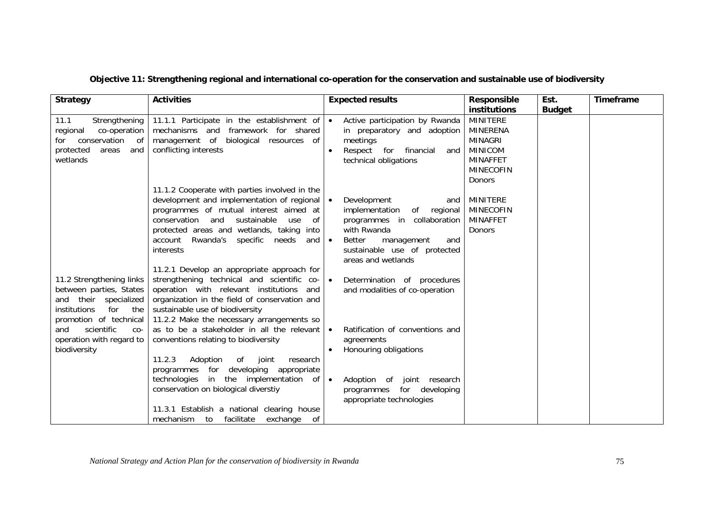|  | Objective 11: Strengthening regional and international co-operation for the conservation and sustainable use of biodiversity |
|--|------------------------------------------------------------------------------------------------------------------------------|
|--|------------------------------------------------------------------------------------------------------------------------------|

| <b>Strategy</b>                                                                                                                                                                                                | <b>Activities</b>                                                                                                                                                                                                                                                                                                                                                                                                                                                                                                                                                                                                                                                                                                                                                                                                                                                                                                                    | <b>Expected results</b>                                                                                                                                                                                                                                                                                                                                                                                                                                                                   | <b>Responsible</b>                                                                                                     | Est.          | <b>Timeframe</b> |
|----------------------------------------------------------------------------------------------------------------------------------------------------------------------------------------------------------------|--------------------------------------------------------------------------------------------------------------------------------------------------------------------------------------------------------------------------------------------------------------------------------------------------------------------------------------------------------------------------------------------------------------------------------------------------------------------------------------------------------------------------------------------------------------------------------------------------------------------------------------------------------------------------------------------------------------------------------------------------------------------------------------------------------------------------------------------------------------------------------------------------------------------------------------|-------------------------------------------------------------------------------------------------------------------------------------------------------------------------------------------------------------------------------------------------------------------------------------------------------------------------------------------------------------------------------------------------------------------------------------------------------------------------------------------|------------------------------------------------------------------------------------------------------------------------|---------------|------------------|
| 11.1<br>Strengthening<br>co-operation<br>regional<br>conservation of<br>for<br>protected<br>and<br>areas<br>wetlands                                                                                           | 11.1.1 Participate in the establishment of<br>mechanisms and framework for shared<br>management of biological resources of<br>conflicting interests                                                                                                                                                                                                                                                                                                                                                                                                                                                                                                                                                                                                                                                                                                                                                                                  | Active participation by Rwanda<br>$\bullet$<br>in preparatory and adoption<br>meetings<br>Respect for financial<br>and<br>technical obligations                                                                                                                                                                                                                                                                                                                                           | institutions<br><b>MINITERE</b><br>MINERENA<br><b>MINAGRI</b><br><b>MINICOM</b><br><b>MINAFFET</b><br><b>MINECOFIN</b> | <b>Budget</b> |                  |
| 11.2 Strengthening links<br>between parties, States<br>and their specialized<br>institutions<br>for<br>the<br>promotion of technical<br>scientific<br>and<br>$CO-$<br>operation with regard to<br>biodiversity | 11.1.2 Cooperate with parties involved in the<br>development and implementation of regional<br>programmes of mutual interest aimed at<br>conservation and sustainable<br>of<br>use<br>protected areas and wetlands, taking into<br>account Rwanda's specific needs<br>and<br>interests<br>11.2.1 Develop an appropriate approach for<br>strengthening technical and scientific co-<br>operation with relevant institutions<br>and<br>organization in the field of conservation and<br>sustainable use of biodiversity<br>11.2.2 Make the necessary arrangements so<br>as to be a stakeholder in all the relevant<br>conventions relating to biodiversity<br>11.2.3<br>Adoption<br>of<br>joint<br>research<br>programmes for<br>developing appropriate<br>technologies in the implementation of<br>conservation on biological diverstiy<br>11.3.1 Establish a national clearing house<br>mechanism<br>facilitate<br>exchange of<br>to | Development<br>$\bullet$<br>and<br>implementation<br>of regional<br>programmes in collaboration<br>with Rwanda<br>Better<br>$\bullet$<br>management<br>and<br>sustainable use of protected<br>areas and wetlands<br>Determination of procedures<br>$\bullet$<br>and modalities of co-operation<br>Ratification of conventions and<br>$\bullet$<br>agreements<br>Honouring obligations<br>Adoption of joint research<br>$\bullet$<br>programmes for developing<br>appropriate technologies | <b>Donors</b><br>MINITERE<br><b>MINECOFIN</b><br><b>MINAFFET</b><br>Donors                                             |               |                  |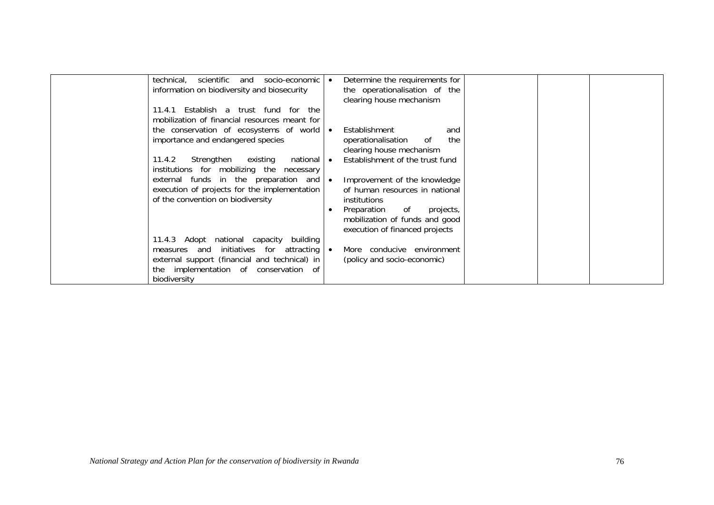| scientific<br>socio-economic<br>technical.<br>and<br>information on biodiversity and biosecurity                           |           | Determine the requirements for<br>the operationalisation of the<br>clearing house mechanism        |  |  |
|----------------------------------------------------------------------------------------------------------------------------|-----------|----------------------------------------------------------------------------------------------------|--|--|
| Establish a trust fund for the<br>11.4.1<br>mobilization of financial resources meant for                                  |           |                                                                                                    |  |  |
| the conservation of ecosystems of world<br>importance and endangered species                                               | $\bullet$ | Establishment<br>and<br>the<br>operationalisation<br>of<br>clearing house mechanism                |  |  |
| 11.4.2<br>Strengthen<br>national<br>existing<br>institutions for mobilizing the necessary                                  | $\bullet$ | Establishment of the trust fund                                                                    |  |  |
| external funds in the preparation and<br>execution of projects for the implementation<br>of the convention on biodiversity | $\bullet$ | Improvement of the knowledge<br>of human resources in national<br><i>institutions</i>              |  |  |
|                                                                                                                            |           | Preparation<br>of<br>projects,<br>mobilization of funds and good<br>execution of financed projects |  |  |
| 11.4.3 Adopt national capacity building<br>measures and initiatives for attracting                                         | $\bullet$ | More conducive environment                                                                         |  |  |
| external support (financial and technical) in<br>the implementation of conservation of<br>biodiversity                     |           | (policy and socio-economic)                                                                        |  |  |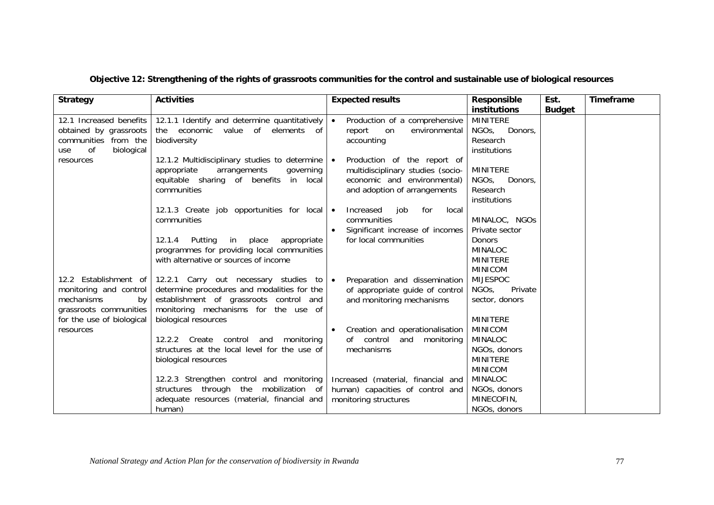| <b>Strategy</b>                                                                                                   | <b>Activities</b>                                                                                                                                                                                                                           | <b>Expected results</b>                                                                                                                                                                                   | Responsible<br>institutions                                                                                       | Est.<br><b>Budget</b> | Timeframe |
|-------------------------------------------------------------------------------------------------------------------|---------------------------------------------------------------------------------------------------------------------------------------------------------------------------------------------------------------------------------------------|-----------------------------------------------------------------------------------------------------------------------------------------------------------------------------------------------------------|-------------------------------------------------------------------------------------------------------------------|-----------------------|-----------|
| 12.1 Increased benefits<br>obtained by grassroots<br>communities from the<br>0f<br>biological<br>use<br>resources | 12.1.1 Identify and determine quantitatively<br>the economic value of elements of<br>biodiversity<br>12.1.2 Multidisciplinary studies to determine<br>appropriate<br>arrangements<br>governing<br>equitable sharing of benefits<br>in local | Production of a comprehensive<br>$\bullet$<br>report<br>environmental<br>on<br>accounting<br>Production of the report of<br>$\bullet$<br>multidisciplinary studies (socio-<br>economic and environmental) | <b>MINITERE</b><br>NGO <sub>s</sub><br>Donors,<br>Research<br>institutions<br><b>MINITERE</b><br>NGOs,<br>Donors, |                       |           |
|                                                                                                                   | communities<br>12.1.3 Create job opportunities for local   •<br>communities<br>12.1.4<br>Putting<br>in<br>place<br>appropriate                                                                                                              | and adoption of arrangements<br>Increased<br>job<br>for<br>local<br>communities<br>Significant increase of incomes<br>for local communities                                                               | Research<br>institutions<br>MINALOC, NGOS<br>Private sector<br><b>Donors</b>                                      |                       |           |
| 12.2 Establishment of                                                                                             | programmes for providing local communities<br>with alternative or sources of income<br>12.2.1 Carry out necessary studies to $\bullet$                                                                                                      | Preparation and dissemination                                                                                                                                                                             | <b>MINALOC</b><br><b>MINITERE</b><br><b>MINICOM</b><br><b>MIJESPOC</b>                                            |                       |           |
| monitoring and control<br>mechanisms<br>by<br>grassroots communities<br>for the use of biological<br>resources    | determine procedures and modalities for the<br>establishment of grassroots control and<br>monitoring mechanisms for the use of<br>biological resources                                                                                      | of appropriate guide of control<br>and monitoring mechanisms                                                                                                                                              | Private<br>NGO <sub>s</sub><br>sector, donors<br><b>MINITERE</b>                                                  |                       |           |
|                                                                                                                   | 12.2.2 Create control<br>monitoring<br>and<br>structures at the local level for the use of<br>biological resources                                                                                                                          | Creation and operationalisation<br>of control<br>and<br>monitoring<br>mechanisms                                                                                                                          | <b>MINICOM</b><br><b>MINALOC</b><br>NGOs, donors<br><b>MINITERE</b><br><b>MINICOM</b>                             |                       |           |
|                                                                                                                   | 12.2.3 Strengthen control and monitoring<br>structures through the mobilization of<br>adequate resources (material, financial and<br>human)                                                                                                 | Increased (material, financial and<br>human) capacities of control and<br>monitoring structures                                                                                                           | <b>MINALOC</b><br>NGOs, donors<br>MINECOFIN,<br>NGOs, donors                                                      |                       |           |

#### **Objective 12: Strengthening of the rights of grassroots communities for the control and sustainable use of biological resources**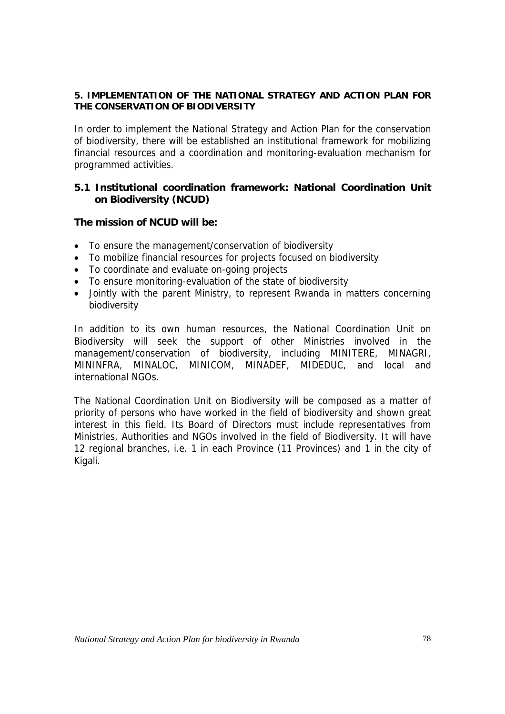#### **5. IMPLEMENTATION OF THE NATIONAL STRATEGY AND ACTION PLAN FOR THE CONSERVATION OF BIODIVERSITY**

In order to implement the National Strategy and Action Plan for the conservation of biodiversity, there will be established an institutional framework for mobilizing financial resources and a coordination and monitoring-evaluation mechanism for programmed activities.

# **5.1 Institutional coordination framework: National Coordination Unit on Biodiversity (NCUD)**

## **The mission of NCUD will be:**

- To ensure the management/conservation of biodiversity
- To mobilize financial resources for projects focused on biodiversity
- To coordinate and evaluate on-going projects
- To ensure monitoring-evaluation of the state of biodiversity
- Jointly with the parent Ministry, to represent Rwanda in matters concerning biodiversity

In addition to its own human resources, the National Coordination Unit on Biodiversity will seek the support of other Ministries involved in the management/conservation of biodiversity, including MINITERE, MINAGRI, MININFRA, MINALOC, MINICOM, MINADEF, MIDEDUC, and local and international NGOs.

The National Coordination Unit on Biodiversity will be composed as a matter of priority of persons who have worked in the field of biodiversity and shown great interest in this field. Its Board of Directors must include representatives from Ministries, Authorities and NGOs involved in the field of Biodiversity. It will have 12 regional branches, i.e. 1 in each Province (11 Provinces) and 1 in the city of Kigali.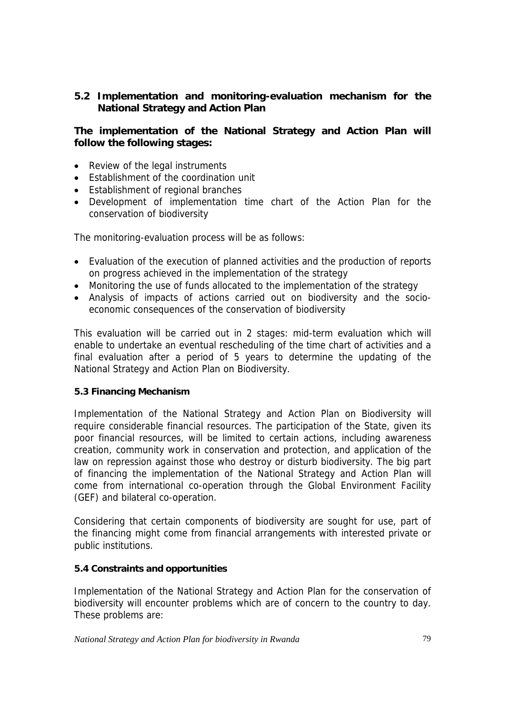# **5.2 Implementation and monitoring-evaluation mechanism for the National Strategy and Action Plan**

# **The implementation of the National Strategy and Action Plan will follow the following stages:**

- Review of the legal instruments
- Establishment of the coordination unit
- Establishment of regional branches
- Development of implementation time chart of the Action Plan for the conservation of biodiversity

The monitoring-evaluation process will be as follows:

- Evaluation of the execution of planned activities and the production of reports on progress achieved in the implementation of the strategy
- Monitoring the use of funds allocated to the implementation of the strategy
- Analysis of impacts of actions carried out on biodiversity and the socioeconomic consequences of the conservation of biodiversity

This evaluation will be carried out in 2 stages: mid-term evaluation which will enable to undertake an eventual rescheduling of the time chart of activities and a final evaluation after a period of 5 years to determine the updating of the National Strategy and Action Plan on Biodiversity.

## **5.3 Financing Mechanism**

Implementation of the National Strategy and Action Plan on Biodiversity will require considerable financial resources. The participation of the State, given its poor financial resources, will be limited to certain actions, including awareness creation, community work in conservation and protection, and application of the law on repression against those who destroy or disturb biodiversity. The big part of financing the implementation of the National Strategy and Action Plan will come from international co-operation through the Global Environment Facility (GEF) and bilateral co-operation.

Considering that certain components of biodiversity are sought for use, part of the financing might come from financial arrangements with interested private or public institutions.

## **5.4 Constraints and opportunities**

Implementation of the National Strategy and Action Plan for the conservation of biodiversity will encounter problems which are of concern to the country to day. These problems are: